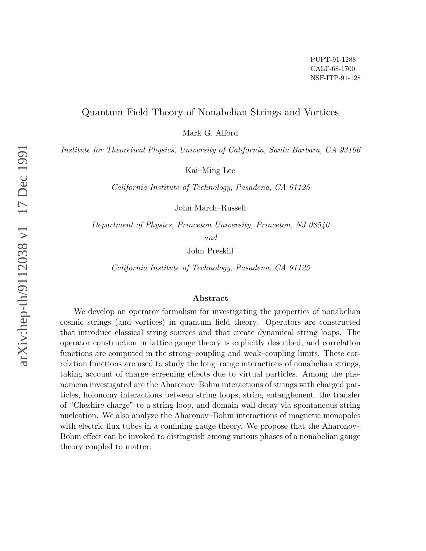# Quantum Field Theory of Nonabelian Strings and Vortices

Mark G. Alford

Institute for Theoretical Physics, University of California, Santa Barbara, CA 93106

Kai–Ming Lee

California Institute of Technology, Pasadena, CA 91125

John March–Russell

Department of Physics, Princeton University, Princeton, NJ 08540

and

John Preskill

California Institute of Technology, Pasadena, CA 91125

## Abstract

We develop an operator formalism for investigating the properties of nonabelian cosmic strings (and vortices) in quantum field theory. Operators are constructed that introduce classical string sources and that create dynamical string loops. The operator construction in lattice gauge theory is explicitly described, and correlation functions are computed in the strong–coupling and weak–coupling limits. These correlation functions are used to study the long–range interactions of nonabelian strings, taking account of charge–screening effects due to virtual particles. Among the phenomena investigated are the Aharonov–Bohm interactions of strings with charged particles, holonomy interactions between string loops, string entanglement, the transfer of "Cheshire charge" to a string loop, and domain wall decay via spontaneous string nucleation. We also analyze the Aharonov–Bohm interactions of magnetic monopoles with electric flux tubes in a confining gauge theory. We propose that the Aharonov– Bohm effect can be invoked to distinguish among various phases of a nonabelian gauge theory coupled to matter.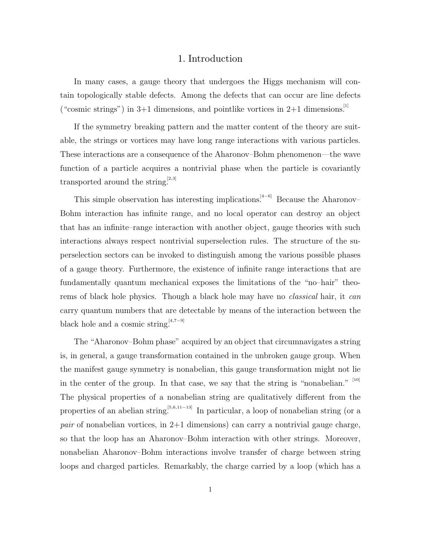# 1. Introduction

In many cases, a gauge theory that undergoes the Higgs mechanism will contain topologically stable defects. Among the defects that can occur are line defects ("cosmic strings") in 3+1 dimensions, and pointlike vortices in 2+1 dimensions.<sup>[1]</sup>

If the symmetry breaking pattern and the matter content of the theory are suitable, the strings or vortices may have long range interactions with various particles. These interactions are a consequence of the Aharonov–Bohm phenomenon—the wave function of a particle acquires a nontrivial phase when the particle is covariantly transported around the string.<sup>[2,3]</sup>

This simple observation has interesting implications.<sup>[4−6]</sup> Because the Aharonov– Bohm interaction has infinite range, and no local operator can destroy an object that has an infinite–range interaction with another object, gauge theories with such interactions always respect nontrivial superselection rules. The structure of the superselection sectors can be invoked to distinguish among the various possible phases of a gauge theory. Furthermore, the existence of infinite range interactions that are fundamentally quantum mechanical exposes the limitations of the "no–hair" theorems of black hole physics. Though a black hole may have no classical hair, it can carry quantum numbers that are detectable by means of the interaction between the black hole and a cosmic string.<sup>[4,7−9]</sup>

The "Aharonov–Bohm phase" acquired by an object that circumnavigates a string is, in general, a gauge transformation contained in the unbroken gauge group. When the manifest gauge symmetry is nonabelian, this gauge transformation might not lie in the center of the group. In that case, we say that the string is "nonabelian." [10] The physical properties of a nonabelian string are qualitatively different from the properties of an abelian string.<sup>[5,6,11−13]</sup> In particular, a loop of nonabelian string (or a *pair* of nonabelian vortices, in  $2+1$  dimensions) can carry a nontrivial gauge charge, so that the loop has an Aharonov–Bohm interaction with other strings. Moreover, nonabelian Aharonov–Bohm interactions involve transfer of charge between string loops and charged particles. Remarkably, the charge carried by a loop (which has a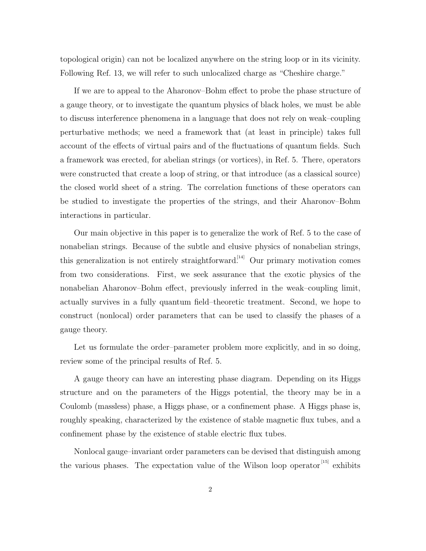topological origin) can not be localized anywhere on the string loop or in its vicinity. Following Ref. 13, we will refer to such unlocalized charge as "Cheshire charge."

If we are to appeal to the Aharonov–Bohm effect to probe the phase structure of a gauge theory, or to investigate the quantum physics of black holes, we must be able to discuss interference phenomena in a language that does not rely on weak–coupling perturbative methods; we need a framework that (at least in principle) takes full account of the effects of virtual pairs and of the fluctuations of quantum fields. Such a framework was erected, for abelian strings (or vortices), in Ref. 5. There, operators were constructed that create a loop of string, or that introduce (as a classical source) the closed world sheet of a string. The correlation functions of these operators can be studied to investigate the properties of the strings, and their Aharonov–Bohm interactions in particular.

Our main objective in this paper is to generalize the work of Ref. 5 to the case of nonabelian strings. Because of the subtle and elusive physics of nonabelian strings, this generalization is not entirely straightforward.<sup>[14]</sup> Our primary motivation comes from two considerations. First, we seek assurance that the exotic physics of the nonabelian Aharonov–Bohm effect, previously inferred in the weak–coupling limit, actually survives in a fully quantum field–theoretic treatment. Second, we hope to construct (nonlocal) order parameters that can be used to classify the phases of a gauge theory.

Let us formulate the order–parameter problem more explicitly, and in so doing, review some of the principal results of Ref. 5.

A gauge theory can have an interesting phase diagram. Depending on its Higgs structure and on the parameters of the Higgs potential, the theory may be in a Coulomb (massless) phase, a Higgs phase, or a confinement phase. A Higgs phase is, roughly speaking, characterized by the existence of stable magnetic flux tubes, and a confinement phase by the existence of stable electric flux tubes.

Nonlocal gauge–invariant order parameters can be devised that distinguish among the various phases. The expectation value of the Wilson loop operator  $[15]$  exhibits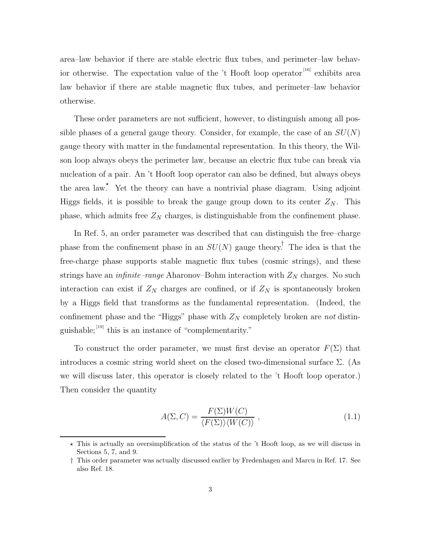area–law behavior if there are stable electric flux tubes, and perimeter–law behavior otherwise. The expectation value of the 't Hooft loop operator<sup>[16]</sup> exhibits area law behavior if there are stable magnetic flux tubes, and perimeter–law behavior otherwise.

These order parameters are not sufficient, however, to distinguish among all possible phases of a general gauge theory. Consider, for example, the case of an  $SU(N)$ gauge theory with matter in the fundamental representation. In this theory, the Wilson loop always obeys the perimeter law, because an electric flux tube can break via nucleation of a pair. An 't Hooft loop operator can also be defined, but always obeys the area law.<sup>\*</sup> Yet the theory can have a nontrivial phase diagram. Using adjoint Higgs fields, it is possible to break the gauge group down to its center  $Z_N$ . This phase, which admits free  $Z_N$  charges, is distinguishable from the confinement phase.

In Ref. 5, an order parameter was described that can distinguish the free–charge phase from the confinement phase in an  $SU(N)$  gauge theory.<sup>†</sup> The idea is that the free-charge phase supports stable magnetic flux tubes (cosmic strings), and these strings have an *infinite–range* Aharonov–Bohm interaction with  $Z_N$  charges. No such interaction can exist if  $Z_N$  charges are confined, or if  $Z_N$  is spontaneously broken by a Higgs field that transforms as the fundamental representation. (Indeed, the confinement phase and the "Higgs" phase with  $Z_N$  completely broken are not distinguishable;  $\left[19\right]$  this is an instance of "complementarity."

To construct the order parameter, we must first devise an operator  $F(\Sigma)$  that introduces a cosmic string world sheet on the closed two-dimensional surface  $\Sigma$ . (As we will discuss later, this operator is closely related to the 't Hooft loop operator.) Then consider the quantity

$$
A(\Sigma, C) = \frac{F(\Sigma)W(C)}{\langle F(\Sigma) \rangle \langle W(C) \rangle}, \qquad (1.1)
$$

 $\star$  This is actually an oversimplification of the status of the 't Hooft loop, as we will discuss in Sections 5, 7, and 9.

<sup>†</sup> This order parameter was actually discussed earlier by Fredenhagen and Marcu in Ref. 17. See also Ref. 18.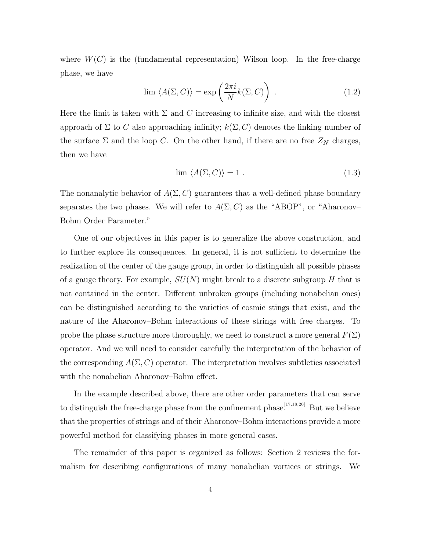where  $W(C)$  is the (fundamental representation) Wilson loop. In the free-charge phase, we have

$$
\lim \langle A(\Sigma, C) \rangle = \exp \left( \frac{2\pi i}{N} k(\Sigma, C) \right) . \tag{1.2}
$$

Here the limit is taken with  $\Sigma$  and C increasing to infinite size, and with the closest approach of  $\Sigma$  to C also approaching infinity;  $k(\Sigma, C)$  denotes the linking number of the surface  $\Sigma$  and the loop C. On the other hand, if there are no free  $Z_N$  charges, then we have

$$
\lim \langle A(\Sigma, C) \rangle = 1 \tag{1.3}
$$

The nonanalytic behavior of  $A(\Sigma, C)$  guarantees that a well-defined phase boundary separates the two phases. We will refer to  $A(\Sigma, C)$  as the "ABOP", or "Aharonov-Bohm Order Parameter."

One of our objectives in this paper is to generalize the above construction, and to further explore its consequences. In general, it is not sufficient to determine the realization of the center of the gauge group, in order to distinguish all possible phases of a gauge theory. For example,  $SU(N)$  might break to a discrete subgroup H that is not contained in the center. Different unbroken groups (including nonabelian ones) can be distinguished according to the varieties of cosmic stings that exist, and the nature of the Aharonov–Bohm interactions of these strings with free charges. To probe the phase structure more thoroughly, we need to construct a more general  $F(\Sigma)$ operator. And we will need to consider carefully the interpretation of the behavior of the corresponding  $A(\Sigma, C)$  operator. The interpretation involves subtleties associated with the nonabelian Aharonov–Bohm effect.

In the example described above, there are other order parameters that can serve to distinguish the free-charge phase from the confinement phase.<sup>[17,18,20]</sup> But we believe that the properties of strings and of their Aharonov–Bohm interactions provide a more powerful method for classifying phases in more general cases.

The remainder of this paper is organized as follows: Section 2 reviews the formalism for describing configurations of many nonabelian vortices or strings. We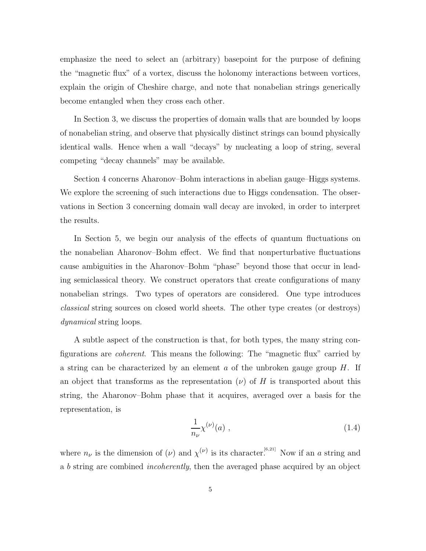emphasize the need to select an (arbitrary) basepoint for the purpose of defining the "magnetic flux" of a vortex, discuss the holonomy interactions between vortices, explain the origin of Cheshire charge, and note that nonabelian strings generically become entangled when they cross each other.

In Section 3, we discuss the properties of domain walls that are bounded by loops of nonabelian string, and observe that physically distinct strings can bound physically identical walls. Hence when a wall "decays" by nucleating a loop of string, several competing "decay channels" may be available.

Section 4 concerns Aharonov–Bohm interactions in abelian gauge–Higgs systems. We explore the screening of such interactions due to Higgs condensation. The observations in Section 3 concerning domain wall decay are invoked, in order to interpret the results.

In Section 5, we begin our analysis of the effects of quantum fluctuations on the nonabelian Aharonov–Bohm effect. We find that nonperturbative fluctuations cause ambiguities in the Aharonov–Bohm "phase" beyond those that occur in leading semiclassical theory. We construct operators that create configurations of many nonabelian strings. Two types of operators are considered. One type introduces classical string sources on closed world sheets. The other type creates (or destroys) dynamical string loops.

A subtle aspect of the construction is that, for both types, the many string configurations are coherent. This means the following: The "magnetic flux" carried by a string can be characterized by an element  $a$  of the unbroken gauge group  $H$ . If an object that transforms as the representation  $(\nu)$  of H is transported about this string, the Aharonov–Bohm phase that it acquires, averaged over a basis for the representation, is

$$
\frac{1}{n_{\nu}}\chi^{(\nu)}(a) \tag{1.4}
$$

where  $n_{\nu}$  is the dimension of  $(\nu)$  and  $\chi^{(\nu)}$  is its character.<sup>[6,21]</sup> Now if an a string and a b string are combined incoherently, then the averaged phase acquired by an object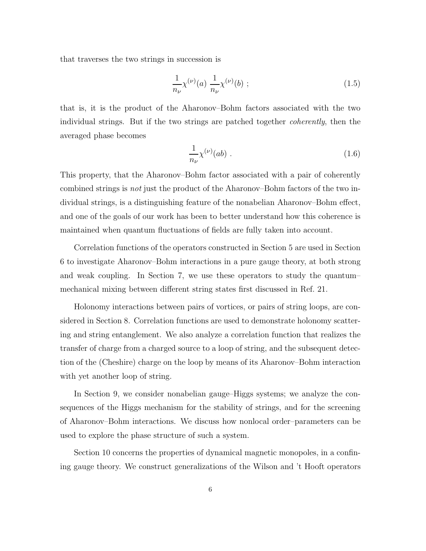that traverses the two strings in succession is

$$
\frac{1}{n_{\nu}}\chi^{(\nu)}(a)\frac{1}{n_{\nu}}\chi^{(\nu)}(b) ; \qquad (1.5)
$$

that is, it is the product of the Aharonov–Bohm factors associated with the two individual strings. But if the two strings are patched together coherently, then the averaged phase becomes

$$
\frac{1}{n_{\nu}}\chi^{(\nu)}(ab) \ . \tag{1.6}
$$

This property, that the Aharonov–Bohm factor associated with a pair of coherently combined strings is not just the product of the Aharonov–Bohm factors of the two individual strings, is a distinguishing feature of the nonabelian Aharonov–Bohm effect, and one of the goals of our work has been to better understand how this coherence is maintained when quantum fluctuations of fields are fully taken into account.

Correlation functions of the operators constructed in Section 5 are used in Section 6 to investigate Aharonov–Bohm interactions in a pure gauge theory, at both strong and weak coupling. In Section 7, we use these operators to study the quantum– mechanical mixing between different string states first discussed in Ref. 21.

Holonomy interactions between pairs of vortices, or pairs of string loops, are considered in Section 8. Correlation functions are used to demonstrate holonomy scattering and string entanglement. We also analyze a correlation function that realizes the transfer of charge from a charged source to a loop of string, and the subsequent detection of the (Cheshire) charge on the loop by means of its Aharonov–Bohm interaction with yet another loop of string.

In Section 9, we consider nonabelian gauge–Higgs systems; we analyze the consequences of the Higgs mechanism for the stability of strings, and for the screening of Aharonov–Bohm interactions. We discuss how nonlocal order–parameters can be used to explore the phase structure of such a system.

Section 10 concerns the properties of dynamical magnetic monopoles, in a confining gauge theory. We construct generalizations of the Wilson and 't Hooft operators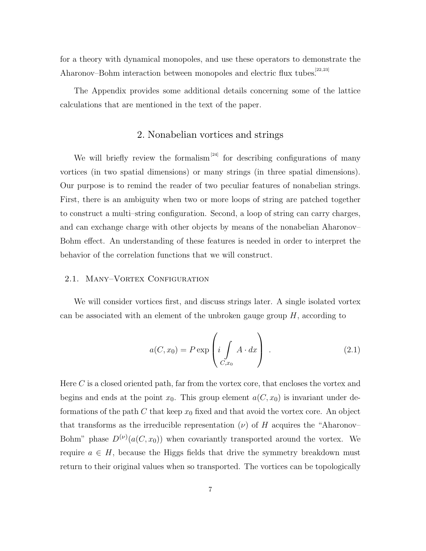for a theory with dynamical monopoles, and use these operators to demonstrate the Aharonov–Bohm interaction between monopoles and electric flux tubes.<sup>[22,23]</sup>

The Appendix provides some additional details concerning some of the lattice calculations that are mentioned in the text of the paper.

# 2. Nonabelian vortices and strings

We will briefly review the formalism<sup>[24]</sup> for describing configurations of many vortices (in two spatial dimensions) or many strings (in three spatial dimensions). Our purpose is to remind the reader of two peculiar features of nonabelian strings. First, there is an ambiguity when two or more loops of string are patched together to construct a multi–string configuration. Second, a loop of string can carry charges, and can exchange charge with other objects by means of the nonabelian Aharonov– Bohm effect. An understanding of these features is needed in order to interpret the behavior of the correlation functions that we will construct.

## 2.1. MANY-VORTEX CONFIGURATION

We will consider vortices first, and discuss strings later. A single isolated vortex can be associated with an element of the unbroken gauge group  $H$ , according to

$$
a(C, x_0) = P \exp\left(i \int\limits_{C, x_0} A \cdot dx\right).
$$
 (2.1)

Here  $C$  is a closed oriented path, far from the vortex core, that encloses the vortex and begins and ends at the point  $x_0$ . This group element  $a(C, x_0)$  is invariant under deformations of the path C that keep  $x_0$  fixed and that avoid the vortex core. An object that transforms as the irreducible representation  $(\nu)$  of H acquires the "Aharonov-Bohm" phase  $D^{(\nu)}(a(C, x_0))$  when covariantly transported around the vortex. We require  $a \in H$ , because the Higgs fields that drive the symmetry breakdown must return to their original values when so transported. The vortices can be topologically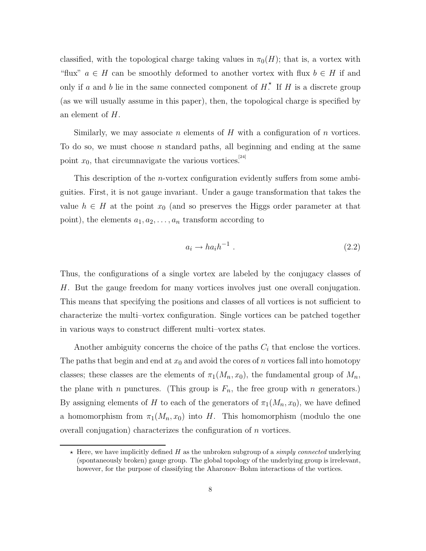classified, with the topological charge taking values in  $\pi_0(H)$ ; that is, a vortex with "flux"  $a \in H$  can be smoothly deformed to another vortex with flux  $b \in H$  if and only if a and b lie in the same connected component of  $H^*$ . If H is a discrete group (as we will usually assume in this paper), then, the topological charge is specified by an element of H.

Similarly, we may associate n elements of  $H$  with a configuration of n vortices. To do so, we must choose  $n$  standard paths, all beginning and ending at the same point  $x_0$ , that circumnavigate the various vortices.<sup>[24]</sup>

This description of the n-vortex configuration evidently suffers from some ambiguities. First, it is not gauge invariant. Under a gauge transformation that takes the value  $h \in H$  at the point  $x_0$  (and so preserves the Higgs order parameter at that point), the elements  $a_1, a_2, \ldots, a_n$  transform according to

$$
a_i \to h a_i h^{-1} \tag{2.2}
$$

Thus, the configurations of a single vortex are labeled by the conjugacy classes of H. But the gauge freedom for many vortices involves just one overall conjugation. This means that specifying the positions and classes of all vortices is not sufficient to characterize the multi–vortex configuration. Single vortices can be patched together in various ways to construct different multi–vortex states.

Another ambiguity concerns the choice of the paths  $C_i$  that enclose the vortices. The paths that begin and end at  $x_0$  and avoid the cores of n vortices fall into homotopy classes; these classes are the elements of  $\pi_1(M_n, x_0)$ , the fundamental group of  $M_n$ , the plane with n punctures. (This group is  $F_n$ , the free group with n generators.) By assigning elements of H to each of the generators of  $\pi_1(M_n, x_0)$ , we have defined a homomorphism from  $\pi_1(M_n, x_0)$  into H. This homomorphism (modulo the one overall conjugation) characterizes the configuration of n vortices.

 $\star$  Here, we have implicitly defined H as the unbroken subgroup of a *simply connected* underlying (spontaneously broken) gauge group. The global topology of the underlying group is irrelevant, however, for the purpose of classifying the Aharonov–Bohm interactions of the vortices.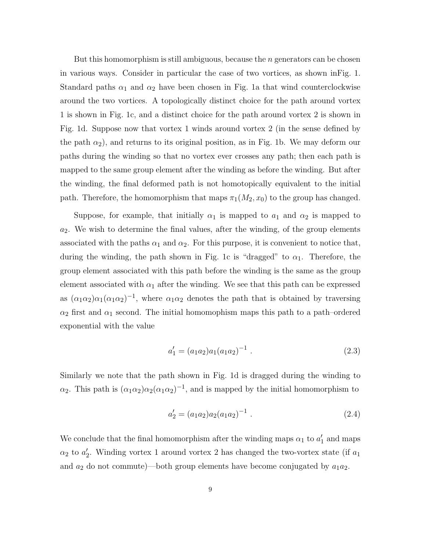But this homomorphism is still ambiguous, because the  $n$  generators can be chosen in various ways. Consider in particular the case of two vortices, as shown inFig. 1. Standard paths  $\alpha_1$  and  $\alpha_2$  have been chosen in Fig. 1a that wind counterclockwise around the two vortices. A topologically distinct choice for the path around vortex 1 is shown in Fig. 1c, and a distinct choice for the path around vortex 2 is shown in Fig. 1d. Suppose now that vortex 1 winds around vortex 2 (in the sense defined by the path  $\alpha_2$ ), and returns to its original position, as in Fig. 1b. We may deform our paths during the winding so that no vortex ever crosses any path; then each path is mapped to the same group element after the winding as before the winding. But after the winding, the final deformed path is not homotopically equivalent to the initial path. Therefore, the homomorphism that maps  $\pi_1(M_2, x_0)$  to the group has changed.

Suppose, for example, that initially  $\alpha_1$  is mapped to  $a_1$  and  $\alpha_2$  is mapped to  $a_2$ . We wish to determine the final values, after the winding, of the group elements associated with the paths  $\alpha_1$  and  $\alpha_2$ . For this purpose, it is convenient to notice that, during the winding, the path shown in Fig. 1c is "dragged" to  $\alpha_1$ . Therefore, the group element associated with this path before the winding is the same as the group element associated with  $\alpha_1$  after the winding. We see that this path can be expressed as  $(\alpha_1 \alpha_2) \alpha_1 (\alpha_1 \alpha_2)^{-1}$ , where  $\alpha_1 \alpha_2$  denotes the path that is obtained by traversing  $\alpha_2$  first and  $\alpha_1$  second. The initial homomophism maps this path to a path–ordered exponential with the value

$$
a'_1 = (a_1 a_2) a_1 (a_1 a_2)^{-1} . \t\t(2.3)
$$

Similarly we note that the path shown in Fig. 1d is dragged during the winding to  $\alpha_2$ . This path is  $(\alpha_1 \alpha_2) \alpha_2 (\alpha_1 \alpha_2)^{-1}$ , and is mapped by the initial homomorphism to

$$
a_2' = (a_1 a_2) a_2 (a_1 a_2)^{-1} . \tag{2.4}
$$

We conclude that the final homomorphism after the winding maps  $\alpha_1$  to  $a'_1$  and maps  $\alpha_2$  to  $a'_2$ . Winding vortex 1 around vortex 2 has changed the two-vortex state (if  $a_1$ ) and  $a_2$  do not commute)—both group elements have become conjugated by  $a_1a_2$ .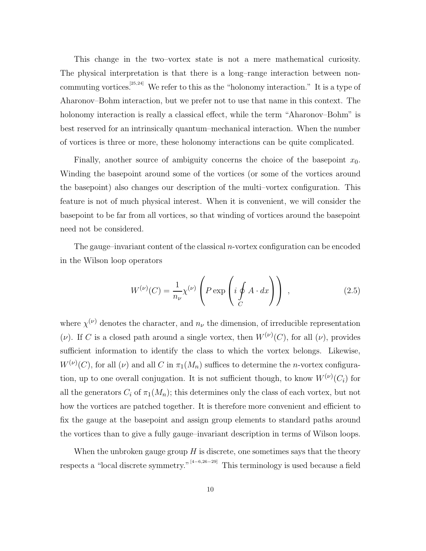This change in the two–vortex state is not a mere mathematical curiosity. The physical interpretation is that there is a long–range interaction between noncommuting vortices.<sup>[25,24]</sup> We refer to this as the "holonomy interaction." It is a type of Aharonov–Bohm interaction, but we prefer not to use that name in this context. The holonomy interaction is really a classical effect, while the term "Aharonov–Bohm" is best reserved for an intrinsically quantum–mechanical interaction. When the number of vortices is three or more, these holonomy interactions can be quite complicated.

Finally, another source of ambiguity concerns the choice of the basepoint  $x_0$ . Winding the basepoint around some of the vortices (or some of the vortices around the basepoint) also changes our description of the multi–vortex configuration. This feature is not of much physical interest. When it is convenient, we will consider the basepoint to be far from all vortices, so that winding of vortices around the basepoint need not be considered.

The gauge–invariant content of the classical n-vortex configuration can be encoded in the Wilson loop operators

$$
W^{(\nu)}(C) = \frac{1}{n_{\nu}} \chi^{(\nu)} \left( P \exp \left( i \oint_C A \cdot dx \right) \right) , \qquad (2.5)
$$

where  $\chi^{(\nu)}$  denotes the character, and  $n_{\nu}$  the dimension, of irreducible representation (*v*). If C is a closed path around a single vortex, then  $W^{(\nu)}(C)$ , for all (*v*), provides sufficient information to identify the class to which the vortex belongs. Likewise,  $W^{(\nu)}(C)$ , for all  $(\nu)$  and all C in  $\pi_1(M_n)$  suffices to determine the *n*-vortex configuration, up to one overall conjugation. It is not sufficient though, to know  $W^{(\nu)}(C_i)$  for all the generators  $C_i$  of  $\pi_1(M_n)$ ; this determines only the class of each vortex, but not how the vortices are patched together. It is therefore more convenient and efficient to fix the gauge at the basepoint and assign group elements to standard paths around the vortices than to give a fully gauge–invariant description in terms of Wilson loops.

When the unbroken gauge group  $H$  is discrete, one sometimes says that the theory respects a "local discrete symmetry."<sup>[4−6,26−29]</sup> This terminology is used because a field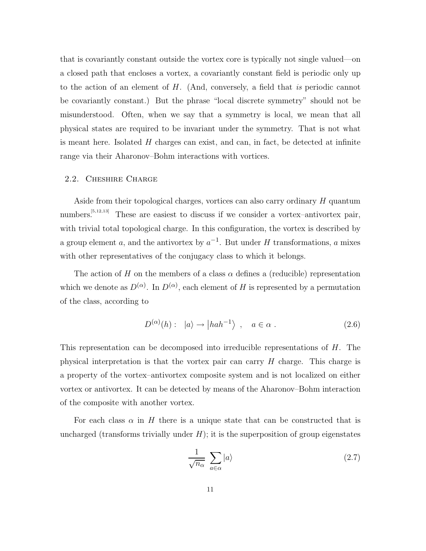that is covariantly constant outside the vortex core is typically not single valued—on a closed path that encloses a vortex, a covariantly constant field is periodic only up to the action of an element of H. (And, conversely, a field that is periodic cannot be covariantly constant.) But the phrase "local discrete symmetry" should not be misunderstood. Often, when we say that a symmetry is local, we mean that all physical states are required to be invariant under the symmetry. That is not what is meant here. Isolated  $H$  charges can exist, and can, in fact, be detected at infinite range via their Aharonov–Bohm interactions with vortices.

## 2.2. Cheshire Charge

Aside from their topological charges, vortices can also carry ordinary  $H$  quantum numbers.<sup>[5,12,13]</sup> These are easiest to discuss if we consider a vortex–antivortex pair, with trivial total topological charge. In this configuration, the vortex is described by a group element a, and the antivortex by  $a^{-1}$ . But under H transformations, a mixes with other representatives of the conjugacy class to which it belongs.

The action of H on the members of a class  $\alpha$  defines a (reducible) representation which we denote as  $D^{(\alpha)}$ . In  $D^{(\alpha)}$ , each element of H is represented by a permutation of the class, according to

$$
D^{(\alpha)}(h): |a\rangle \to |hah^{-1}\rangle \ , \quad a \in \alpha \ . \tag{2.6}
$$

This representation can be decomposed into irreducible representations of H. The physical interpretation is that the vortex pair can carry  $H$  charge. This charge is a property of the vortex–antivortex composite system and is not localized on either vortex or antivortex. It can be detected by means of the Aharonov–Bohm interaction of the composite with another vortex.

For each class  $\alpha$  in H there is a unique state that can be constructed that is uncharged (transforms trivially under  $H$ ); it is the superposition of group eigenstates

$$
\frac{1}{\sqrt{n_{\alpha}}} \sum_{a \in \alpha} |a\rangle \tag{2.7}
$$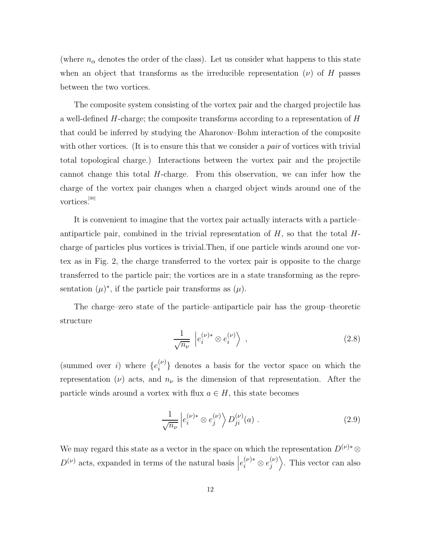(where  $n_{\alpha}$  denotes the order of the class). Let us consider what happens to this state when an object that transforms as the irreducible representation  $(\nu)$  of H passes between the two vortices.

The composite system consisting of the vortex pair and the charged projectile has a well-defined  $H$ -charge; the composite transforms according to a representation of  $H$ that could be inferred by studying the Aharonov–Bohm interaction of the composite with other vortices. (It is to ensure this that we consider a *pair* of vortices with trivial total topological charge.) Interactions between the vortex pair and the projectile cannot change this total H-charge. From this observation, we can infer how the charge of the vortex pair changes when a charged object winds around one of the vortices.  $\boldsymbol{^{[30]}}$ 

It is convenient to imagine that the vortex pair actually interacts with a particle– antiparticle pair, combined in the trivial representation of  $H$ , so that the total  $H$ charge of particles plus vortices is trivial.Then, if one particle winds around one vortex as in Fig. 2, the charge transferred to the vortex pair is opposite to the charge transferred to the particle pair; the vortices are in a state transforming as the representation  $(\mu)^*$ , if the particle pair transforms as  $(\mu)$ .

The charge–zero state of the particle–antiparticle pair has the group–theoretic structure

$$
\frac{1}{\sqrt{n_{\nu}}} \left| e_i^{(\nu)*} \otimes e_i^{(\nu)} \right\rangle , \qquad (2.8)
$$

(summed over *i*) where  $\{e_i^{(\nu)}\}$  $\binom{v}{i}$  denotes a basis for the vector space on which the representation ( $\nu$ ) acts, and  $n_{\nu}$  is the dimension of that representation. After the particle winds around a vortex with flux  $a \in H$ , this state becomes

$$
\frac{1}{\sqrt{n_{\nu}}} \left| e_i^{(\nu)*} \otimes e_j^{(\nu)} \right\rangle D_{ji}^{(\nu)}(a) . \tag{2.9}
$$

We may regard this state as a vector in the space on which the representation  $D^{(\nu)*}\otimes$  $D^{(\nu)}$  acts, expanded in terms of the natural basis |  $e^{(\nu)*}_i \otimes e^{(\nu)}_j$  $\binom{\nu}{j}$ . This vector can also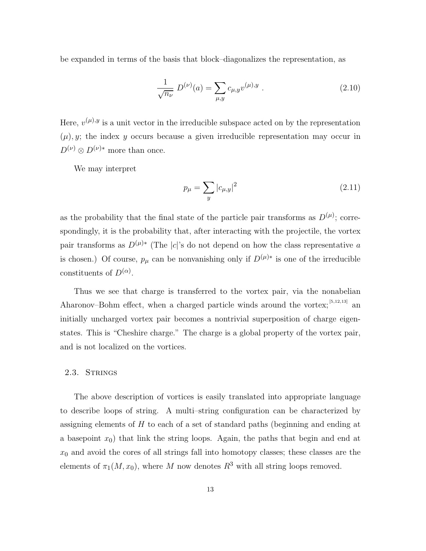be expanded in terms of the basis that block–diagonalizes the representation, as

$$
\frac{1}{\sqrt{n_{\nu}}} D^{(\nu)}(a) = \sum_{\mu, y} c_{\mu, y} v^{(\mu), y} . \qquad (2.10)
$$

Here,  $v^{(\mu),y}$  is a unit vector in the irreducible subspace acted on by the representation  $(\mu)$ , y; the index y occurs because a given irreducible representation may occur in  $D^{(\nu)} \otimes D^{(\nu)*}$  more than once.

We may interpret

$$
p_{\mu} = \sum_{y} |c_{\mu, y}|^2 \tag{2.11}
$$

as the probability that the final state of the particle pair transforms as  $D^{(\mu)}$ ; correspondingly, it is the probability that, after interacting with the projectile, the vortex pair transforms as  $D^{(\mu)*}$  (The |c|'s do not depend on how the class representative a is chosen.) Of course,  $p_{\mu}$  can be nonvanishing only if  $D^{(\mu)*}$  is one of the irreducible constituents of  $D^{(\alpha)}$ .

Thus we see that charge is transferred to the vortex pair, via the nonabelian Aharonov–Bohm effect, when a charged particle winds around the vortex;  $^{[5,12,13]}$  an initially uncharged vortex pair becomes a nontrivial superposition of charge eigenstates. This is "Cheshire charge." The charge is a global property of the vortex pair, and is not localized on the vortices.

# 2.3. STRINGS

The above description of vortices is easily translated into appropriate language to describe loops of string. A multi–string configuration can be characterized by assigning elements of H to each of a set of standard paths (beginning and ending at a basepoint  $x_0$ ) that link the string loops. Again, the paths that begin and end at  $x_0$  and avoid the cores of all strings fall into homotopy classes; these classes are the elements of  $\pi_1(M, x_0)$ , where M now denotes  $R^3$  with all string loops removed.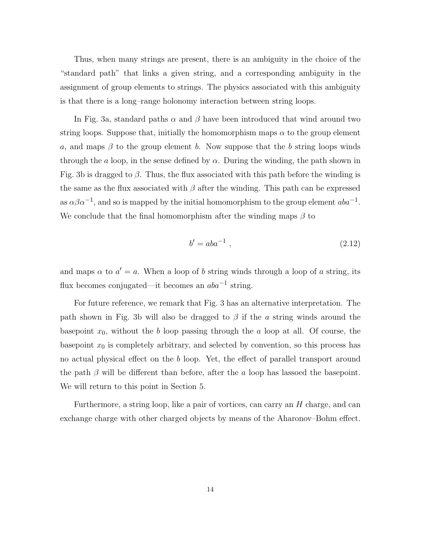Thus, when many strings are present, there is an ambiguity in the choice of the "standard path" that links a given string, and a corresponding ambiguity in the assignment of group elements to strings. The physics associated with this ambiguity is that there is a long–range holonomy interaction between string loops.

In Fig. 3a, standard paths  $\alpha$  and  $\beta$  have been introduced that wind around two string loops. Suppose that, initially the homomorphism maps  $\alpha$  to the group element a, and maps  $\beta$  to the group element b. Now suppose that the b string loops winds through the a loop, in the sense defined by  $\alpha$ . During the winding, the path shown in Fig. 3b is dragged to  $\beta$ . Thus, the flux associated with this path before the winding is the same as the flux associated with  $\beta$  after the winding. This path can be expressed as  $\alpha\beta\alpha^{-1}$ , and so is mapped by the initial homomorphism to the group element  $aba^{-1}$ . We conclude that the final homomorphism after the winding maps  $\beta$  to

$$
b' = aba^{-1} \t\t(2.12)
$$

and maps  $\alpha$  to  $a' = a$ . When a loop of b string winds through a loop of a string, its flux becomes conjugated—it becomes an  $aba^{-1}$  string.

For future reference, we remark that Fig. 3 has an alternative interpretation. The path shown in Fig. 3b will also be dragged to  $\beta$  if the a string winds around the basepoint  $x_0$ , without the b loop passing through the a loop at all. Of course, the basepoint  $x_0$  is completely arbitrary, and selected by convention, so this process has no actual physical effect on the b loop. Yet, the effect of parallel transport around the path  $\beta$  will be different than before, after the a loop has lassoed the basepoint. We will return to this point in Section 5.

Furthermore, a string loop, like a pair of vortices, can carry an  $H$  charge, and can exchange charge with other charged objects by means of the Aharonov–Bohm effect.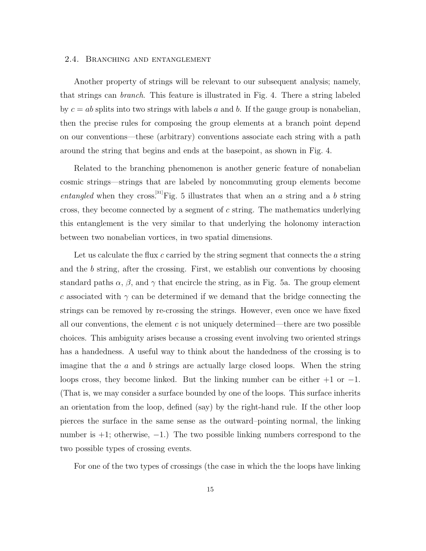#### 2.4. Branching and entanglement

Another property of strings will be relevant to our subsequent analysis; namely, that strings can branch. This feature is illustrated in Fig. 4. There a string labeled by  $c = ab$  splits into two strings with labels a and b. If the gauge group is nonabelian, then the precise rules for composing the group elements at a branch point depend on our conventions—these (arbitrary) conventions associate each string with a path around the string that begins and ends at the basepoint, as shown in Fig. 4.

Related to the branching phenomenon is another generic feature of nonabelian cosmic strings—strings that are labeled by noncommuting group elements become entangled when they cross.<sup>[31]</sup>Fig. 5 illustrates that when an a string and a b string cross, they become connected by a segment of c string. The mathematics underlying this entanglement is the very similar to that underlying the holonomy interaction between two nonabelian vortices, in two spatial dimensions.

Let us calculate the flux c carried by the string segment that connects the a string and the b string, after the crossing. First, we establish our conventions by choosing standard paths  $\alpha$ ,  $\beta$ , and  $\gamma$  that encircle the string, as in Fig. 5a. The group element c associated with  $\gamma$  can be determined if we demand that the bridge connecting the strings can be removed by re-crossing the strings. However, even once we have fixed all our conventions, the element  $c$  is not uniquely determined—there are two possible choices. This ambiguity arises because a crossing event involving two oriented strings has a handedness. A useful way to think about the handedness of the crossing is to imagine that the  $a$  and  $b$  strings are actually large closed loops. When the string loops cross, they become linked. But the linking number can be either  $+1$  or  $-1$ . (That is, we may consider a surface bounded by one of the loops. This surface inherits an orientation from the loop, defined (say) by the right-hand rule. If the other loop pierces the surface in the same sense as the outward–pointing normal, the linking number is  $+1$ ; otherwise,  $-1$ .) The two possible linking numbers correspond to the two possible types of crossing events.

For one of the two types of crossings (the case in which the the loops have linking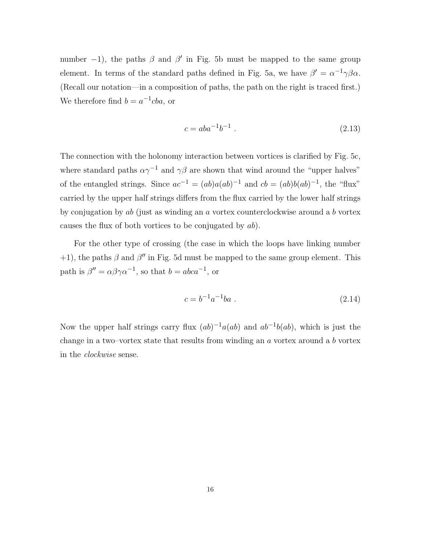number  $-1$ ), the paths  $\beta$  and  $\beta'$  in Fig. 5b must be mapped to the same group element. In terms of the standard paths defined in Fig. 5a, we have  $\beta' = \alpha^{-1}\gamma\beta\alpha$ . (Recall our notation—in a composition of paths, the path on the right is traced first.) We therefore find  $b = a^{-1}cba$ , or

$$
c = aba^{-1}b^{-1} . \t\t(2.13)
$$

The connection with the holonomy interaction between vortices is clarified by Fig. 5c, where standard paths  $\alpha \gamma^{-1}$  and  $\gamma \beta$  are shown that wind around the "upper halves" of the entangled strings. Since  $ac^{-1} = (ab)a(ab)^{-1}$  and  $cb = (ab)b(ab)^{-1}$ , the "flux" carried by the upper half strings differs from the flux carried by the lower half strings by conjugation by ab (just as winding an a vortex counterclockwise around a b vortex causes the flux of both vortices to be conjugated by ab).

For the other type of crossing (the case in which the loops have linking number +1), the paths  $\beta$  and  $\beta''$  in Fig. 5d must be mapped to the same group element. This path is  $\beta'' = \alpha \beta \gamma \alpha^{-1}$ , so that  $b = abca^{-1}$ , or

$$
c = b^{-1}a^{-1}ba
$$
 (2.14)

Now the upper half strings carry flux  $(ab)^{-1}a(ab)$  and  $ab^{-1}b(ab)$ , which is just the change in a two–vortex state that results from winding an a vortex around a b vortex in the clockwise sense.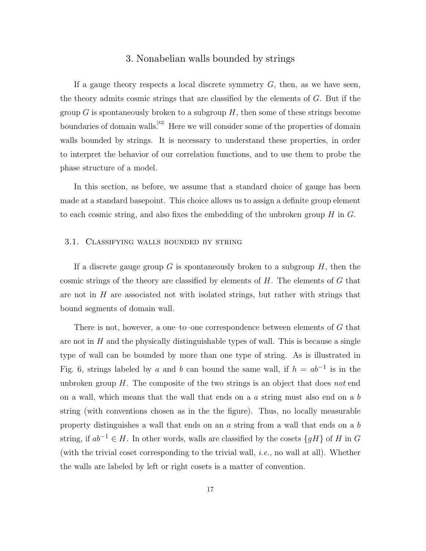# 3. Nonabelian walls bounded by strings

If a gauge theory respects a local discrete symmetry  $G$ , then, as we have seen, the theory admits cosmic strings that are classified by the elements of  $G$ . But if the group  $G$  is spontaneously broken to a subgroup  $H$ , then some of these strings become boundaries of domain walls.<sup>[32]</sup> Here we will consider some of the properties of domain walls bounded by strings. It is necessary to understand these properties, in order to interpret the behavior of our correlation functions, and to use them to probe the phase structure of a model.

In this section, as before, we assume that a standard choice of gauge has been made at a standard basepoint. This choice allows us to assign a definite group element to each cosmic string, and also fixes the embedding of the unbroken group  $H$  in  $G$ .

#### 3.1. Classifying walls bounded by string

If a discrete gauge group  $G$  is spontaneously broken to a subgroup  $H$ , then the cosmic strings of the theory are classified by elements of  $H$ . The elements of  $G$  that are not in  $H$  are associated not with isolated strings, but rather with strings that bound segments of domain wall.

There is not, however, a one–to–one correspondence between elements of G that are not in  $H$  and the physically distinguishable types of wall. This is because a single type of wall can be bounded by more than one type of string. As is illustrated in Fig. 6, strings labeled by a and b can bound the same wall, if  $h = ab^{-1}$  is in the unbroken group  $H$ . The composite of the two strings is an object that does not end on a wall, which means that the wall that ends on a a string must also end on a b string (with conventions chosen as in the the figure). Thus, no locally measurable property distinguishes a wall that ends on an a string from a wall that ends on a b string, if  $ab^{-1} \in H$ . In other words, walls are classified by the cosets  $\{gH\}$  of H in G (with the trivial coset corresponding to the trivial wall, *i.e.*, no wall at all). Whether the walls are labeled by left or right cosets is a matter of convention.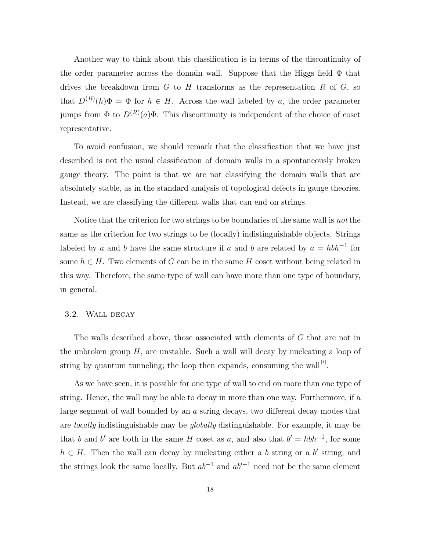Another way to think about this classification is in terms of the discontinuity of the order parameter across the domain wall. Suppose that the Higgs field  $\Phi$  that drives the breakdown from  $G$  to  $H$  transforms as the representation  $R$  of  $G$ , so that  $D^{(R)}(h)\Phi = \Phi$  for  $h \in H$ . Across the wall labeled by a, the order parameter jumps from  $\Phi$  to  $D^{(R)}(a)\Phi$ . This discontinuity is independent of the choice of coset representative.

To avoid confusion, we should remark that the classification that we have just described is not the usual classification of domain walls in a spontaneously broken gauge theory. The point is that we are not classifying the domain walls that are absolutely stable, as in the standard analysis of topological defects in gauge theories. Instead, we are classifying the different walls that can end on strings.

Notice that the criterion for two strings to be boundaries of the same wall is *not* the same as the criterion for two strings to be (locally) indistinguishable objects. Strings labeled by a and b have the same structure if a and b are related by  $a = h b h^{-1}$  for some  $h \in H$ . Two elements of G can be in the same H coset without being related in this way. Therefore, the same type of wall can have more than one type of boundary, in general.

### 3.2. Wall decay

The walls described above, those associated with elements of G that are not in the unbroken group  $H$ , are unstable. Such a wall will decay by nucleating a loop of string by quantum tunneling; the loop then expands, consuming the wall<sup>[1]</sup>.

As we have seen, it is possible for one type of wall to end on more than one type of string. Hence, the wall may be able to decay in more than one way. Furthermore, if a large segment of wall bounded by an a string decays, two different decay modes that are locally indistinguishable may be globally distinguishable. For example, it may be that b and b' are both in the same H coset as a, and also that  $b' = h b h^{-1}$ , for some  $h \in H$ . Then the wall can decay by nucleating either a b string or a b' string, and the strings look the same locally. But  $ab^{-1}$  and  $ab'^{-1}$  need not be the same element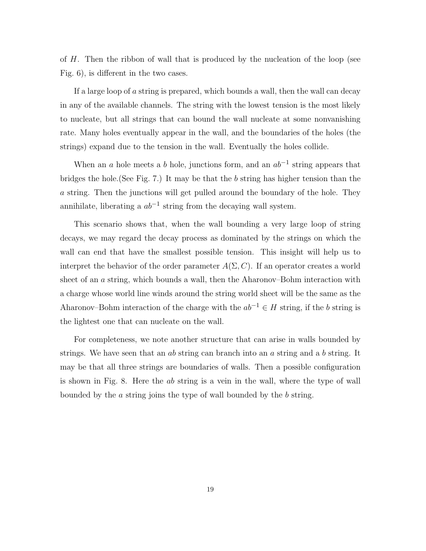of H. Then the ribbon of wall that is produced by the nucleation of the loop (see Fig. 6), is different in the two cases.

If a large loop of a string is prepared, which bounds a wall, then the wall can decay in any of the available channels. The string with the lowest tension is the most likely to nucleate, but all strings that can bound the wall nucleate at some nonvanishing rate. Many holes eventually appear in the wall, and the boundaries of the holes (the strings) expand due to the tension in the wall. Eventually the holes collide.

When an a hole meets a b hole, junctions form, and an  $ab^{-1}$  string appears that bridges the hole.(See Fig. 7.) It may be that the b string has higher tension than the a string. Then the junctions will get pulled around the boundary of the hole. They annihilate, liberating a  $ab^{-1}$  string from the decaying wall system.

This scenario shows that, when the wall bounding a very large loop of string decays, we may regard the decay process as dominated by the strings on which the wall can end that have the smallest possible tension. This insight will help us to interpret the behavior of the order parameter  $A(\Sigma, C)$ . If an operator creates a world sheet of an a string, which bounds a wall, then the Aharonov–Bohm interaction with a charge whose world line winds around the string world sheet will be the same as the Aharonov–Bohm interaction of the charge with the  $ab^{-1} \in H$  string, if the b string is the lightest one that can nucleate on the wall.

For completeness, we note another structure that can arise in walls bounded by strings. We have seen that an ab string can branch into an a string and a b string. It may be that all three strings are boundaries of walls. Then a possible configuration is shown in Fig. 8. Here the ab string is a vein in the wall, where the type of wall bounded by the a string joins the type of wall bounded by the b string.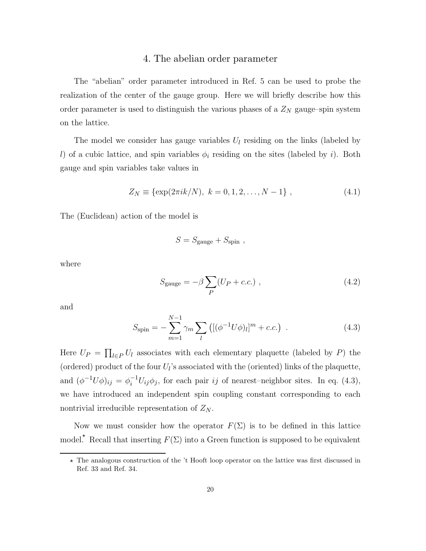# 4. The abelian order parameter

The "abelian" order parameter introduced in Ref. 5 can be used to probe the realization of the center of the gauge group. Here we will briefly describe how this order parameter is used to distinguish the various phases of a  $Z_N$  gauge–spin system on the lattice.

The model we consider has gauge variables  $U_l$  residing on the links (labeled by l) of a cubic lattice, and spin variables  $\phi_i$  residing on the sites (labeled by i). Both gauge and spin variables take values in

$$
Z_N \equiv \{ \exp(2\pi i k/N), \ k = 0, 1, 2, \dots, N - 1 \}, \tag{4.1}
$$

The (Euclidean) action of the model is

$$
S = S_{\text{gauge}} + S_{\text{spin}} ,
$$

where

$$
S_{\text{gauge}} = -\beta \sum_{P} (U_P + c.c.) \tag{4.2}
$$

and

$$
S_{\rm spin} = -\sum_{m=1}^{N-1} \gamma_m \sum_{l} \left( [(\phi^{-1} U \phi)_l]^m + c.c. \right) \tag{4.3}
$$

Here  $U_P = \prod_{l \in P} U_l$  associates with each elementary plaquette (labeled by P) the (ordered) product of the four  $U_l$ 's associated with the (oriented) links of the plaquette, and  $(\phi^{-1}U\phi)_{ij} = \phi_i^{-1}U_{ij}\phi_j$ , for each pair *ij* of nearest–neighbor sites. In eq. (4.3), we have introduced an independent spin coupling constant corresponding to each nontrivial irreducible representation of  $Z_N$ .

Now we must consider how the operator  $F(\Sigma)$  is to be defined in this lattice model.<sup>\*</sup> Recall that inserting  $F(\Sigma)$  into a Green function is supposed to be equivalent

 $\star$  The analogous construction of the 't Hooft loop operator on the lattice was first discussed in Ref. 33 and Ref. 34.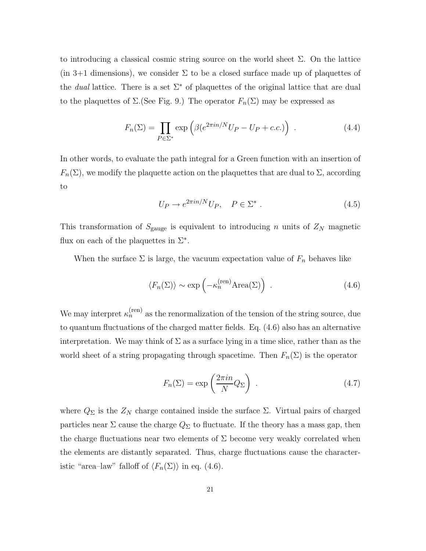to introducing a classical cosmic string source on the world sheet  $\Sigma$ . On the lattice (in 3+1 dimensions), we consider  $\Sigma$  to be a closed surface made up of plaquettes of the *dual* lattice. There is a set  $\Sigma^*$  of plaquettes of the original lattice that are dual to the plaquettes of  $\Sigma$ . (See Fig. 9.) The operator  $F_n(\Sigma)$  may be expressed as

$$
F_n(\Sigma) = \prod_{P \in \Sigma^*} \exp\left(\beta(e^{2\pi i n/N}U_P - U_P + c.c.)\right) \tag{4.4}
$$

In other words, to evaluate the path integral for a Green function with an insertion of  $F_n(\Sigma)$ , we modify the plaquette action on the plaquettes that are dual to  $\Sigma$ , according to

$$
U_P \to e^{2\pi i n/N} U_P, \quad P \in \Sigma^* \ . \tag{4.5}
$$

This transformation of  $S_{\text{gauge}}$  is equivalent to introducing n units of  $Z_N$  magnetic flux on each of the plaquettes in  $\Sigma^*$ .

When the surface  $\Sigma$  is large, the vacuum expectation value of  $F_n$  behaves like

$$
\langle F_n(\Sigma) \rangle \sim \exp\left(-\kappa_n^{\text{(ren)}} \text{Area}(\Sigma)\right)
$$
. (4.6)

We may interpret  $\kappa_n^{(ren)}$  as the renormalization of the tension of the string source, due to quantum fluctuations of the charged matter fields. Eq. (4.6) also has an alternative interpretation. We may think of  $\Sigma$  as a surface lying in a time slice, rather than as the world sheet of a string propagating through spacetime. Then  $F_n(\Sigma)$  is the operator

$$
F_n(\Sigma) = \exp\left(\frac{2\pi i n}{N} Q_{\Sigma}\right) . \tag{4.7}
$$

where  $Q_{\Sigma}$  is the  $Z_N$  charge contained inside the surface  $\Sigma$ . Virtual pairs of charged particles near  $\Sigma$  cause the charge  $Q_{\Sigma}$  to fluctuate. If the theory has a mass gap, then the charge fluctuations near two elements of  $\Sigma$  become very weakly correlated when the elements are distantly separated. Thus, charge fluctuations cause the characteristic "area–law" falloff of  $\langle F_n(\Sigma) \rangle$  in eq. (4.6).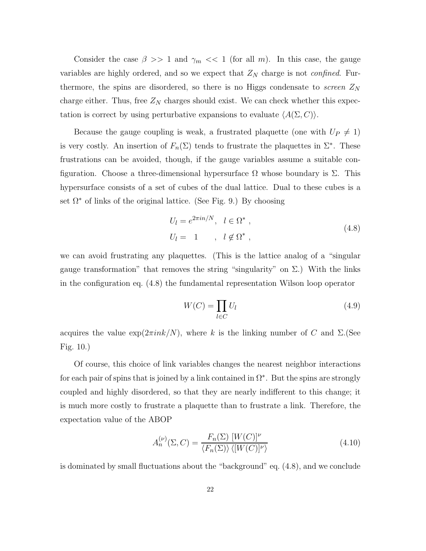Consider the case  $\beta >> 1$  and  $\gamma_m << 1$  (for all m). In this case, the gauge variables are highly ordered, and so we expect that  $Z_N$  charge is not *confined*. Furthermore, the spins are disordered, so there is no Higgs condensate to *screen*  $Z_N$ charge either. Thus, free  $Z_N$  charges should exist. We can check whether this expectation is correct by using perturbative expansions to evaluate  $\langle A(\Sigma, C) \rangle$ .

Because the gauge coupling is weak, a frustrated plaquette (one with  $U_P \neq 1$ ) is very costly. An insertion of  $F_n(\Sigma)$  tends to frustrate the plaquettes in  $\Sigma^*$ . These frustrations can be avoided, though, if the gauge variables assume a suitable configuration. Choose a three-dimensional hypersurface  $\Omega$  whose boundary is  $\Sigma$ . This hypersurface consists of a set of cubes of the dual lattice. Dual to these cubes is a set  $\Omega^*$  of links of the original lattice. (See Fig. 9.) By choosing

$$
U_l = e^{2\pi i n/N}, \quad l \in \Omega^*,
$$
  
\n
$$
U_l = 1, \quad l \notin \Omega^*,
$$
\n(4.8)

we can avoid frustrating any plaquettes. (This is the lattice analog of a "singular gauge transformation" that removes the string "singularity" on  $\Sigma$ .) With the links in the configuration eq. (4.8) the fundamental representation Wilson loop operator

$$
W(C) = \prod_{l \in C} U_l \tag{4.9}
$$

acquires the value  $\exp(2\pi i n k/N)$ , where k is the linking number of C and  $\Sigma$ . (See Fig. 10.)

Of course, this choice of link variables changes the nearest neighbor interactions for each pair of spins that is joined by a link contained in  $\Omega^*$ . But the spins are strongly coupled and highly disordered, so that they are nearly indifferent to this change; it is much more costly to frustrate a plaquette than to frustrate a link. Therefore, the expectation value of the ABOP

$$
A_n^{(\nu)}(\Sigma, C) = \frac{F_n(\Sigma) [W(C)]^{\nu}}{\langle F_n(\Sigma) \rangle \langle [W(C)]^{\nu} \rangle}
$$
(4.10)

is dominated by small fluctuations about the "background" eq. (4.8), and we conclude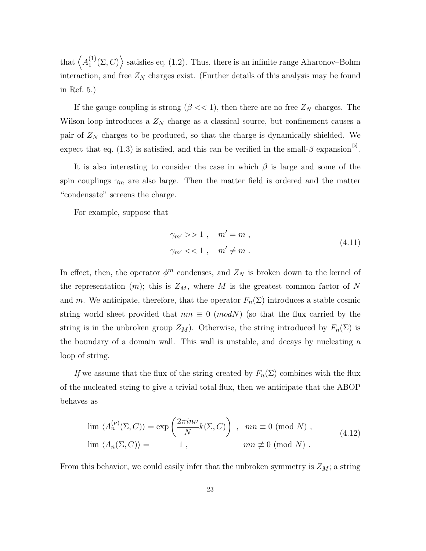that  $\langle A_1^{(1)} \rangle$  $\binom{11}{1}(\Sigma, C)$  satisfies eq. (1.2). Thus, there is an infinite range Aharonov–Bohm interaction, and free  $Z_N$  charges exist. (Further details of this analysis may be found in Ref. 5.)

If the gauge coupling is strong ( $\beta \ll 1$ ), then there are no free  $Z_N$  charges. The Wilson loop introduces a  $Z_N$  charge as a classical source, but confinement causes a pair of  $Z_N$  charges to be produced, so that the charge is dynamically shielded. We expect that eq. (1.3) is satisfied, and this can be verified in the small- $\beta$  expansion<sup>[5]</sup>.

It is also interesting to consider the case in which  $\beta$  is large and some of the spin couplings  $\gamma_m$  are also large. Then the matter field is ordered and the matter "condensate" screens the charge.

For example, suppose that

$$
\gamma_{m'} >> 1 , \quad m' = m ,
$$
  

$$
\gamma_{m'} << 1 , \quad m' \neq m .
$$
 (4.11)

In effect, then, the operator  $\phi^m$  condenses, and  $Z_N$  is broken down to the kernel of the representation  $(m)$ ; this is  $Z_M$ , where M is the greatest common factor of N and m. We anticipate, therefore, that the operator  $F_n(\Sigma)$  introduces a stable cosmic string world sheet provided that  $nm \equiv 0 \pmod{N}$  (so that the flux carried by the string is in the unbroken group  $Z_M$ ). Otherwise, the string introduced by  $F_n(\Sigma)$  is the boundary of a domain wall. This wall is unstable, and decays by nucleating a loop of string.

If we assume that the flux of the string created by  $F_n(\Sigma)$  combines with the flux of the nucleated string to give a trivial total flux, then we anticipate that the ABOP behaves as

$$
\lim \langle A_n^{(\nu)}(\Sigma, C) \rangle = \exp \left( \frac{2\pi i n\nu}{N} k(\Sigma, C) \right) , \quad mn \equiv 0 \pmod{N} ,
$$
  

$$
\lim \langle A_n(\Sigma, C) \rangle = 1 , \qquad mn \not\equiv 0 \pmod{N} .
$$
 (4.12)

From this behavior, we could easily infer that the unbroken symmetry is  $Z_M$ ; a string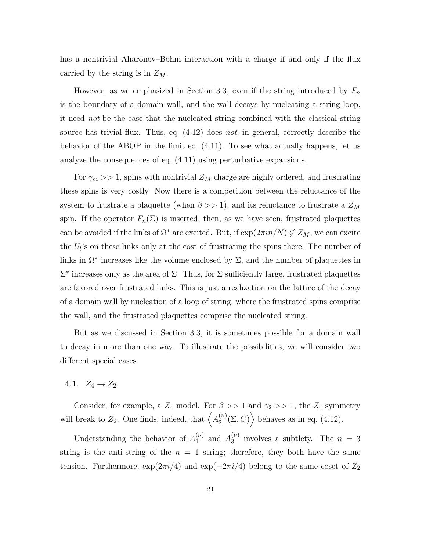has a nontrivial Aharonov–Bohm interaction with a charge if and only if the flux carried by the string is in  $Z_M$ .

However, as we emphasized in Section 3.3, even if the string introduced by  $F_n$ is the boundary of a domain wall, and the wall decays by nucleating a string loop, it need not be the case that the nucleated string combined with the classical string source has trivial flux. Thus, eq.  $(4.12)$  does not, in general, correctly describe the behavior of the ABOP in the limit eq. (4.11). To see what actually happens, let us analyze the consequences of eq. (4.11) using perturbative expansions.

For  $\gamma_m >> 1$ , spins with nontrivial  $Z_M$  charge are highly ordered, and frustrating these spins is very costly. Now there is a competition between the reluctance of the system to frustrate a plaquette (when  $\beta >> 1$ ), and its reluctance to frustrate a  $Z_M$ spin. If the operator  $F_n(\Sigma)$  is inserted, then, as we have seen, frustrated plaquettes can be avoided if the links of  $\Omega^*$  are excited. But, if  $\exp(2\pi i n/N) \notin Z_M$ , we can excite the  $U_l$ 's on these links only at the cost of frustrating the spins there. The number of links in  $\Omega^*$  increases like the volume enclosed by  $\Sigma$ , and the number of plaquettes in  $\Sigma^*$  increases only as the area of  $\Sigma$ . Thus, for  $\Sigma$  sufficiently large, frustrated plaquettes are favored over frustrated links. This is just a realization on the lattice of the decay of a domain wall by nucleation of a loop of string, where the frustrated spins comprise the wall, and the frustrated plaquettes comprise the nucleated string.

But as we discussed in Section 3.3, it is sometimes possible for a domain wall to decay in more than one way. To illustrate the possibilities, we will consider two different special cases.

4.1.  $Z_4 \to Z_2$ 

Consider, for example, a  $Z_4$  model. For  $\beta >> 1$  and  $\gamma_2 >> 1$ , the  $Z_4$  symmetry will break to  $Z_2$ . One finds, indeed, that  $\langle A_2^{(\nu)} \rangle$  $\binom{\nu}{2}(\Sigma, C)$  behaves as in eq. (4.12).

Understanding the behavior of  $A_1^{(\nu)}$  $_1^{(\nu)}$  and  $A_3^{(\nu)}$  $j_3^{(\nu)}$  involves a subtlety. The  $n = 3$ string is the anti-string of the  $n = 1$  string; therefore, they both have the same tension. Furthermore,  $\exp(2\pi i/4)$  and  $\exp(-2\pi i/4)$  belong to the same coset of  $Z_2$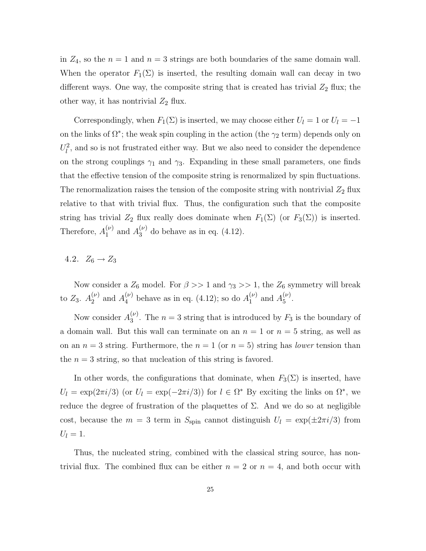in  $Z_4$ , so the  $n = 1$  and  $n = 3$  strings are both boundaries of the same domain wall. When the operator  $F_1(\Sigma)$  is inserted, the resulting domain wall can decay in two different ways. One way, the composite string that is created has trivial  $Z_2$  flux; the other way, it has nontrivial  $Z_2$  flux.

Correspondingly, when  $F_1(\Sigma)$  is inserted, we may choose either  $U_l = 1$  or  $U_l = -1$ on the links of  $\Omega^*$ ; the weak spin coupling in the action (the  $\gamma_2$  term) depends only on  $U_l^2$  $\mu_l^2$ , and so is not frustrated either way. But we also need to consider the dependence on the strong couplings  $\gamma_1$  and  $\gamma_3$ . Expanding in these small parameters, one finds that the effective tension of the composite string is renormalized by spin fluctuations. The renormalization raises the tension of the composite string with nontrivial  $Z_2$  flux relative to that with trivial flux. Thus, the configuration such that the composite string has trivial  $Z_2$  flux really does dominate when  $F_1(\Sigma)$  (or  $F_3(\Sigma)$ ) is inserted. Therefore,  $A_1^{(\nu)}$  $_1^{(\nu)}$  and  $A_3^{(\nu)}$  $_3^{(b)}$  do behave as in eq. (4.12).

4.2.  $Z_6 \to Z_3$ 

Now consider a  $Z_6$  model. For  $\beta >> 1$  and  $\gamma_3 >> 1$ , the  $Z_6$  symmetry will break to  $Z_3$ .  $A_2^{(\nu)}$  $_2^{(\nu)}$  and  $A_4^{(\nu)}$  $_4^{(\nu)}$  behave as in eq. (4.12); so do  $A_1^{(\nu)}$  $_1^{(\nu)}$  and  $A_5^{(\nu)}$  $\binom{\nu}{5}$ .

Now consider  $A_3^{(\nu)}$  $_3^{(b)}$ . The  $n=3$  string that is introduced by  $F_3$  is the boundary of a domain wall. But this wall can terminate on an  $n = 1$  or  $n = 5$  string, as well as on an  $n = 3$  string. Furthermore, the  $n = 1$  (or  $n = 5$ ) string has *lower* tension than the  $n = 3$  string, so that nucleation of this string is favored.

In other words, the configurations that dominate, when  $F_3(\Sigma)$  is inserted, have  $U_l = \exp(2\pi i/3)$  (or  $U_l = \exp(-2\pi i/3)$ ) for  $l \in \Omega^*$  By exciting the links on  $\Omega^*$ , we reduce the degree of frustration of the plaquettes of  $\Sigma$ . And we do so at negligible cost, because the  $m = 3$  term in  $S_{spin}$  cannot distinguish  $U_l = \exp(\pm 2\pi i/3)$  from  $U_l = 1.$ 

Thus, the nucleated string, combined with the classical string source, has nontrivial flux. The combined flux can be either  $n = 2$  or  $n = 4$ , and both occur with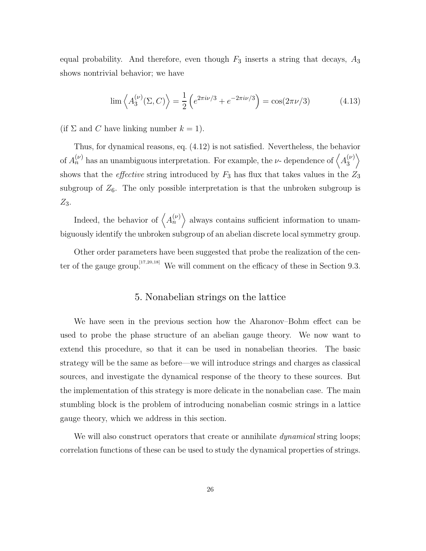equal probability. And therefore, even though  $F_3$  inserts a string that decays,  $A_3$ shows nontrivial behavior; we have

$$
\lim \left\langle A_3^{(\nu)}(\Sigma, C) \right\rangle = \frac{1}{2} \left( e^{2\pi i \nu/3} + e^{-2\pi i \nu/3} \right) = \cos(2\pi \nu/3) \tag{4.13}
$$

(if  $\Sigma$  and C have linking number  $k = 1$ ).

Thus, for dynamical reasons, eq. (4.12) is not satisfied. Nevertheless, the behavior of  $A_n^{(\nu)}$  has an unambiguous interpretation. For example, the  $\nu$ - dependence of  $\left\langle A_3^{(\nu)}\right\rangle$  $\begin{pmatrix} \nu \ 3 \end{pmatrix}$ shows that the *effective* string introduced by  $F_3$  has flux that takes values in the  $Z_3$ subgroup of  $Z_6$ . The only possible interpretation is that the unbroken subgroup is  $Z_3$ .

Indeed, the behavior of  $\langle A_n^{(\nu)} \rangle$  ${n \choose n}$  always contains sufficient information to unambiguously identify the unbroken subgroup of an abelian discrete local symmetry group.

Other order parameters have been suggested that probe the realization of the center of the gauge group.<sup>[17,20,18]</sup> We will comment on the efficacy of these in Section 9.3.

# 5. Nonabelian strings on the lattice

We have seen in the previous section how the Aharonov–Bohm effect can be used to probe the phase structure of an abelian gauge theory. We now want to extend this procedure, so that it can be used in nonabelian theories. The basic strategy will be the same as before—we will introduce strings and charges as classical sources, and investigate the dynamical response of the theory to these sources. But the implementation of this strategy is more delicate in the nonabelian case. The main stumbling block is the problem of introducing nonabelian cosmic strings in a lattice gauge theory, which we address in this section.

We will also construct operators that create or annihilate *dynamical* string loops; correlation functions of these can be used to study the dynamical properties of strings.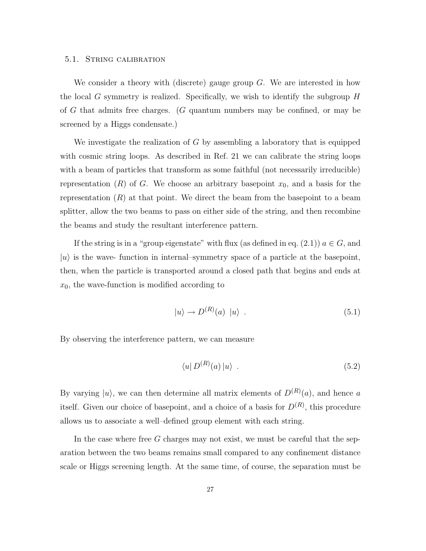### 5.1. String calibration

We consider a theory with (discrete) gauge group  $G$ . We are interested in how the local G symmetry is realized. Specifically, we wish to identify the subgroup  $H$ of G that admits free charges. (G quantum numbers may be confined, or may be screened by a Higgs condensate.)

We investigate the realization of  $G$  by assembling a laboratory that is equipped with cosmic string loops. As described in Ref. 21 we can calibrate the string loops with a beam of particles that transform as some faithful (not necessarily irreducible) representation  $(R)$  of  $G$ . We choose an arbitrary basepoint  $x_0$ , and a basis for the representation  $(R)$  at that point. We direct the beam from the basepoint to a beam splitter, allow the two beams to pass on either side of the string, and then recombine the beams and study the resultant interference pattern.

If the string is in a "group eigenstate" with flux (as defined in eq.  $(2.1)$ )  $a \in G$ , and  $|u\rangle$  is the wave- function in internal–symmetry space of a particle at the basepoint, then, when the particle is transported around a closed path that begins and ends at  $x_0$ , the wave-function is modified according to

$$
|u\rangle \to D^{(R)}(a) |u\rangle . \tag{5.1}
$$

By observing the interference pattern, we can measure

$$
\langle u| D^{(R)}(a) |u\rangle . \tag{5.2}
$$

By varying  $|u\rangle$ , we can then determine all matrix elements of  $D^{(R)}(a)$ , and hence a itself. Given our choice of basepoint, and a choice of a basis for  $D^{(R)}$ , this procedure allows us to associate a well–defined group element with each string.

In the case where free G charges may not exist, we must be careful that the separation between the two beams remains small compared to any confinement distance scale or Higgs screening length. At the same time, of course, the separation must be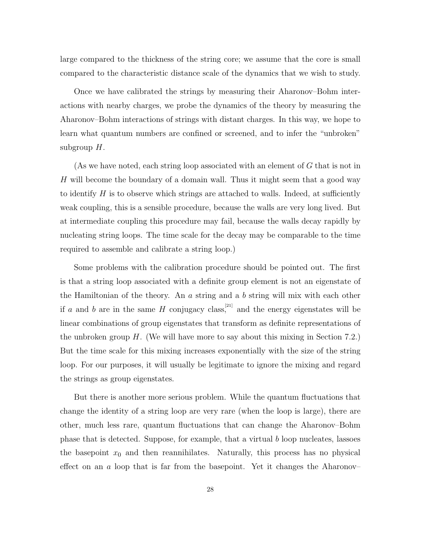large compared to the thickness of the string core; we assume that the core is small compared to the characteristic distance scale of the dynamics that we wish to study.

Once we have calibrated the strings by measuring their Aharonov–Bohm interactions with nearby charges, we probe the dynamics of the theory by measuring the Aharonov–Bohm interactions of strings with distant charges. In this way, we hope to learn what quantum numbers are confined or screened, and to infer the "unbroken" subgroup  $H$ .

(As we have noted, each string loop associated with an element of G that is not in H will become the boundary of a domain wall. Thus it might seem that a good way to identify  $H$  is to observe which strings are attached to walls. Indeed, at sufficiently weak coupling, this is a sensible procedure, because the walls are very long lived. But at intermediate coupling this procedure may fail, because the walls decay rapidly by nucleating string loops. The time scale for the decay may be comparable to the time required to assemble and calibrate a string loop.)

Some problems with the calibration procedure should be pointed out. The first is that a string loop associated with a definite group element is not an eigenstate of the Hamiltonian of the theory. An a string and a b string will mix with each other if a and b are in the same H conjugacy class,<sup>[21]</sup> and the energy eigenstates will be linear combinations of group eigenstates that transform as definite representations of the unbroken group  $H$ . (We will have more to say about this mixing in Section 7.2.) But the time scale for this mixing increases exponentially with the size of the string loop. For our purposes, it will usually be legitimate to ignore the mixing and regard the strings as group eigenstates.

But there is another more serious problem. While the quantum fluctuations that change the identity of a string loop are very rare (when the loop is large), there are other, much less rare, quantum fluctuations that can change the Aharonov–Bohm phase that is detected. Suppose, for example, that a virtual  $b$  loop nucleates, lassoes the basepoint  $x_0$  and then reannihilates. Naturally, this process has no physical effect on an a loop that is far from the basepoint. Yet it changes the Aharonov–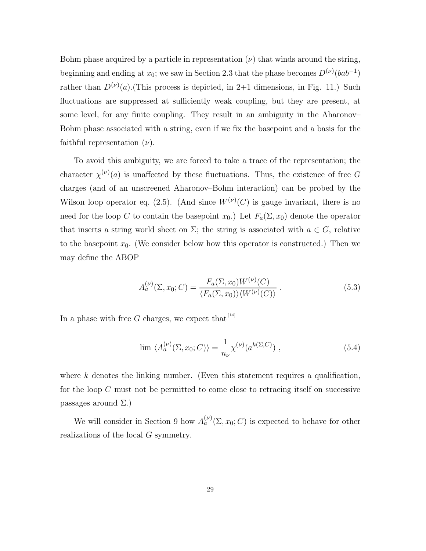Bohm phase acquired by a particle in representation  $(\nu)$  that winds around the string, beginning and ending at  $x_0$ ; we saw in Section 2.3 that the phase becomes  $D^{(\nu)}(bab^{-1})$ rather than  $D^{(\nu)}(a)$ .(This process is depicted, in 2+1 dimensions, in Fig. 11.) Such fluctuations are suppressed at sufficiently weak coupling, but they are present, at some level, for any finite coupling. They result in an ambiguity in the Aharonov– Bohm phase associated with a string, even if we fix the basepoint and a basis for the faithful representation  $(\nu)$ .

To avoid this ambiguity, we are forced to take a trace of the representation; the character  $\chi^{(\nu)}(a)$  is unaffected by these fluctuations. Thus, the existence of free G charges (and of an unscreened Aharonov–Bohm interaction) can be probed by the Wilson loop operator eq. (2.5). (And since  $W^{(\nu)}(C)$  is gauge invariant, there is no need for the loop C to contain the basepoint  $x_0$ .) Let  $F_a(\Sigma, x_0)$  denote the operator that inserts a string world sheet on  $\Sigma$ ; the string is associated with  $a \in G$ , relative to the basepoint  $x_0$ . (We consider below how this operator is constructed.) Then we may define the ABOP

$$
A_a^{(\nu)}(\Sigma, x_0; C) = \frac{F_a(\Sigma, x_0)W^{(\nu)}(C)}{\langle F_a(\Sigma, x_0)\rangle \langle W^{(\nu)}(C)\rangle} . \tag{5.3}
$$

In a phase with free G charges, we expect that  $[14]$ 

$$
\lim \langle A_a^{(\nu)}(\Sigma, x_0; C) \rangle = \frac{1}{n_{\nu}} \chi^{(\nu)}(a^{k(\Sigma, C)}) \tag{5.4}
$$

where  $k$  denotes the linking number. (Even this statement requires a qualification, for the loop C must not be permitted to come close to retracing itself on successive passages around  $\Sigma$ .)

We will consider in Section 9 how  $A_a^{(\nu)}(\Sigma, x_0; C)$  is expected to behave for other realizations of the local G symmetry.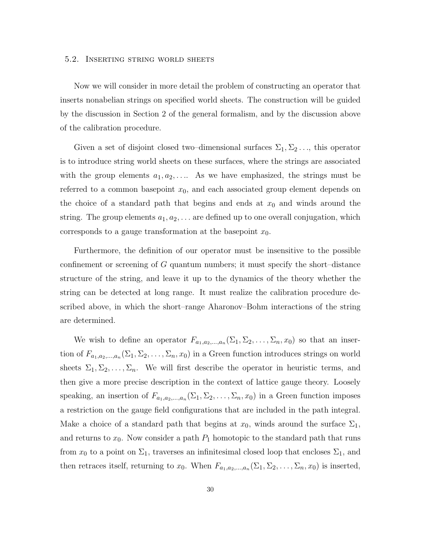#### 5.2. Inserting string world sheets

Now we will consider in more detail the problem of constructing an operator that inserts nonabelian strings on specified world sheets. The construction will be guided by the discussion in Section 2 of the general formalism, and by the discussion above of the calibration procedure.

Given a set of disjoint closed two–dimensional surfaces  $\Sigma_1, \Sigma_2 \dots$ , this operator is to introduce string world sheets on these surfaces, where the strings are associated with the group elements  $a_1, a_2, \ldots$ . As we have emphasized, the strings must be referred to a common basepoint  $x_0$ , and each associated group element depends on the choice of a standard path that begins and ends at  $x_0$  and winds around the string. The group elements  $a_1, a_2, \ldots$  are defined up to one overall conjugation, which corresponds to a gauge transformation at the basepoint  $x_0$ .

Furthermore, the definition of our operator must be insensitive to the possible confinement or screening of  $G$  quantum numbers; it must specify the short–distance structure of the string, and leave it up to the dynamics of the theory whether the string can be detected at long range. It must realize the calibration procedure described above, in which the short–range Aharonov–Bohm interactions of the string are determined.

We wish to define an operator  $F_{a_1,a_2,...,a_n}(\Sigma_1,\Sigma_2,...,\Sigma_n,x_0)$  so that an insertion of  $F_{a_1,a_2,...,a_n}(\Sigma_1,\Sigma_2,\ldots,\Sigma_n,x_0)$  in a Green function introduces strings on world sheets  $\Sigma_1, \Sigma_2, \ldots, \Sigma_n$ . We will first describe the operator in heuristic terms, and then give a more precise description in the context of lattice gauge theory. Loosely speaking, an insertion of  $F_{a_1,a_2,...,a_n}(\Sigma_1,\Sigma_2,...,\Sigma_n,x_0)$  in a Green function imposes a restriction on the gauge field configurations that are included in the path integral. Make a choice of a standard path that begins at  $x_0$ , winds around the surface  $\Sigma_1$ , and returns to  $x_0$ . Now consider a path  $P_1$  homotopic to the standard path that runs from  $x_0$  to a point on  $\Sigma_1$ , traverses an infinitesimal closed loop that encloses  $\Sigma_1$ , and then retraces itself, returning to  $x_0$ . When  $F_{a_1,a_2,...,a_n}(\Sigma_1,\Sigma_2,...,\Sigma_n,x_0)$  is inserted,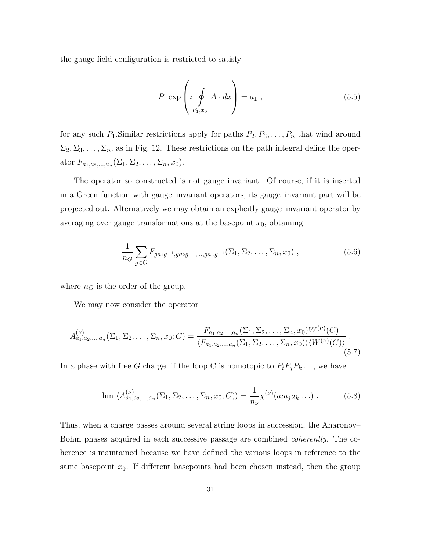the gauge field configuration is restricted to satisfy

$$
P \exp\left(i \oint\limits_{P_1, x_0} A \cdot dx\right) = a_1 , \qquad (5.5)
$$

for any such  $P_1$ . Similar restrictions apply for paths  $P_2, P_3, \ldots, P_n$  that wind around  $\Sigma_2, \Sigma_3, \ldots, \Sigma_n$ , as in Fig. 12. These restrictions on the path integral define the operator  $F_{a_1, a_2, ..., a_n}(\Sigma_1, \Sigma_2, ..., \Sigma_n, x_0)$ .

The operator so constructed is not gauge invariant. Of course, if it is inserted in a Green function with gauge–invariant operators, its gauge–invariant part will be projected out. Alternatively we may obtain an explicitly gauge–invariant operator by averaging over gauge transformations at the basepoint  $x_0$ , obtaining

$$
\frac{1}{n_G} \sum_{g \in G} F_{ga_1g^{-1}, ga_2g^{-1}, \dots, ga_ng^{-1}}(\Sigma_1, \Sigma_2, \dots, \Sigma_n, x_0) ,
$$
\n(5.6)

where  $n_G$  is the order of the group.

We may now consider the operator

$$
A_{a_1, a_2, \dots, a_n}^{(\nu)}(\Sigma_1, \Sigma_2, \dots, \Sigma_n, x_0; C) = \frac{F_{a_1, a_2, \dots, a_n}(\Sigma_1, \Sigma_2, \dots, \Sigma_n, x_0) W^{(\nu)}(C)}{\langle F_{a_1, a_2, \dots, a_n}(\Sigma_1, \Sigma_2, \dots, \Sigma_n, x_0) \rangle \langle W^{(\nu)}(C) \rangle}.
$$
\n(5.7)

In a phase with free G charge, if the loop C is homotopic to  $P_i P_j P_k \ldots$ , we have

$$
\lim \langle A_{a_1, a_2, ..., a_n}^{(\nu)}(\Sigma_1, \Sigma_2, ..., \Sigma_n, x_0; C) \rangle = \frac{1}{n_{\nu}} \chi^{(\nu)}(a_i a_j a_k ...).
$$
 (5.8)

Thus, when a charge passes around several string loops in succession, the Aharonov– Bohm phases acquired in each successive passage are combined *coherently*. The coherence is maintained because we have defined the various loops in reference to the same basepoint  $x_0$ . If different basepoints had been chosen instead, then the group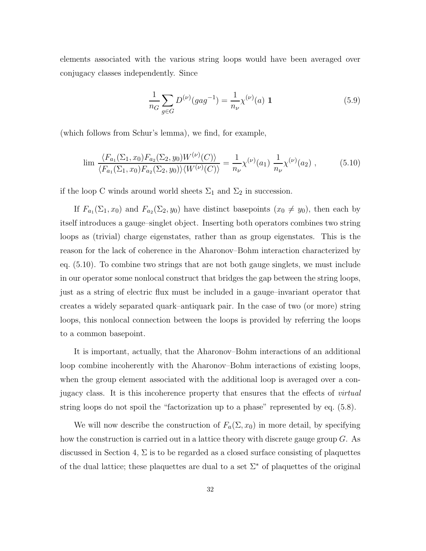elements associated with the various string loops would have been averaged over conjugacy classes independently. Since

$$
\frac{1}{n_G} \sum_{g \in G} D^{(\nu)}(gag^{-1}) = \frac{1}{n_{\nu}} \chi^{(\nu)}(a) \mathbf{1}
$$
\n(5.9)

(which follows from Schur's lemma), we find, for example,

$$
\lim \frac{\langle F_{a_1}(\Sigma_1, x_0) F_{a_2}(\Sigma_2, y_0) W^{(\nu)}(C) \rangle}{\langle F_{a_1}(\Sigma_1, x_0) F_{a_2}(\Sigma_2, y_0) \rangle \langle W^{(\nu)}(C) \rangle} = \frac{1}{n_{\nu}} \chi^{(\nu)}(a_1) \frac{1}{n_{\nu}} \chi^{(\nu)}(a_2) , \qquad (5.10)
$$

if the loop C winds around world sheets  $\Sigma_1$  and  $\Sigma_2$  in succession.

If  $F_{a_1}(\Sigma_1, x_0)$  and  $F_{a_2}(\Sigma_2, y_0)$  have distinct basepoints  $(x_0 \neq y_0)$ , then each by itself introduces a gauge–singlet object. Inserting both operators combines two string loops as (trivial) charge eigenstates, rather than as group eigenstates. This is the reason for the lack of coherence in the Aharonov–Bohm interaction characterized by eq. (5.10). To combine two strings that are not both gauge singlets, we must include in our operator some nonlocal construct that bridges the gap between the string loops, just as a string of electric flux must be included in a gauge–invariant operator that creates a widely separated quark–antiquark pair. In the case of two (or more) string loops, this nonlocal connection between the loops is provided by referring the loops to a common basepoint.

It is important, actually, that the Aharonov–Bohm interactions of an additional loop combine incoherently with the Aharonov–Bohm interactions of existing loops, when the group element associated with the additional loop is averaged over a conjugacy class. It is this incoherence property that ensures that the effects of virtual string loops do not spoil the "factorization up to a phase" represented by eq. (5.8).

We will now describe the construction of  $F_a(\Sigma, x_0)$  in more detail, by specifying how the construction is carried out in a lattice theory with discrete gauge group  $G$ . As discussed in Section 4,  $\Sigma$  is to be regarded as a closed surface consisting of plaquettes of the dual lattice; these plaquettes are dual to a set  $\Sigma^*$  of plaquettes of the original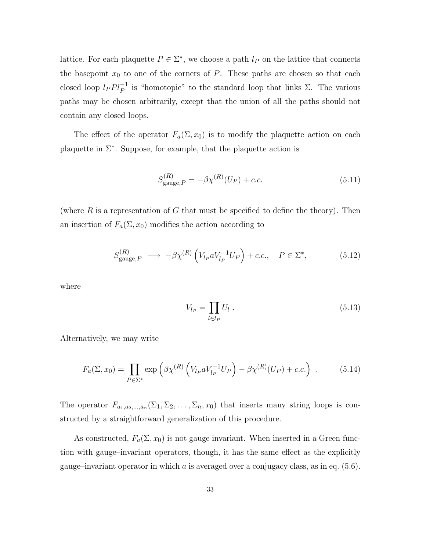lattice. For each plaquette  $P \in \Sigma^*$ , we choose a path  $l_P$  on the lattice that connects the basepoint  $x_0$  to one of the corners of P. These paths are chosen so that each closed loop  $l_P Pl_P^{-1}$  is "homotopic" to the standard loop that links  $\Sigma$ . The various paths may be chosen arbitrarily, except that the union of all the paths should not contain any closed loops.

The effect of the operator  $F_a(\Sigma, x_0)$  is to modify the plaquette action on each plaquette in  $\Sigma^*$ . Suppose, for example, that the plaquette action is

$$
S_{\text{gauge},P}^{(R)} = -\beta \chi^{(R)}(U_P) + c.c.
$$
 (5.11)

(where R is a representation of G that must be specified to define the theory). Then an insertion of  $F_a(\Sigma, x_0)$  modifies the action according to

$$
S_{\text{gauge},P}^{(R)} \longrightarrow -\beta \chi^{(R)} \left( V_{l_P} a V_{l_P}^{-1} U_P \right) + c.c., \quad P \in \Sigma^*, \tag{5.12}
$$

where

$$
V_{lp} = \prod_{l \in l_P} U_l \tag{5.13}
$$

Alternatively, we may write

$$
F_a(\Sigma, x_0) = \prod_{P \in \Sigma^*} \exp\left(\beta \chi^{(R)} \left(V_{l_P} a V_{l_P}^{-1} U_P\right) - \beta \chi^{(R)}(U_P) + c.c.\right) \tag{5.14}
$$

The operator  $F_{a_1,a_2,...,a_n}(\Sigma_1,\Sigma_2,...,\Sigma_n,x_0)$  that inserts many string loops is constructed by a straightforward generalization of this procedure.

As constructed,  $F_a(\Sigma, x_0)$  is not gauge invariant. When inserted in a Green function with gauge–invariant operators, though, it has the same effect as the explicitly gauge–invariant operator in which  $\alpha$  is averaged over a conjugacy class, as in eq.  $(5.6)$ .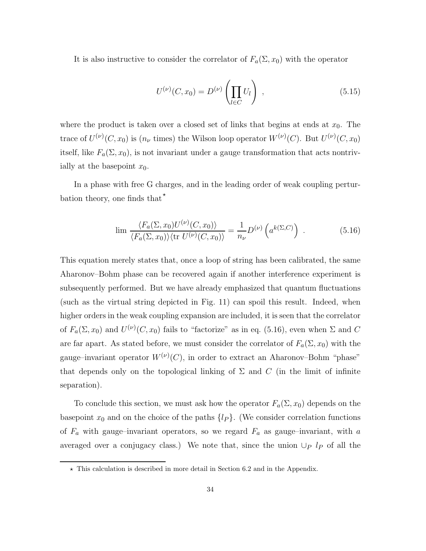It is also instructive to consider the correlator of  $F_a(\Sigma, x_0)$  with the operator

$$
U^{(\nu)}(C, x_0) = D^{(\nu)}\left(\prod_{l \in C} U_l\right) , \qquad (5.15)
$$

where the product is taken over a closed set of links that begins at ends at  $x_0$ . The trace of  $U^{(\nu)}(C,x_0)$  is  $(n_\nu \text{ times})$  the Wilson loop operator  $W^{(\nu)}(C)$ . But  $U^{(\nu)}(C,x_0)$ itself, like  $F_a(\Sigma, x_0)$ , is not invariant under a gauge transformation that acts nontrivially at the basepoint  $x_0$ .

In a phase with free G charges, and in the leading order of weak coupling perturbation theory, one finds that  $\star$ 

$$
\lim \frac{\langle F_a(\Sigma, x_0) U^{(\nu)}(C, x_0) \rangle}{\langle F_a(\Sigma, x_0) \rangle \langle \text{tr } U^{(\nu)}(C, x_0) \rangle} = \frac{1}{n_{\nu}} D^{(\nu)} \left( a^{k(\Sigma, C)} \right) . \tag{5.16}
$$

This equation merely states that, once a loop of string has been calibrated, the same Aharonov–Bohm phase can be recovered again if another interference experiment is subsequently performed. But we have already emphasized that quantum fluctuations (such as the virtual string depicted in Fig. 11) can spoil this result. Indeed, when higher orders in the weak coupling expansion are included, it is seen that the correlator of  $F_a(\Sigma, x_0)$  and  $U^{(\nu)}(C, x_0)$  fails to "factorize" as in eq. (5.16), even when  $\Sigma$  and  $C$ are far apart. As stated before, we must consider the correlator of  $F_a(\Sigma, x_0)$  with the gauge–invariant operator  $W^{(\nu)}(C)$ , in order to extract an Aharonov–Bohm "phase" that depends only on the topological linking of  $\Sigma$  and  $C$  (in the limit of infinite separation).

To conclude this section, we must ask how the operator  $F_a(\Sigma, x_0)$  depends on the basepoint  $x_0$  and on the choice of the paths  $\{l_P\}$ . (We consider correlation functions of  $F_a$  with gauge–invariant operators, so we regard  $F_a$  as gauge–invariant, with a averaged over a conjugacy class.) We note that, since the union  $\bigcup_{P} l_P$  of all the

 $\star$  This calculation is described in more detail in Section 6.2 and in the Appendix.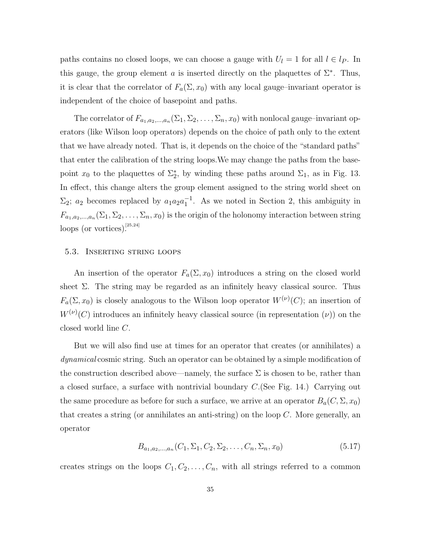paths contains no closed loops, we can choose a gauge with  $U_l = 1$  for all  $l \in l_P$ . In this gauge, the group element a is inserted directly on the plaquettes of  $\Sigma^*$ . Thus, it is clear that the correlator of  $F_a(\Sigma, x_0)$  with any local gauge–invariant operator is independent of the choice of basepoint and paths.

The correlator of  $F_{a_1,a_2,...,a_n}(\Sigma_1,\Sigma_2,...,\Sigma_n,x_0)$  with nonlocal gauge–invariant operators (like Wilson loop operators) depends on the choice of path only to the extent that we have already noted. That is, it depends on the choice of the "standard paths" that enter the calibration of the string loops.We may change the paths from the basepoint  $x_0$  to the plaquettes of  $\Sigma_2^*$ , by winding these paths around  $\Sigma_1$ , as in Fig. 13. In effect, this change alters the group element assigned to the string world sheet on  $\Sigma_2$ ;  $a_2$  becomes replaced by  $a_1 a_2 a_1^{-1}$  $_1^{-1}$ . As we noted in Section 2, this ambiguity in  $F_{a_1,a_2,...,a_n}(\Sigma_1,\Sigma_2,\ldots,\Sigma_n,x_0)$  is the origin of the holonomy interaction between string loops (or vortices).  $^{[25,24]}$ 

### 5.3. Inserting string loops

An insertion of the operator  $F_a(\Sigma, x_0)$  introduces a string on the closed world sheet  $\Sigma$ . The string may be regarded as an infinitely heavy classical source. Thus  $F_a(\Sigma, x_0)$  is closely analogous to the Wilson loop operator  $W^{(\nu)}(C)$ ; an insertion of  $W^{(\nu)}(C)$  introduces an infinitely heavy classical source (in representation  $(\nu)$ ) on the closed world line C.

But we will also find use at times for an operator that creates (or annihilates) a dynamical cosmic string. Such an operator can be obtained by a simple modification of the construction described above—namely, the surface  $\Sigma$  is chosen to be, rather than a closed surface, a surface with nontrivial boundary C.(See Fig. 14.) Carrying out the same procedure as before for such a surface, we arrive at an operator  $B_a(C, \Sigma, x_0)$ that creates a string (or annihilates an anti-string) on the loop  $C$ . More generally, an operator

$$
B_{a_1, a_2, \dots, a_n}(C_1, \Sigma_1, C_2, \Sigma_2, \dots, C_n, \Sigma_n, x_0)
$$
\n
$$
(5.17)
$$

creates strings on the loops  $C_1, C_2, \ldots, C_n$ , with all strings referred to a common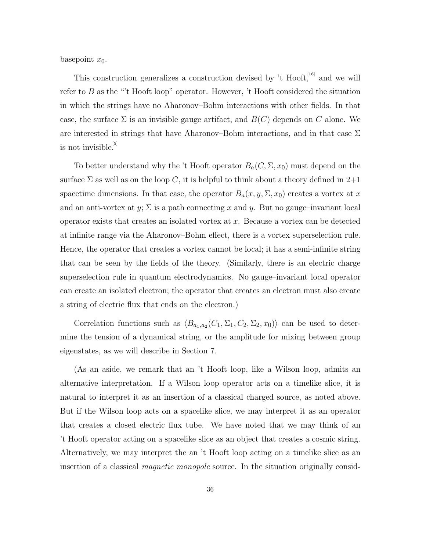basepoint  $x_0$ .

This construction generalizes a construction devised by 't Hooft, $[16]$  and we will refer to  $B$  as the "'t Hooft loop" operator. However, 't Hooft considered the situation in which the strings have no Aharonov–Bohm interactions with other fields. In that case, the surface  $\Sigma$  is an invisible gauge artifact, and  $B(C)$  depends on C alone. We are interested in strings that have Aharonov–Bohm interactions, and in that case  $\Sigma$ is not invisible. $^{[5]}$ 

To better understand why the 't Hooft operator  $B_a(C, \Sigma, x_0)$  must depend on the surface  $\Sigma$  as well as on the loop C, it is helpful to think about a theory defined in 2+1 spacetime dimensions. In that case, the operator  $B_a(x, y, \Sigma, x_0)$  creates a vortex at x and an anti-vortex at  $y$ ;  $\Sigma$  is a path connecting x and y. But no gauge–invariant local operator exists that creates an isolated vortex at  $x$ . Because a vortex can be detected at infinite range via the Aharonov–Bohm effect, there is a vortex superselection rule. Hence, the operator that creates a vortex cannot be local; it has a semi-infinite string that can be seen by the fields of the theory. (Similarly, there is an electric charge superselection rule in quantum electrodynamics. No gauge–invariant local operator can create an isolated electron; the operator that creates an electron must also create a string of electric flux that ends on the electron.)

Correlation functions such as  $\langle B_{a_1,a_2}(C_1, \Sigma_1, C_2, \Sigma_2, x_0) \rangle$  can be used to determine the tension of a dynamical string, or the amplitude for mixing between group eigenstates, as we will describe in Section 7.

(As an aside, we remark that an 't Hooft loop, like a Wilson loop, admits an alternative interpretation. If a Wilson loop operator acts on a timelike slice, it is natural to interpret it as an insertion of a classical charged source, as noted above. But if the Wilson loop acts on a spacelike slice, we may interpret it as an operator that creates a closed electric flux tube. We have noted that we may think of an 't Hooft operator acting on a spacelike slice as an object that creates a cosmic string. Alternatively, we may interpret the an 't Hooft loop acting on a timelike slice as an insertion of a classical *magnetic monopole* source. In the situation originally consid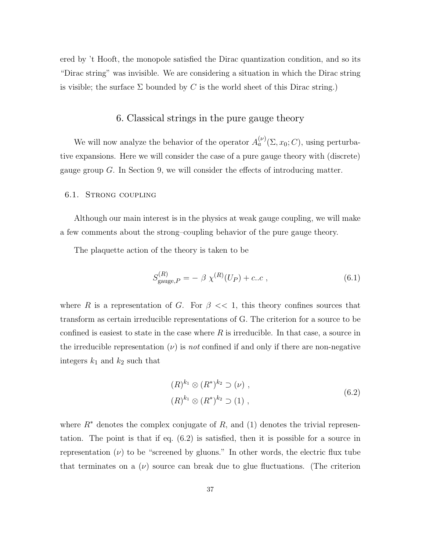ered by 't Hooft, the monopole satisfied the Dirac quantization condition, and so its "Dirac string" was invisible. We are considering a situation in which the Dirac string is visible; the surface  $\Sigma$  bounded by C is the world sheet of this Dirac string.)

# 6. Classical strings in the pure gauge theory

We will now analyze the behavior of the operator  $A_a^{(\nu)}(\Sigma, x_0; C)$ , using perturbative expansions. Here we will consider the case of a pure gauge theory with (discrete) gauge group G. In Section 9, we will consider the effects of introducing matter.

## 6.1. Strong coupling

Although our main interest is in the physics at weak gauge coupling, we will make a few comments about the strong–coupling behavior of the pure gauge theory.

The plaquette action of the theory is taken to be

$$
S_{\text{gauge},P}^{(R)} = -\beta \chi^{(R)}(U_P) + c..c \,, \tag{6.1}
$$

where R is a representation of G. For  $\beta \ll 1$ , this theory confines sources that transform as certain irreducible representations of G. The criterion for a source to be confined is easiest to state in the case where  $R$  is irreducible. In that case, a source in the irreducible representation ( $\nu$ ) is not confined if and only if there are non-negative integers  $k_1$  and  $k_2$  such that

$$
(R)^{k_1} \otimes (R^*)^{k_2} \supset (\nu) ,
$$
  
\n
$$
(R)^{k_1} \otimes (R^*)^{k_2} \supset (1) ,
$$
\n(6.2)

where  $R^*$  denotes the complex conjugate of R, and (1) denotes the trivial representation. The point is that if eq. (6.2) is satisfied, then it is possible for a source in representation  $(\nu)$  to be "screened by gluons." In other words, the electric flux tube that terminates on a  $(\nu)$  source can break due to glue fluctuations. (The criterion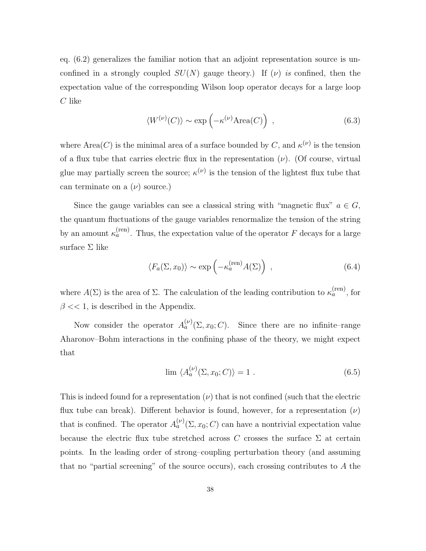eq. (6.2) generalizes the familiar notion that an adjoint representation source is unconfined in a strongly coupled  $SU(N)$  gauge theory.) If  $(\nu)$  is confined, then the expectation value of the corresponding Wilson loop operator decays for a large loop C like

$$
\langle W^{(\nu)}(C) \rangle \sim \exp\left(-\kappa^{(\nu)} \text{Area}(C)\right) ,\qquad (6.3)
$$

where Area $(C)$  is the minimal area of a surface bounded by  $C$ , and  $\kappa^{(\nu)}$  is the tension of a flux tube that carries electric flux in the representation  $(\nu)$ . (Of course, virtual glue may partially screen the source;  $\kappa^{(\nu)}$  is the tension of the lightest flux tube that can terminate on a  $(\nu)$  source.)

Since the gauge variables can see a classical string with "magnetic flux"  $a \in G$ , the quantum fluctuations of the gauge variables renormalize the tension of the string by an amount  $\kappa_a^{\text{(ren)}}$ . Thus, the expectation value of the operator F decays for a large surface Σ like

$$
\langle F_a(\Sigma, x_0) \rangle \sim \exp\left(-\kappa_a^{\text{(ren)}} A(\Sigma)\right) ,
$$
 (6.4)

where  $A(\Sigma)$  is the area of  $\Sigma$ . The calculation of the leading contribution to  $\kappa_a^{(ren)}$ , for  $\beta \ll 1$ , is described in the Appendix.

Now consider the operator  $A_a^{(\nu)}(\Sigma, x_0; C)$ . Since there are no infinite–range Aharonov–Bohm interactions in the confining phase of the theory, we might expect that

$$
\lim \langle A_a^{(\nu)}(\Sigma, x_0; C) \rangle = 1 . \tag{6.5}
$$

This is indeed found for a representation  $(\nu)$  that is not confined (such that the electric flux tube can break). Different behavior is found, however, for a representation  $(\nu)$ that is confined. The operator  $A_a^{(\nu)}(\Sigma, x_0; C)$  can have a nontrivial expectation value because the electric flux tube stretched across C crosses the surface  $\Sigma$  at certain points. In the leading order of strong–coupling perturbation theory (and assuming that no "partial screening" of the source occurs), each crossing contributes to A the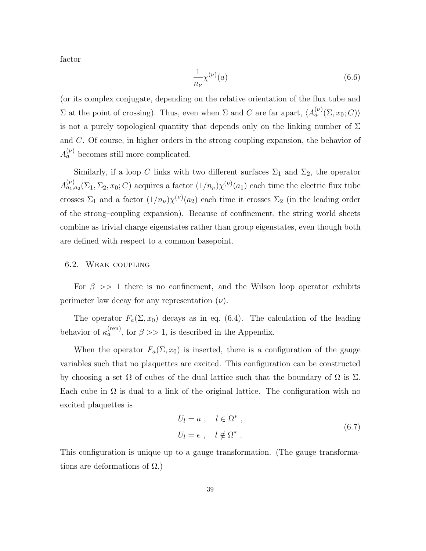factor

$$
\frac{1}{n_{\nu}}\chi^{(\nu)}(a) \tag{6.6}
$$

(or its complex conjugate, depending on the relative orientation of the flux tube and  $\Sigma$  at the point of crossing). Thus, even when  $\Sigma$  and C are far apart,  $\langle A_a^{(\nu)}(\Sigma, x_0; C) \rangle$ is not a purely topological quantity that depends only on the linking number of  $\Sigma$ and C. Of course, in higher orders in the strong coupling expansion, the behavior of  $A_a^{(\nu)}$  becomes still more complicated.

Similarly, if a loop C links with two different surfaces  $\Sigma_1$  and  $\Sigma_2$ , the operator  $A_{a_{1}}^{(\nu)}$  $\binom{\nu}{a_1, a_2}(\Sigma_1, \Sigma_2, x_0; C)$  acquires a factor  $(1/n_\nu)\chi^{(\nu)}(a_1)$  each time the electric flux tube crosses  $\Sigma_1$  and a factor  $(1/n_{\nu})\chi^{(\nu)}(a_2)$  each time it crosses  $\Sigma_2$  (in the leading order of the strong–coupling expansion). Because of confinement, the string world sheets combine as trivial charge eigenstates rather than group eigenstates, even though both are defined with respect to a common basepoint.

#### 6.2. Weak coupling

For  $\beta \gg 1$  there is no confinement, and the Wilson loop operator exhibits perimeter law decay for any representation  $(\nu)$ .

The operator  $F_a(\Sigma, x_0)$  decays as in eq. (6.4). The calculation of the leading behavior of  $\kappa_a^{\text{(ren)}}$ , for  $\beta >> 1$ , is described in the Appendix.

When the operator  $F_a(\Sigma, x_0)$  is inserted, there is a configuration of the gauge variables such that no plaquettes are excited. This configuration can be constructed by choosing a set  $\Omega$  of cubes of the dual lattice such that the boundary of  $\Omega$  is  $\Sigma$ . Each cube in  $\Omega$  is dual to a link of the original lattice. The configuration with no excited plaquettes is

$$
U_l = a \ , \quad l \in \Omega^* \ ,
$$
  

$$
U_l = e \ , \quad l \notin \Omega^* \ .
$$
  
(6.7)

This configuration is unique up to a gauge transformation. (The gauge transformations are deformations of  $\Omega$ .)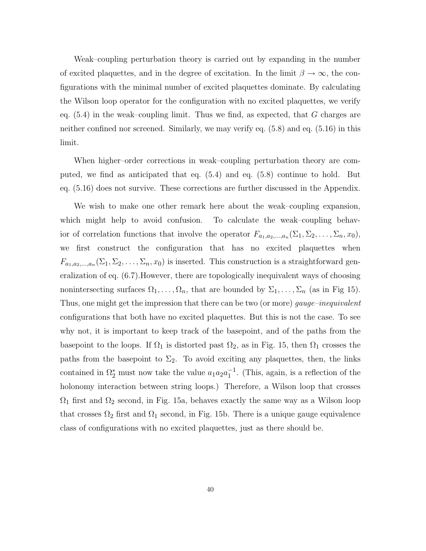Weak–coupling perturbation theory is carried out by expanding in the number of excited plaquettes, and in the degree of excitation. In the limit  $\beta \to \infty$ , the configurations with the minimal number of excited plaquettes dominate. By calculating the Wilson loop operator for the configuration with no excited plaquettes, we verify eq.  $(5.4)$  in the weak–coupling limit. Thus we find, as expected, that G charges are neither confined nor screened. Similarly, we may verify eq. (5.8) and eq. (5.16) in this limit.

When higher–order corrections in weak–coupling perturbation theory are computed, we find as anticipated that eq. (5.4) and eq. (5.8) continue to hold. But eq. (5.16) does not survive. These corrections are further discussed in the Appendix.

We wish to make one other remark here about the weak–coupling expansion, which might help to avoid confusion. To calculate the weak–coupling behavior of correlation functions that involve the operator  $F_{a_1,a_2,...,a_n}(\Sigma_1,\Sigma_2,...,\Sigma_n,x_0)$ , we first construct the configuration that has no excited plaquettes when  $F_{a_1,a_2,...,a_n}(\Sigma_1,\Sigma_2,\ldots,\Sigma_n,x_0)$  is inserted. This construction is a straightforward generalization of eq. (6.7).However, there are topologically inequivalent ways of choosing nonintersecting surfaces  $\Omega_1, \ldots, \Omega_n$ , that are bounded by  $\Sigma_1, \ldots, \Sigma_n$  (as in Fig 15). Thus, one might get the impression that there can be two (or more) gauge–inequivalent configurations that both have no excited plaquettes. But this is not the case. To see why not, it is important to keep track of the basepoint, and of the paths from the basepoint to the loops. If  $\Omega_1$  is distorted past  $\Omega_2$ , as in Fig. 15, then  $\Omega_1$  crosses the paths from the basepoint to  $\Sigma_2$ . To avoid exciting any plaquettes, then, the links contained in  $\Omega_2^*$  must now take the value  $a_1 a_2 a_1^{-1}$  $_1^{-1}$ . (This, again, is a reflection of the holonomy interaction between string loops.) Therefore, a Wilson loop that crosses  $\Omega_1$  first and  $\Omega_2$  second, in Fig. 15a, behaves exactly the same way as a Wilson loop that crosses  $\Omega_2$  first and  $\Omega_1$  second, in Fig. 15b. There is a unique gauge equivalence class of configurations with no excited plaquettes, just as there should be.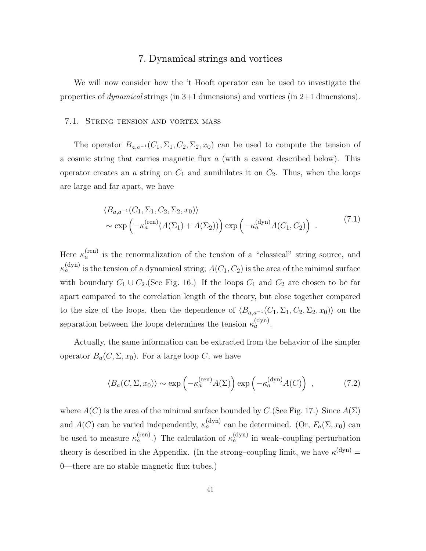# 7. Dynamical strings and vortices

We will now consider how the 't Hooft operator can be used to investigate the properties of *dynamical* strings (in  $3+1$  dimensions) and vortices (in  $2+1$  dimensions).

## 7.1. String tension and vortex mass

The operator  $B_{a,a^{-1}}(C_1,\Sigma_1,C_2,\Sigma_2,x_0)$  can be used to compute the tension of a cosmic string that carries magnetic flux  $a$  (with a caveat described below). This operator creates an a string on  $C_1$  and annihilates it on  $C_2$ . Thus, when the loops are large and far apart, we have

$$
\langle B_{a,a^{-1}}(C_1, \Sigma_1, C_2, \Sigma_2, x_0) \rangle
$$
  
 
$$
\sim \exp\left(-\kappa_a^{(\text{ren})}(A(\Sigma_1) + A(\Sigma_2))\right) \exp\left(-\kappa_a^{(\text{dyn})}A(C_1, C_2)\right) .
$$
 (7.1)

Here  $\kappa_a^{(ren)}$  is the renormalization of the tension of a "classical" string source, and  $\kappa_a^{\text{(dyn)}}$  is the tension of a dynamical string;  $A(C_1,C_2)$  is the area of the minimal surface with boundary  $C_1 \cup C_2$ . (See Fig. 16.) If the loops  $C_1$  and  $C_2$  are chosen to be far apart compared to the correlation length of the theory, but close together compared to the size of the loops, then the dependence of  $\langle B_{a,a^{-1}}(C_1, \Sigma_1, C_2, \Sigma_2, x_0) \rangle$  on the separation between the loops determines the tension  $\kappa_a^{\text{(dyn)}}$ .

Actually, the same information can be extracted from the behavior of the simpler operator  $B_a(C, \Sigma, x_0)$ . For a large loop C, we have

$$
\langle B_a(C, \Sigma, x_0) \rangle \sim \exp\left(-\kappa_a^{\text{(ren)}} A(\Sigma)\right) \exp\left(-\kappa_a^{\text{(dyn)}} A(C)\right) ,
$$
 (7.2)

where  $A(C)$  is the area of the minimal surface bounded by C.(See Fig. 17.) Since  $A(\Sigma)$ and  $A(C)$  can be varied independently,  $\kappa_a^{(\text{dyn})}$  can be determined. (Or,  $F_a(\Sigma, x_0)$  can be used to measure  $\kappa_a^{\text{(ren)}}$ .) The calculation of  $\kappa_a^{\text{(dyn)}}$  in weak–coupling perturbation theory is described in the Appendix. (In the strong-coupling limit, we have  $\kappa^{(\text{dyn})} =$ 0—there are no stable magnetic flux tubes.)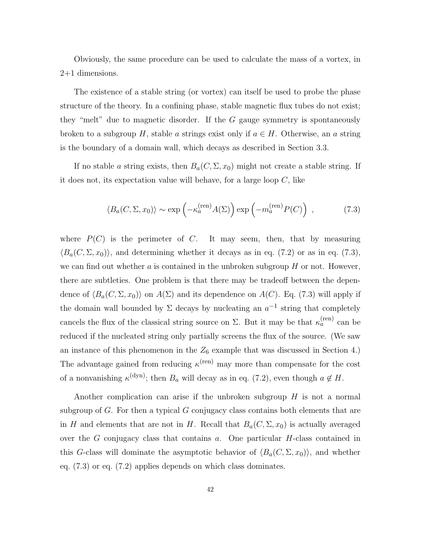Obviously, the same procedure can be used to calculate the mass of a vortex, in 2+1 dimensions.

The existence of a stable string (or vortex) can itself be used to probe the phase structure of the theory. In a confining phase, stable magnetic flux tubes do not exist; they "melt" due to magnetic disorder. If the G gauge symmetry is spontaneously broken to a subgroup H, stable a strings exist only if  $a \in H$ . Otherwise, an a string is the boundary of a domain wall, which decays as described in Section 3.3.

If no stable a string exists, then  $B_a(C, \Sigma, x_0)$  might not create a stable string. If it does not, its expectation value will behave, for a large loop  $C$ , like

$$
\langle B_a(C, \Sigma, x_0) \rangle \sim \exp\left(-\kappa_a^{(\text{ren})} A(\Sigma)\right) \exp\left(-m_a^{(\text{ren})} P(C)\right) ,\qquad (7.3)
$$

where  $P(C)$  is the perimeter of C. It may seem, then, that by measuring  $\langle B_a(C, \Sigma, x_0) \rangle$ , and determining whether it decays as in eq. (7.2) or as in eq. (7.3), we can find out whether a is contained in the unbroken subgroup  $H$  or not. However, there are subtleties. One problem is that there may be tradeoff between the dependence of  $\langle B_a(C, \Sigma, x_0) \rangle$  on  $A(\Sigma)$  and its dependence on  $A(C)$ . Eq. (7.3) will apply if the domain wall bounded by  $\Sigma$  decays by nucleating an  $a^{-1}$  string that completely cancels the flux of the classical string source on  $\Sigma$ . But it may be that  $\kappa_a^{(ren)}$  can be reduced if the nucleated string only partially screens the flux of the source. (We saw an instance of this phenomenon in the  $Z_6$  example that was discussed in Section 4.) The advantage gained from reducing  $\kappa^{(ren)}$  may more than compensate for the cost of a nonvanishing  $\kappa^{(\text{dyn})}$ ; then  $B_a$  will decay as in eq. (7.2), even though  $a \notin H$ .

Another complication can arise if the unbroken subgroup  $H$  is not a normal subgroup of  $G$ . For then a typical  $G$  conjugacy class contains both elements that are in H and elements that are not in H. Recall that  $B_a(C, \Sigma, x_0)$  is actually averaged over the G conjugacy class that contains  $a$ . One particular  $H$ -class contained in this G-class will dominate the asymptotic behavior of  $\langle B_a(C, \Sigma, x_0) \rangle$ , and whether eq. (7.3) or eq. (7.2) applies depends on which class dominates.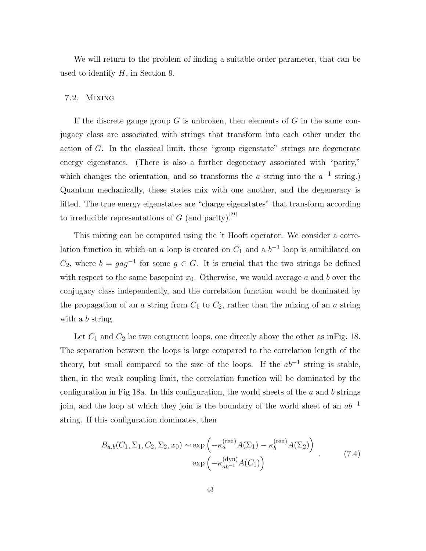We will return to the problem of finding a suitable order parameter, that can be used to identify  $H$ , in Section 9.

## 7.2. Mixing

If the discrete gauge group G is unbroken, then elements of G in the same conjugacy class are associated with strings that transform into each other under the action of G. In the classical limit, these "group eigenstate" strings are degenerate energy eigenstates. (There is also a further degeneracy associated with "parity," which changes the orientation, and so transforms the a string into the  $a^{-1}$  string.) Quantum mechanically, these states mix with one another, and the degeneracy is lifted. The true energy eigenstates are "charge eigenstates" that transform according to irreducible representations of  $G$  (and parity).<sup>[21]</sup>

This mixing can be computed using the 't Hooft operator. We consider a correlation function in which an a loop is created on  $C_1$  and a  $b^{-1}$  loop is annihilated on  $C_2$ , where  $b = gag^{-1}$  for some  $g \in G$ . It is crucial that the two strings be defined with respect to the same basepoint  $x_0$ . Otherwise, we would average a and b over the conjugacy class independently, and the correlation function would be dominated by the propagation of an a string from  $C_1$  to  $C_2$ , rather than the mixing of an a string with a b string.

Let  $C_1$  and  $C_2$  be two congruent loops, one directly above the other as in Fig. 18. The separation between the loops is large compared to the correlation length of the theory, but small compared to the size of the loops. If the  $ab^{-1}$  string is stable, then, in the weak coupling limit, the correlation function will be dominated by the configuration in Fig 18a. In this configuration, the world sheets of the  $a$  and  $b$  strings join, and the loop at which they join is the boundary of the world sheet of an  $ab^{-1}$ string. If this configuration dominates, then

$$
B_{a,b}(C_1, \Sigma_1, C_2, \Sigma_2, x_0) \sim \exp\left(-\kappa_a^{(\text{ren})} A(\Sigma_1) - \kappa_b^{(\text{ren})} A(\Sigma_2)\right)
$$
  
\n
$$
\exp\left(-\kappa_{ab^{-1}}^{(\text{dyn})} A(C_1)\right)
$$
\n(7.4)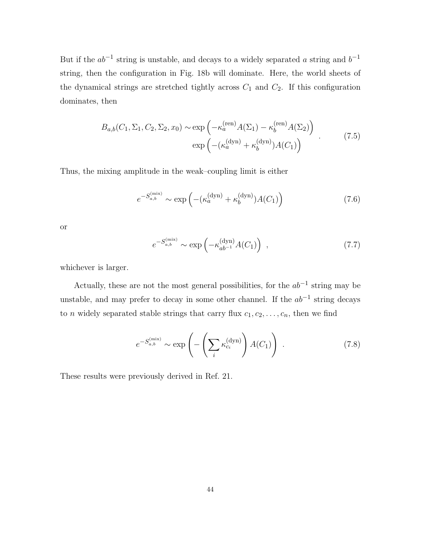But if the  $ab^{-1}$  string is unstable, and decays to a widely separated a string and  $b^{-1}$ string, then the configuration in Fig. 18b will dominate. Here, the world sheets of the dynamical strings are stretched tightly across  $C_1$  and  $C_2$ . If this configuration dominates, then

$$
B_{a,b}(C_1, \Sigma_1, C_2, \Sigma_2, x_0) \sim \exp\left(-\kappa_a^{(\text{ren})} A(\Sigma_1) - \kappa_b^{(\text{ren})} A(\Sigma_2)\right)
$$

$$
\exp\left(-(\kappa_a^{(\text{dyn})} + \kappa_b^{(\text{dyn})}) A(C_1)\right) \tag{7.5}
$$

Thus, the mixing amplitude in the weak–coupling limit is either

$$
e^{-S_{a,b}^{(\text{mix})}} \sim \exp\left(-(\kappa_a^{(\text{dyn})} + \kappa_b^{(\text{dyn})})A(C_1)\right) \tag{7.6}
$$

or

$$
e^{-S_{a,b}^{(\text{mix})}} \sim \exp\left(-\kappa_{ab^{-1}}^{(\text{dyn})} A(C_1)\right) ,\qquad (7.7)
$$

whichever is larger.

Actually, these are not the most general possibilities, for the  $ab^{-1}$  string may be unstable, and may prefer to decay in some other channel. If the  $ab^{-1}$  string decays to *n* widely separated stable strings that carry flux  $c_1, c_2, \ldots, c_n$ , then we find

$$
e^{-S_{a,b}^{(\text{mix})}} \sim \exp\left(-\left(\sum_{i} \kappa_{c_i}^{(\text{dyn})}\right) A(C_1)\right) \tag{7.8}
$$

These results were previously derived in Ref. 21.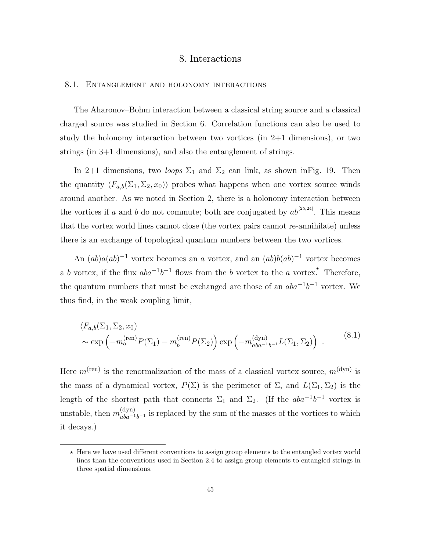# 8. Interactions

### 8.1. Entanglement and holonomy interactions

The Aharonov–Bohm interaction between a classical string source and a classical charged source was studied in Section 6. Correlation functions can also be used to study the holonomy interaction between two vortices (in  $2+1$  dimensions), or two strings (in 3+1 dimensions), and also the entanglement of strings.

In 2+1 dimensions, two loops  $\Sigma_1$  and  $\Sigma_2$  can link, as shown in Fig. 19. Then the quantity  $\langle F_{a,b}(\Sigma_1, \Sigma_2, x_0) \rangle$  probes what happens when one vortex source winds around another. As we noted in Section 2, there is a holonomy interaction between the vortices if a and b do not commute; both are conjugated by  $ab^{[25,24]}$ . This means that the vortex world lines cannot close (the vortex pairs cannot re-annihilate) unless there is an exchange of topological quantum numbers between the two vortices.

An  $(ab)a(ab)^{-1}$  vortex becomes an a vortex, and an  $(ab)b(ab)^{-1}$  vortex becomes a b vortex, if the flux  $aba^{-1}b^{-1}$  flows from the b vortex to the a vortex.<sup>\*</sup> Therefore, the quantum numbers that must be exchanged are those of an  $aba^{-1}b^{-1}$  vortex. We thus find, in the weak coupling limit,

$$
\langle F_{a,b}(\Sigma_1, \Sigma_2, x_0) \rangle
$$
  
 
$$
\sim \exp\left(-m_a^{(\text{ren})} P(\Sigma_1) - m_b^{(\text{ren})} P(\Sigma_2)\right) \exp\left(-m_{aba^{-1}b^{-1}}^{(\text{dyn})} L(\Sigma_1, \Sigma_2)\right) .
$$
 (8.1)

Here  $m^{(\text{ren})}$  is the renormalization of the mass of a classical vortex source,  $m^{(\text{dyn})}$  is the mass of a dynamical vortex,  $P(\Sigma)$  is the perimeter of  $\Sigma$ , and  $L(\Sigma_1, \Sigma_2)$  is the length of the shortest path that connects  $\Sigma_1$  and  $\Sigma_2$ . (If the  $aba^{-1}b^{-1}$  vortex is unstable, then  $m_{aba^{-1}b^{-1}}^{(\text{dyn})}$  is replaced by the sum of the masses of the vortices to which it decays.)

 $\star$  Here we have used different conventions to assign group elements to the entangled vortex world lines than the conventions used in Section 2.4 to assign group elements to entangled strings in three spatial dimensions.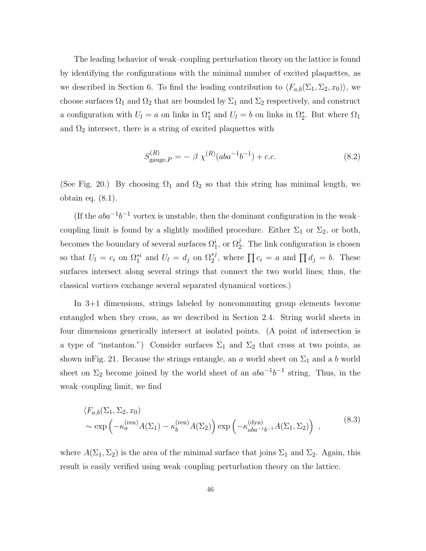The leading behavior of weak–coupling perturbation theory on the lattice is found by identifying the configurations with the minimal number of excited plaquettes, as we described in Section 6. To find the leading contribution to  $\langle F_{a,b}(\Sigma_1, \Sigma_2, x_0) \rangle$ , we choose surfaces  $\Omega_1$  and  $\Omega_2$  that are bounded by  $\Sigma_1$  and  $\Sigma_2$  respectively, and construct a configuration with  $U_l = a$  on links in  $\Omega_1^*$  and  $U_l = b$  on links in  $\Omega_2^*$ . But where  $\Omega_1$ and  $\Omega_2$  intersect, there is a string of excited plaquettes with

$$
S_{\text{gauge},P}^{(R)} = -\beta \chi^{(R)}(aba^{-1}b^{-1}) + c.c.
$$
 (8.2)

(See Fig. 20.) By choosing  $\Omega_1$  and  $\Omega_2$  so that this string has minimal length, we obtain eq.  $(8.1)$ .

(If the  $aba^{-1}b^{-1}$  vortex is unstable, then the dominant configuration in the weak– coupling limit is found by a slightly modified procedure. Either  $\Sigma_1$  or  $\Sigma_2$ , or both, becomes the boundary of several surfaces  $\Omega_1^i$ , or  $\Omega_2^j$ . The link configuration is chosen so that  $U_l = c_i$  on  $\Omega_1^{*i}$  and  $U_l = d_j$  on  $\Omega_2^{*j}$ , where  $\prod c_i = a$  and  $\prod d_j = b$ . These surfaces intersect along several strings that connect the two world lines; thus, the classical vortices exchange several separated dynamical vortices.)

In 3+1 dimensions, strings labeled by noncommuting group elements become entangled when they cross, as we described in Section 2.4. String world sheets in four dimensions generically intersect at isolated points. (A point of intersection is a type of "instanton.") Consider surfaces  $\Sigma_1$  and  $\Sigma_2$  that cross at two points, as shown in Fig. 21. Because the strings entangle, an a world sheet on  $\Sigma_1$  and a b world sheet on  $\Sigma_2$  become joined by the world sheet of an  $aba^{-1}b^{-1}$  string. Thus, in the weak–coupling limit, we find

$$
\langle F_{a,b}(\Sigma_1, \Sigma_2, x_0) \rangle \sim \exp\left(-\kappa_a^{(\text{ren})} A(\Sigma_1) - \kappa_b^{(\text{ren})} A(\Sigma_2)\right) \exp\left(-\kappa_{aba^{-1}b^{-1}}^{(\text{dyn})} A(\Sigma_1, \Sigma_2)\right) ,
$$
\n(8.3)

where  $A(\Sigma_1, \Sigma_2)$  is the area of the minimal surface that joins  $\Sigma_1$  and  $\Sigma_2$ . Again, this result is easily verified using weak–coupling perturbation theory on the lattice.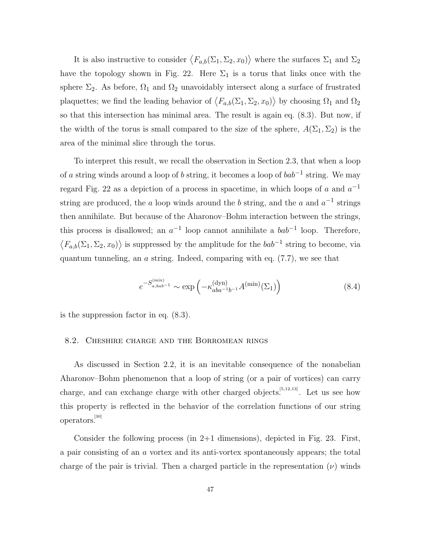It is also instructive to consider  $\langle F_{a,b}(\Sigma_1,\Sigma_2,x_0)\rangle$  where the surfaces  $\Sigma_1$  and  $\Sigma_2$ have the topology shown in Fig. 22. Here  $\Sigma_1$  is a torus that links once with the sphere  $\Sigma_2$ . As before,  $\Omega_1$  and  $\Omega_2$  unavoidably intersect along a surface of frustrated plaquettes; we find the leading behavior of  $\langle F_{a,b}(\Sigma_1,\Sigma_2,x_0) \rangle$  by choosing  $\Omega_1$  and  $\Omega_2$ so that this intersection has minimal area. The result is again eq. (8.3). But now, if the width of the torus is small compared to the size of the sphere,  $A(\Sigma_1, \Sigma_2)$  is the area of the minimal slice through the torus.

To interpret this result, we recall the observation in Section 2.3, that when a loop of a string winds around a loop of b string, it becomes a loop of  $bab^{-1}$  string. We may regard Fig. 22 as a depiction of a process in spacetime, in which loops of a and  $a^{-1}$ string are produced, the a loop winds around the b string, and the a and  $a^{-1}$  strings then annihilate. But because of the Aharonov–Bohm interaction between the strings, this process is disallowed; an  $a^{-1}$  loop cannot annihilate a  $bab^{-1}$  loop. Therefore,  $\langle F_{a,b}(\Sigma_1, \Sigma_2, x_0) \rangle$  is suppressed by the amplitude for the  $bab^{-1}$  string to become, via quantum tunneling, an  $\alpha$  string. Indeed, comparing with eq.  $(7.7)$ , we see that

$$
e^{-S_{a, bab^{-1}}^{(\min)}} \sim \exp\left(-\kappa_{aba^{-1}b^{-1}}^{(\text{dyn})} A^{(\min)}(\Sigma_1)\right)
$$
(8.4)

is the suppression factor in eq. (8.3).

## 8.2. Cheshire charge and the Borromean rings

As discussed in Section 2.2, it is an inevitable consequence of the nonabelian Aharonov–Bohm phenomenon that a loop of string (or a pair of vortices) can carry charge, and can exchange charge with other charged objects.<sup>[5,12,13]</sup>. Let us see how this property is reflected in the behavior of the correlation functions of our string operators.[30]

Consider the following process (in  $2+1$  dimensions), depicted in Fig. 23. First, a pair consisting of an a vortex and its anti-vortex spontaneously appears; the total charge of the pair is trivial. Then a charged particle in the representation  $(\nu)$  winds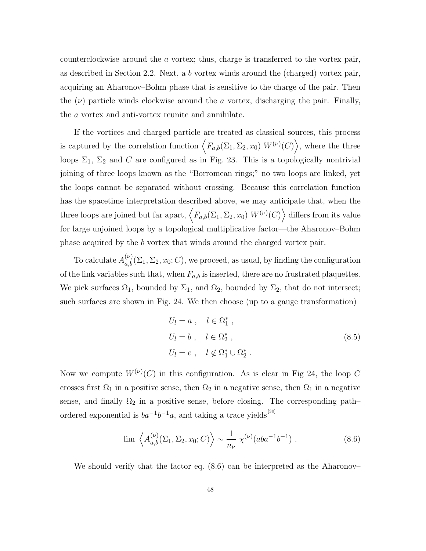counterclockwise around the a vortex; thus, charge is transferred to the vortex pair, as described in Section 2.2. Next, a b vortex winds around the (charged) vortex pair, acquiring an Aharonov–Bohm phase that is sensitive to the charge of the pair. Then the  $(\nu)$  particle winds clockwise around the a vortex, discharging the pair. Finally, the a vortex and anti-vortex reunite and annihilate.

If the vortices and charged particle are treated as classical sources, this process is captured by the correlation function  $\langle F_{a,b}(\Sigma_1, \Sigma_2, x_0) W^{(\nu)}(C) \rangle$ , where the three loops  $\Sigma_1$ ,  $\Sigma_2$  and C are configured as in Fig. 23. This is a topologically nontrivial joining of three loops known as the "Borromean rings;" no two loops are linked, yet the loops cannot be separated without crossing. Because this correlation function has the spacetime interpretation described above, we may anticipate that, when the three loops are joined but far apart,  $\langle F_{a,b}(\Sigma_1, \Sigma_2, x_0) | W^{(\nu)}(C) \rangle$  differs from its value for large unjoined loops by a topological multiplicative factor—the Aharonov–Bohm phase acquired by the b vortex that winds around the charged vortex pair.

To calculate  $A_{a,b}^{(\nu)}(\Sigma_1, \Sigma_2, x_0; C)$ , we proceed, as usual, by finding the configuration of the link variables such that, when  $F_{a,b}$  is inserted, there are no frustrated plaquettes. We pick surfaces  $\Omega_1$ , bounded by  $\Sigma_1$ , and  $\Omega_2$ , bounded by  $\Sigma_2$ , that do not intersect; such surfaces are shown in Fig. 24. We then choose (up to a gauge transformation)

$$
U_l = a , \quad l \in \Omega_1^*,
$$
  
\n
$$
U_l = b , \quad l \in \Omega_2^*,
$$
  
\n
$$
U_l = e , \quad l \notin \Omega_1^* \cup \Omega_2^*.
$$
  
\n(8.5)

Now we compute  $W^{(\nu)}(C)$  in this configuration. As is clear in Fig 24, the loop C crosses first  $\Omega_1$  in a positive sense, then  $\Omega_2$  in a negative sense, then  $\Omega_1$  in a negative sense, and finally  $\Omega_2$  in a positive sense, before closing. The corresponding path– ordered exponential is  $ba^{-1}b^{-1}a$ , and taking a trace yields<sup>[30]</sup>

$$
\lim \left\langle A_{a,b}^{(\nu)}(\Sigma_1, \Sigma_2, x_0; C) \right\rangle \sim \frac{1}{n_{\nu}} \chi^{(\nu)}(aba^{-1}b^{-1}) . \tag{8.6}
$$

We should verify that the factor eq.  $(8.6)$  can be interpreted as the Aharonov–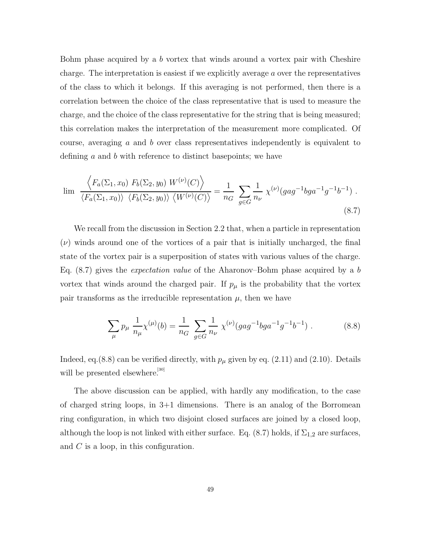Bohm phase acquired by a b vortex that winds around a vortex pair with Cheshire charge. The interpretation is easiest if we explicitly average a over the representatives of the class to which it belongs. If this averaging is not performed, then there is a correlation between the choice of the class representative that is used to measure the charge, and the choice of the class representative for the string that is being measured; this correlation makes the interpretation of the measurement more complicated. Of course, averaging  $\alpha$  and  $\dot{\theta}$  over class representatives independently is equivalent to defining a and b with reference to distinct basepoints; we have

$$
\lim_{\sqrt{F_a(\Sigma_1, x_0)} \sqrt{F_b(\Sigma_2, y_0)} \sqrt{W^{(\nu)}(C)}} = \frac{1}{n_G} \sum_{g \in G} \frac{1}{n_{\nu}} \chi^{(\nu)}(gag^{-1}bga^{-1}g^{-1}b^{-1}).
$$
\n(8.7)

We recall from the discussion in Section 2.2 that, when a particle in representation  $(\nu)$  winds around one of the vortices of a pair that is initially uncharged, the final state of the vortex pair is a superposition of states with various values of the charge. Eq.  $(8.7)$  gives the *expectation value* of the Aharonov–Bohm phase acquired by a b vortex that winds around the charged pair. If  $p_{\mu}$  is the probability that the vortex pair transforms as the irreducible representation  $\mu$ , then we have

$$
\sum_{\mu} p_{\mu} \frac{1}{n_{\mu}} \chi^{(\mu)}(b) = \frac{1}{n_G} \sum_{g \in G} \frac{1}{n_{\nu}} \chi^{(\nu)}(gag^{-1}bga^{-1}g^{-1}b^{-1}) . \tag{8.8}
$$

Indeed, eq.(8.8) can be verified directly, with  $p_{\mu}$  given by eq. (2.11) and (2.10). Details will be presented elsewhere.<sup>[30]</sup>

The above discussion can be applied, with hardly any modification, to the case of charged string loops, in 3+1 dimensions. There is an analog of the Borromean ring configuration, in which two disjoint closed surfaces are joined by a closed loop, although the loop is not linked with either surface. Eq. (8.7) holds, if  $\Sigma_{1,2}$  are surfaces, and C is a loop, in this configuration.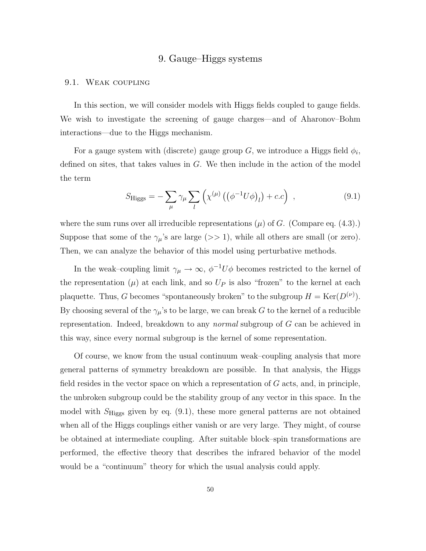# 9. Gauge–Higgs systems

#### 9.1. Weak coupling

In this section, we will consider models with Higgs fields coupled to gauge fields. We wish to investigate the screening of gauge charges—and of Aharonov–Bohm interactions—due to the Higgs mechanism.

For a gauge system with (discrete) gauge group  $G$ , we introduce a Higgs field  $\phi_i$ , defined on sites, that takes values in  $G$ . We then include in the action of the model the term

$$
S_{\text{Higgs}} = -\sum_{\mu} \gamma_{\mu} \sum_{l} \left( \chi^{(\mu)} \left( \left( \phi^{-1} U \phi \right)_{l} \right) + c.c \right) , \qquad (9.1)
$$

where the sum runs over all irreducible representations  $(\mu)$  of G. (Compare eq. (4.3).) Suppose that some of the  $\gamma_{\mu}$ 's are large (>> 1), while all others are small (or zero). Then, we can analyze the behavior of this model using perturbative methods.

In the weak–coupling limit  $\gamma_{\mu} \to \infty$ ,  $\phi^{-1} U \phi$  becomes restricted to the kernel of the representation  $(\mu)$  at each link, and so  $U_P$  is also "frozen" to the kernel at each plaquette. Thus, G becomes "spontaneously broken" to the subgroup  $H = \text{Ker}(D^{(\nu)})$ . By choosing several of the  $\gamma_{\mu}$ 's to be large, we can break G to the kernel of a reducible representation. Indeed, breakdown to any normal subgroup of G can be achieved in this way, since every normal subgroup is the kernel of some representation.

Of course, we know from the usual continuum weak–coupling analysis that more general patterns of symmetry breakdown are possible. In that analysis, the Higgs field resides in the vector space on which a representation of  $G$  acts, and, in principle, the unbroken subgroup could be the stability group of any vector in this space. In the model with  $S_{\text{Higgs}}$  given by eq. (9.1), these more general patterns are not obtained when all of the Higgs couplings either vanish or are very large. They might, of course be obtained at intermediate coupling. After suitable block–spin transformations are performed, the effective theory that describes the infrared behavior of the model would be a "continuum" theory for which the usual analysis could apply.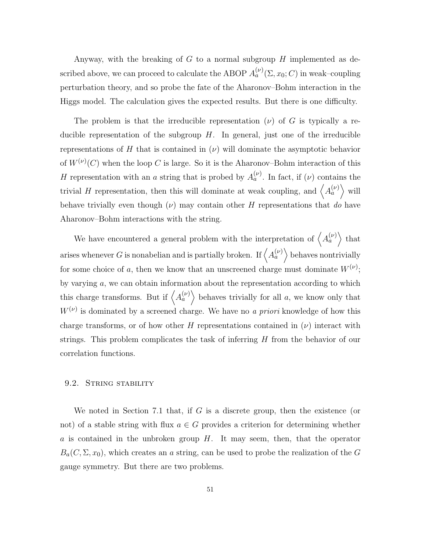Anyway, with the breaking of  $G$  to a normal subgroup  $H$  implemented as described above, we can proceed to calculate the ABOP  $A_a^{(\nu)}(\Sigma,x_0;C)$  in weak–coupling perturbation theory, and so probe the fate of the Aharonov–Bohm interaction in the Higgs model. The calculation gives the expected results. But there is one difficulty.

The problem is that the irreducible representation  $(\nu)$  of G is typically a reducible representation of the subgroup  $H$ . In general, just one of the irreducible representations of H that is contained in  $(\nu)$  will dominate the asymptotic behavior of  $W^{(\nu)}(C)$  when the loop C is large. So it is the Aharonov–Bohm interaction of this H representation with an a string that is probed by  $A_a^{(\nu)}$ . In fact, if  $(\nu)$  contains the trivial H representation, then this will dominate at weak coupling, and  $\langle A_a^{(\nu)} \rangle$  $\binom{\nu}{a}$  will behave trivially even though  $(\nu)$  may contain other H representations that do have Aharonov–Bohm interactions with the string.

We have encountered a general problem with the interpretation of  $\langle A_a^{(\nu)} \rangle$  $\binom{\nu}{a}$  that arises whenever G is nonabelian and is partially broken. If  $\langle A_a^{(\nu)} \rangle$  $\binom{\nu}{a}$  behaves nontrivially for some choice of a, then we know that an unscreened charge must dominate  $W^{(\nu)}$ ; by varying a, we can obtain information about the representation according to which this charge transforms. But if  $\langle A_a^{(\nu)} \rangle$  $\binom{\nu}{a}$  behaves trivially for all a, we know only that  $W^{(\nu)}$  is dominated by a screened charge. We have no a priori knowledge of how this charge transforms, or of how other H representations contained in  $(\nu)$  interact with strings. This problem complicates the task of inferring H from the behavior of our correlation functions.

## 9.2. STRING STABILITY

We noted in Section 7.1 that, if  $G$  is a discrete group, then the existence (or not) of a stable string with flux  $a \in G$  provides a criterion for determining whether a is contained in the unbroken group  $H$ . It may seem, then, that the operator  $B_a(C, \Sigma, x_0)$ , which creates an a string, can be used to probe the realization of the G gauge symmetry. But there are two problems.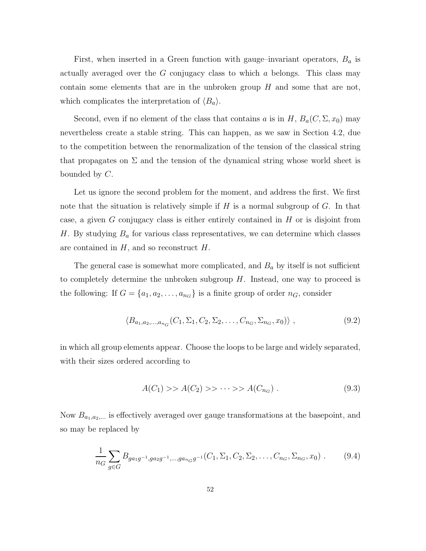First, when inserted in a Green function with gauge–invariant operators,  $B_a$  is actually averaged over the  $G$  conjugacy class to which  $a$  belongs. This class may contain some elements that are in the unbroken group  $H$  and some that are not, which complicates the interpretation of  $\langle B_a \rangle$ .

Second, even if no element of the class that contains a is in H,  $B_a(C, \Sigma, x_0)$  may nevertheless create a stable string. This can happen, as we saw in Section 4.2, due to the competition between the renormalization of the tension of the classical string that propagates on  $\Sigma$  and the tension of the dynamical string whose world sheet is bounded by C.

Let us ignore the second problem for the moment, and address the first. We first note that the situation is relatively simple if  $H$  is a normal subgroup of  $G$ . In that case, a given G conjugacy class is either entirely contained in H or is disjoint from H. By studying  $B_a$  for various class representatives, we can determine which classes are contained in  $H$ , and so reconstruct  $H$ .

The general case is somewhat more complicated, and  $B_a$  by itself is not sufficient to completely determine the unbroken subgroup  $H$ . Instead, one way to proceed is the following: If  $G = \{a_1, a_2, \ldots, a_{n_G}\}\$ is a finite group of order  $n_G$ , consider

$$
\langle B_{a_1, a_2, ..., a_{n_G}}(C_1, \Sigma_1, C_2, \Sigma_2, ..., C_{n_G}, \Sigma_{n_G}, x_0) \rangle ,
$$
\n(9.2)

in which all group elements appear. Choose the loops to be large and widely separated, with their sizes ordered according to

$$
A(C_1) >> A(C_2) >> \cdots >> A(C_{n_G}). \tag{9.3}
$$

Now  $B_{a_1,a_2,...}$  is effectively averaged over gauge transformations at the basepoint, and so may be replaced by

$$
\frac{1}{n_G} \sum_{g \in G} B_{g a_1 g^{-1}, g a_2 g^{-1}, \dots, g a_{n_G} g^{-1}}(C_1, \Sigma_1, C_2, \Sigma_2, \dots, C_{n_G}, \Sigma_{n_G}, x_0) \tag{9.4}
$$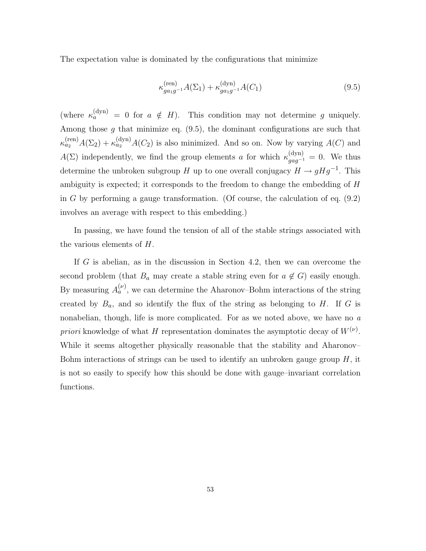The expectation value is dominated by the configurations that minimize

$$
\kappa_{ga_1g^{-1}}^{(\text{ren})} A(\Sigma_1) + \kappa_{ga_1g^{-1}}^{(\text{dyn})} A(C_1)
$$
\n(9.5)

(where  $\kappa_a^{(\text{dyn})} = 0$  for  $a \notin H$ ). This condition may not determine g uniquely. Among those q that minimize eq.  $(9.5)$ , the dominant configurations are such that  $\kappa_{a_2}^{(\text{ren})}A(\Sigma_2)+\kappa_{a_2}^{(\text{dyn})}A(C_2)$  is also minimized. And so on. Now by varying  $A(C)$  and  $A(\Sigma)$  independently, we find the group elements a for which  $\kappa_{gag^{-1}}^{(\text{dyn})} = 0$ . We thus determine the unbroken subgroup H up to one overall conjugacy  $H \to gHg^{-1}$ . This ambiguity is expected; it corresponds to the freedom to change the embedding of H in G by performing a gauge transformation. (Of course, the calculation of eq.  $(9.2)$ ) involves an average with respect to this embedding.)

In passing, we have found the tension of all of the stable strings associated with the various elements of H.

If G is abelian, as in the discussion in Section 4.2, then we can overcome the second problem (that  $B_a$  may create a stable string even for  $a \notin G$ ) easily enough. By measuring  $A_a^{(\nu)}$ , we can determine the Aharonov–Bohm interactions of the string created by  $B_a$ , and so identify the flux of the string as belonging to H. If G is nonabelian, though, life is more complicated. For as we noted above, we have no a priori knowledge of what H representation dominates the asymptotic decay of  $W^{(\nu)}$ . While it seems altogether physically reasonable that the stability and Aharonov– Bohm interactions of strings can be used to identify an unbroken gauge group  $H$ , it is not so easily to specify how this should be done with gauge–invariant correlation functions.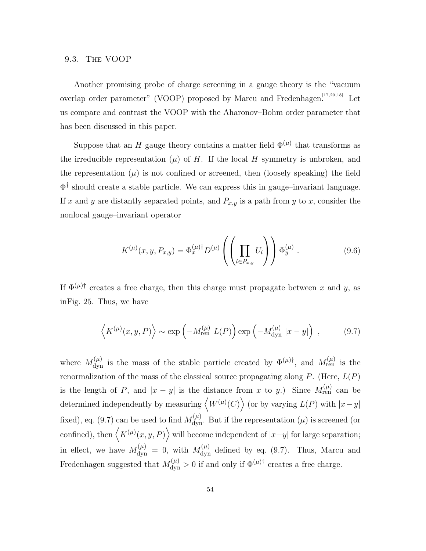## 9.3. The VOOP

Another promising probe of charge screening in a gauge theory is the "vacuum overlap order parameter" (VOOP) proposed by Marcu and Fredenhagen.<sup>[17,20,18]</sup> Let us compare and contrast the VOOP with the Aharonov–Bohm order parameter that has been discussed in this paper.

Suppose that an H gauge theory contains a matter field  $\Phi^{(\mu)}$  that transforms as the irreducible representation  $(\mu)$  of H. If the local H symmetry is unbroken, and the representation  $(\mu)$  is not confined or screened, then (loosely speaking) the field  $\Phi^{\dagger}$  should create a stable particle. We can express this in gauge–invariant language. If x and y are distantly separated points, and  $P_{x,y}$  is a path from y to x, consider the nonlocal gauge–invariant operator

$$
K^{(\mu)}(x, y, P_{x,y}) = \Phi_x^{(\mu)\dagger} D^{(\mu)} \left( \left( \prod_{l \in P_{x,y}} U_l \right) \right) \Phi_y^{(\mu)} . \tag{9.6}
$$

If  $\Phi^{(\mu)\dagger}$  creates a free charge, then this charge must propagate between x and y, as inFig. 25. Thus, we have

$$
\langle K^{(\mu)}(x, y, P) \rangle \sim \exp\left(-M_{\text{ren}}^{(\mu)} L(P)\right) \exp\left(-M_{\text{dyn}}^{(\mu)} |x - y|\right) ,
$$
 (9.7)

where  $M_{\text{dyn}}^{(\mu)}$  is the mass of the stable particle created by  $\Phi^{(\mu)}$ <sup>†</sup>, and  $M_{\text{ren}}^{(\mu)}$  is the renormalization of the mass of the classical source propagating along  $P$ . (Here,  $L(P)$ ) is the length of P, and  $|x - y|$  is the distance from x to y.) Since  $M_{\text{ren}}^{(\mu)}$  can be determined independently by measuring  $\langle W^{(\mu)}(C) \rangle$  (or by varying  $L(P)$  with  $|x-y|$ fixed), eq. (9.7) can be used to find  $M_{\text{dyn}}^{(\mu)}$ . But if the representation  $(\mu)$  is screened (or confined), then  $\langle K^{(\mu)}(x,y,P) \rangle$  will become independent of  $|x-y|$  for large separation; in effect, we have  $M_{\text{dyn}}^{(\mu)} = 0$ , with  $M_{\text{dyn}}^{(\mu)}$  defined by eq. (9.7). Thus, Marcu and Fredenhagen suggested that  $M_{\text{dyn}}^{(\mu)} > 0$  if and only if  $\Phi^{(\mu)\dagger}$  creates a free charge.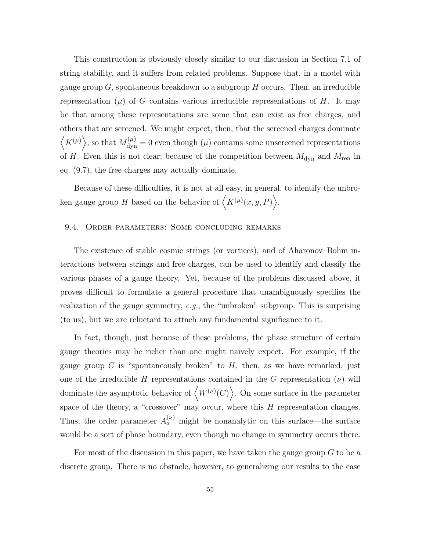This construction is obviously closely similar to our discussion in Section 7.1 of string stability, and it suffers from related problems. Suppose that, in a model with gauge group  $G$ , spontaneous breakdown to a subgroup  $H$  occurs. Then, an irreducible representation  $(\mu)$  of G contains various irreducible representations of H. It may be that among these representations are some that can exist as free charges, and others that are screened. We might expect, then, that the screened charges dominate  $\langle K^{(\mu)} \rangle$ , so that  $M_{\text{dyn}}^{(\mu)} = 0$  even though  $(\mu)$  contains some unscreened representations of H. Even this is not clear; because of the competition between  $M_{\text{dyn}}$  and  $M_{\text{ren}}$  in eq. (9.7), the free charges may actually dominate.

Because of these difficulties, it is not at all easy, in general, to identify the unbroken gauge group H based on the behavior of  $\langle K^{(\mu)}(x, y, P) \rangle$ .

## 9.4. Order parameters: Some concluding remarks

The existence of stable cosmic strings (or vortices), and of Aharonov–Bohm interactions between strings and free charges, can be used to identify and classify the various phases of a gauge theory. Yet, because of the problems discussed above, it proves difficult to formulate a general procedure that unambiguously specifies the realization of the gauge symmetry, e.g., the "unbroken" subgroup. This is surprising (to us), but we are reluctant to attach any fundamental significance to it.

In fact, though, just because of these problems, the phase structure of certain gauge theories may be richer than one might naively expect. For example, if the gauge group G is "spontaneously broken" to  $H$ , then, as we have remarked, just one of the irreducible H representations contained in the G representation  $(\nu)$  will dominate the asymptotic behavior of  $\langle W^{(\nu)}(C) \rangle$ . On some surface in the parameter space of the theory, a "crossover" may occur, where this  $H$  representation changes. Thus, the order parameter  $A_a^{(\nu)}$  might be nonanalytic on this surface—the surface would be a sort of phase boundary, even though no change in symmetry occurs there.

For most of the discussion in this paper, we have taken the gauge group  $G$  to be a discrete group. There is no obstacle, however, to generalizing our results to the case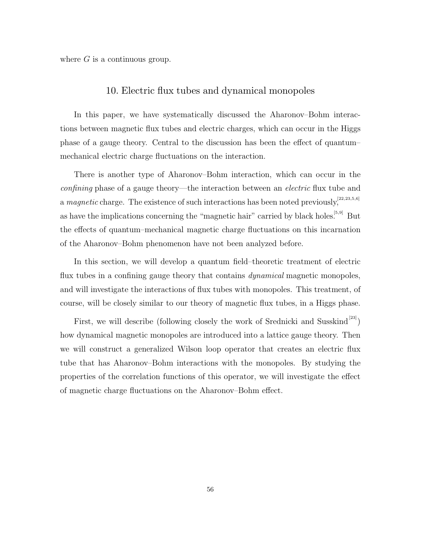where  $G$  is a continuous group.

## 10. Electric flux tubes and dynamical monopoles

In this paper, we have systematically discussed the Aharonov–Bohm interactions between magnetic flux tubes and electric charges, which can occur in the Higgs phase of a gauge theory. Central to the discussion has been the effect of quantum– mechanical electric charge fluctuations on the interaction.

There is another type of Aharonov–Bohm interaction, which can occur in the confining phase of a gauge theory—the interaction between an electric flux tube and a magnetic charge. The existence of such interactions has been noted previously,  $[22, 23, 5, 6]$ as have the implications concerning the "magnetic hair" carried by black holes.<sup>[5,9]</sup> But the effects of quantum–mechanical magnetic charge fluctuations on this incarnation of the Aharonov–Bohm phenomenon have not been analyzed before.

In this section, we will develop a quantum field–theoretic treatment of electric flux tubes in a confining gauge theory that contains *dynamical* magnetic monopoles, and will investigate the interactions of flux tubes with monopoles. This treatment, of course, will be closely similar to our theory of magnetic flux tubes, in a Higgs phase.

First, we will describe (following closely the work of Srednicki and Susskind<sup>[23]</sup>) how dynamical magnetic monopoles are introduced into a lattice gauge theory. Then we will construct a generalized Wilson loop operator that creates an electric flux tube that has Aharonov–Bohm interactions with the monopoles. By studying the properties of the correlation functions of this operator, we will investigate the effect of magnetic charge fluctuations on the Aharonov–Bohm effect.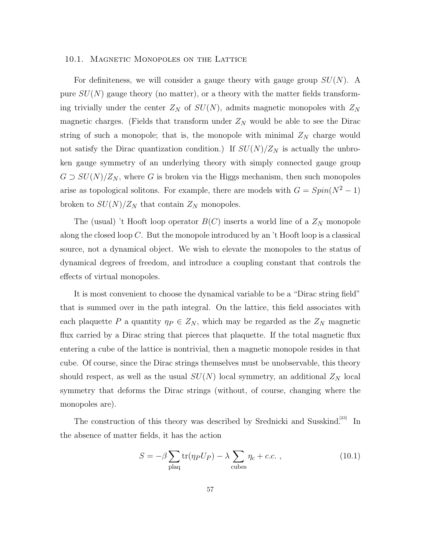### 10.1. MAGNETIC MONOPOLES ON THE LATTICE

For definiteness, we will consider a gauge theory with gauge group  $SU(N)$ . A pure  $SU(N)$  gauge theory (no matter), or a theory with the matter fields transforming trivially under the center  $Z_N$  of  $SU(N)$ , admits magnetic monopoles with  $Z_N$ magnetic charges. (Fields that transform under  $Z_N$  would be able to see the Dirac string of such a monopole; that is, the monopole with minimal  $Z_N$  charge would not satisfy the Dirac quantization condition.) If  $SU(N)/Z_N$  is actually the unbroken gauge symmetry of an underlying theory with simply connected gauge group  $G \supset SU(N)/Z_N$ , where G is broken via the Higgs mechanism, then such monopoles arise as topological solitons. For example, there are models with  $G = Spin(N^2 - 1)$ broken to  $SU(N)/Z_N$  that contain  $Z_N$  monopoles.

The (usual) 't Hooft loop operator  $B(C)$  inserts a world line of a  $Z_N$  monopole along the closed loop  $C$ . But the monopole introduced by an  $'t$  Hooft loop is a classical source, not a dynamical object. We wish to elevate the monopoles to the status of dynamical degrees of freedom, and introduce a coupling constant that controls the effects of virtual monopoles.

It is most convenient to choose the dynamical variable to be a "Dirac string field" that is summed over in the path integral. On the lattice, this field associates with each plaquette P a quantity  $\eta_P \in Z_N$ , which may be regarded as the  $Z_N$  magnetic flux carried by a Dirac string that pierces that plaquette. If the total magnetic flux entering a cube of the lattice is nontrivial, then a magnetic monopole resides in that cube. Of course, since the Dirac strings themselves must be unobservable, this theory should respect, as well as the usual  $SU(N)$  local symmetry, an additional  $Z_N$  local symmetry that deforms the Dirac strings (without, of course, changing where the monopoles are).

The construction of this theory was described by Srednicki and Susskind.<sup>[23]</sup> In the absence of matter fields, it has the action

$$
S = -\beta \sum_{\text{plaq}} \text{tr}(\eta_P U_P) - \lambda \sum_{\text{cubes}} \eta_c + c.c. , \qquad (10.1)
$$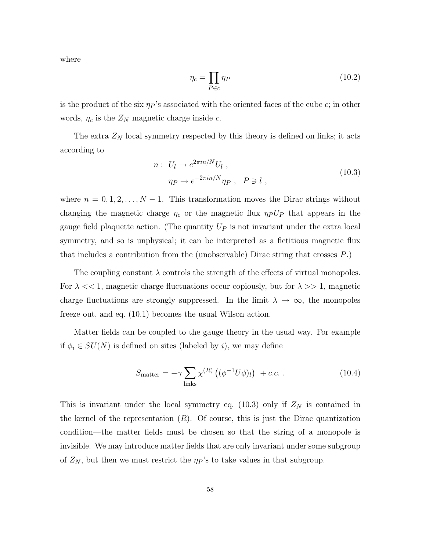where

$$
\eta_c = \prod_{P \in c} \eta_P \tag{10.2}
$$

is the product of the six  $\eta_P$ 's associated with the oriented faces of the cube c; in other words,  $\eta_c$  is the  $Z_N$  magnetic charge inside c.

The extra  $Z_N$  local symmetry respected by this theory is defined on links; it acts according to

$$
n: U_l \to e^{2\pi i n/N} U_l ,
$$
  
\n
$$
\eta_P \to e^{-2\pi i n/N} \eta_P , \quad P \ni l ,
$$
\n(10.3)

where  $n = 0, 1, 2, \ldots, N - 1$ . This transformation moves the Dirac strings without changing the magnetic charge  $\eta_c$  or the magnetic flux  $\eta_P U_P$  that appears in the gauge field plaquette action. (The quantity  $U_P$  is not invariant under the extra local symmetry, and so is unphysical; it can be interpreted as a fictitious magnetic flux that includes a contribution from the (unobservable) Dirac string that crosses P.)

The coupling constant  $\lambda$  controls the strength of the effects of virtual monopoles. For  $\lambda \ll 1$ , magnetic charge fluctuations occur copiously, but for  $\lambda \gg 1$ , magnetic charge fluctuations are strongly suppressed. In the limit  $\lambda \to \infty$ , the monopoles freeze out, and eq. (10.1) becomes the usual Wilson action.

Matter fields can be coupled to the gauge theory in the usual way. For example if  $\phi_i \in SU(N)$  is defined on sites (labeled by i), we may define

$$
S_{\text{matter}} = -\gamma \sum_{\text{links}} \chi^{(R)} \left( (\phi^{-1} U \phi)_l \right) + c.c. \tag{10.4}
$$

This is invariant under the local symmetry eq. (10.3) only if  $Z_N$  is contained in the kernel of the representation  $(R)$ . Of course, this is just the Dirac quantization condition—the matter fields must be chosen so that the string of a monopole is invisible. We may introduce matter fields that are only invariant under some subgroup of  $Z_N$ , but then we must restrict the  $\eta_P$ 's to take values in that subgroup.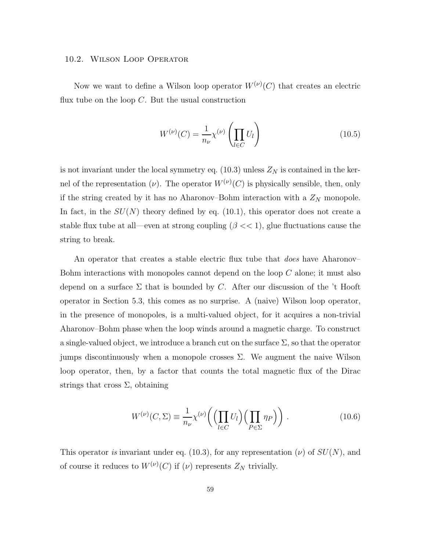#### 10.2. Wilson Loop Operator

Now we want to define a Wilson loop operator  $W^{(\nu)}(C)$  that creates an electric flux tube on the loop  $C$ . But the usual construction

$$
W^{(\nu)}(C) = \frac{1}{n_{\nu}} \chi^{(\nu)} \left( \prod_{l \in C} U_l \right)
$$
 (10.5)

is not invariant under the local symmetry eq. (10.3) unless  $Z_N$  is contained in the kernel of the representation  $(\nu)$ . The operator  $W^{(\nu)}(C)$  is physically sensible, then, only if the string created by it has no Aharonov–Bohm interaction with a  $\mathbb{Z}_N$  monopole. In fact, in the  $SU(N)$  theory defined by eq. (10.1), this operator does not create a stable flux tube at all—even at strong coupling  $(\beta \ll 1)$ , glue fluctuations cause the string to break.

An operator that creates a stable electric flux tube that *does* have Aharonov– Bohm interactions with monopoles cannot depend on the loop C alone; it must also depend on a surface  $\Sigma$  that is bounded by C. After our discussion of the 't Hooft operator in Section 5.3, this comes as no surprise. A (naive) Wilson loop operator, in the presence of monopoles, is a multi-valued object, for it acquires a non-trivial Aharonov–Bohm phase when the loop winds around a magnetic charge. To construct a single-valued object, we introduce a branch cut on the surface  $\Sigma$ , so that the operator jumps discontinuously when a monopole crosses Σ. We augment the naive Wilson loop operator, then, by a factor that counts the total magnetic flux of the Dirac strings that cross  $\Sigma$ , obtaining

$$
W^{(\nu)}(C,\Sigma) \equiv \frac{1}{n_{\nu}} \chi^{(\nu)} \left( \left( \prod_{l \in C} U_l \right) \left( \prod_{P \in \Sigma} \eta_P \right) \right). \tag{10.6}
$$

This operator is invariant under eq. (10.3), for any representation  $(\nu)$  of  $SU(N)$ , and of course it reduces to  $W^{(\nu)}(C)$  if  $(\nu)$  represents  $Z_N$  trivially.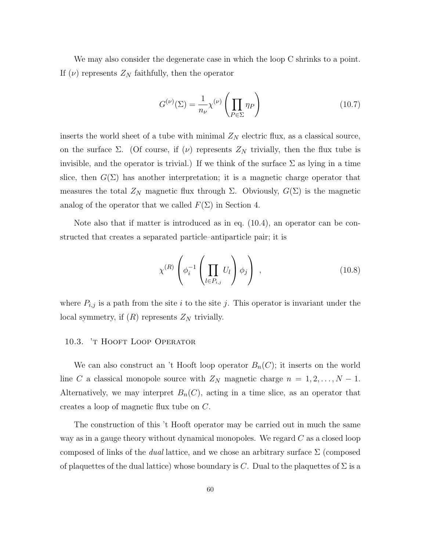We may also consider the degenerate case in which the loop C shrinks to a point. If  $(\nu)$  represents  $Z_N$  faithfully, then the operator

$$
G^{(\nu)}(\Sigma) = \frac{1}{n_{\nu}} \chi^{(\nu)} \left( \prod_{P \in \Sigma} \eta_{P} \right)
$$
 (10.7)

inserts the world sheet of a tube with minimal  $Z_N$  electric flux, as a classical source, on the surface  $\Sigma$ . (Of course, if  $(\nu)$  represents  $Z_N$  trivially, then the flux tube is invisible, and the operator is trivial.) If we think of the surface  $\Sigma$  as lying in a time slice, then  $G(\Sigma)$  has another interpretation; it is a magnetic charge operator that measures the total  $Z_N$  magnetic flux through  $\Sigma$ . Obviously,  $G(\Sigma)$  is the magnetic analog of the operator that we called  $F(\Sigma)$  in Section 4.

Note also that if matter is introduced as in eq. (10.4), an operator can be constructed that creates a separated particle–antiparticle pair; it is

$$
\chi^{(R)}\left(\phi_i^{-1}\left(\prod_{l\in P_{i,j}}U_l\right)\phi_j\right) ,\qquad(10.8)
$$

where  $P_{i,j}$  is a path from the site i to the site j. This operator is invariant under the local symmetry, if  $(R)$  represents  $Z_N$  trivially.

#### 10.3. 'T HOOFT LOOP OPERATOR

We can also construct an 't Hooft loop operator  $B_n(C)$ ; it inserts on the world line C a classical monopole source with  $Z_N$  magnetic charge  $n = 1, 2, ..., N - 1$ . Alternatively, we may interpret  $B_n(C)$ , acting in a time slice, as an operator that creates a loop of magnetic flux tube on C.

The construction of this 't Hooft operator may be carried out in much the same way as in a gauge theory without dynamical monopoles. We regard  $C$  as a closed loop composed of links of the *dual* lattice, and we chose an arbitrary surface  $\Sigma$  (composed of plaquettes of the dual lattice) whose boundary is C. Dual to the plaquettes of  $\Sigma$  is a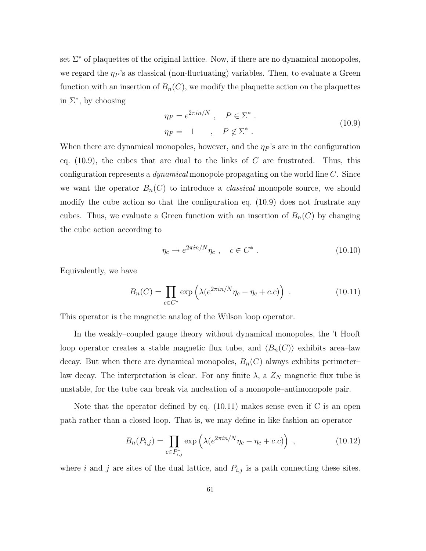set  $\Sigma^*$  of plaquettes of the original lattice. Now, if there are no dynamical monopoles, we regard the  $\eta_P$ 's as classical (non-fluctuating) variables. Then, to evaluate a Green function with an insertion of  $B_n(C)$ , we modify the plaquette action on the plaquettes in  $\Sigma^*$ , by choosing

$$
\eta_P = e^{2\pi i n/N} , \quad P \in \Sigma^* .
$$
  
\n
$$
\eta_P = 1 , \quad P \notin \Sigma^* .
$$
\n(10.9)

When there are dynamical monopoles, however, and the  $\eta_P$ 's are in the configuration eq.  $(10.9)$ , the cubes that are dual to the links of C are frustrated. Thus, this configuration represents a dynamical monopole propagating on the world line C. Since we want the operator  $B_n(C)$  to introduce a *classical* monopole source, we should modify the cube action so that the configuration eq. (10.9) does not frustrate any cubes. Thus, we evaluate a Green function with an insertion of  $B_n(C)$  by changing the cube action according to

$$
\eta_c \to e^{2\pi i n/N} \eta_c \;, \quad c \in C^* \; . \tag{10.10}
$$

Equivalently, we have

$$
B_n(C) = \prod_{c \in C^*} \exp\left(\lambda(e^{2\pi i n/N}\eta_c - \eta_c + c.c)\right) \tag{10.11}
$$

This operator is the magnetic analog of the Wilson loop operator.

In the weakly–coupled gauge theory without dynamical monopoles, the 't Hooft loop operator creates a stable magnetic flux tube, and  $\langle B_n(C) \rangle$  exhibits area–law decay. But when there are dynamical monopoles,  $B_n(C)$  always exhibits perimeterlaw decay. The interpretation is clear. For any finite  $\lambda$ , a  $Z_N$  magnetic flux tube is unstable, for the tube can break via nucleation of a monopole–antimonopole pair.

Note that the operator defined by eq.  $(10.11)$  makes sense even if C is an open path rather than a closed loop. That is, we may define in like fashion an operator

$$
B_n(P_{i,j}) = \prod_{c \in P^*_{i,j}} \exp\left(\lambda(e^{2\pi i n/N}\eta_c - \eta_c + c.c)\right) ,\qquad (10.12)
$$

where i and j are sites of the dual lattice, and  $P_{i,j}$  is a path connecting these sites.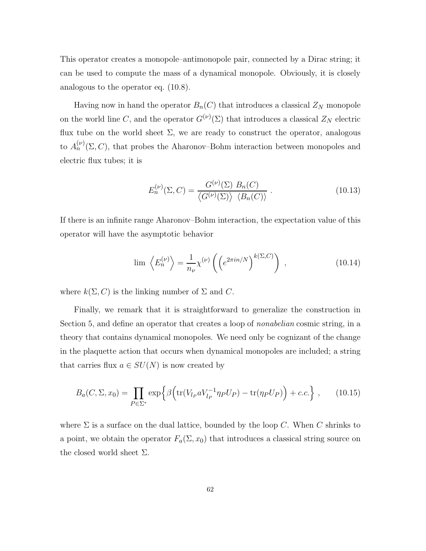This operator creates a monopole–antimonopole pair, connected by a Dirac string; it can be used to compute the mass of a dynamical monopole. Obviously, it is closely analogous to the operator eq. (10.8).

Having now in hand the operator  $B_n(C)$  that introduces a classical  $Z_N$  monopole on the world line C, and the operator  $G^{(\nu)}(\Sigma)$  that introduces a classical  $Z_N$  electric flux tube on the world sheet  $\Sigma$ , we are ready to construct the operator, analogous to  $A_n^{(\nu)}(\Sigma, C)$ , that probes the Aharonov–Bohm interaction between monopoles and electric flux tubes; it is

$$
E_n^{(\nu)}(\Sigma, C) = \frac{G^{(\nu)}(\Sigma) B_n(C)}{\langle G^{(\nu)}(\Sigma) \rangle \langle B_n(C) \rangle} . \tag{10.13}
$$

If there is an infinite range Aharonov–Bohm interaction, the expectation value of this operator will have the asymptotic behavior

$$
\lim_{n} \left\langle E_n^{(\nu)} \right\rangle = \frac{1}{n_{\nu}} \chi^{(\nu)} \left( \left( e^{2\pi i n/N} \right)^{k(\Sigma, C)} \right) , \qquad (10.14)
$$

where  $k(\Sigma, C)$  is the linking number of  $\Sigma$  and C.

Finally, we remark that it is straightforward to generalize the construction in Section 5, and define an operator that creates a loop of *nonabelian* cosmic string, in a theory that contains dynamical monopoles. We need only be cognizant of the change in the plaquette action that occurs when dynamical monopoles are included; a string that carries flux  $a \in SU(N)$  is now created by

$$
B_a(C, \Sigma, x_0) = \prod_{P \in \Sigma^*} \exp\left\{\beta \left( \text{tr}(V_{lp} a V_{lp}^{-1} \eta_P U_P) - \text{tr}(\eta_P U_P) \right) + c.c. \right\},\qquad(10.15)
$$

where  $\Sigma$  is a surface on the dual lattice, bounded by the loop C. When C shrinks to a point, we obtain the operator  $F_a(\Sigma, x_0)$  that introduces a classical string source on the closed world sheet  $\Sigma$ .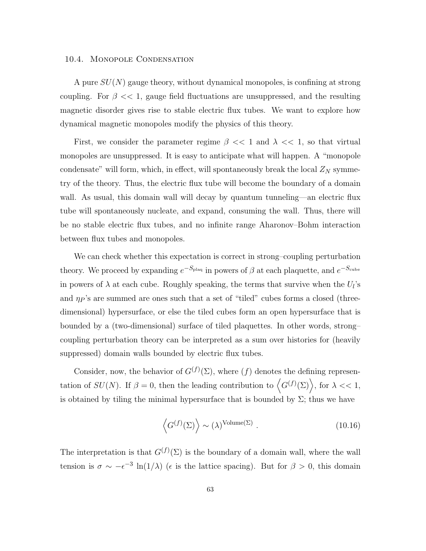## 10.4. Monopole Condensation

A pure  $SU(N)$  gauge theory, without dynamical monopoles, is confining at strong coupling. For  $\beta \ll 1$ , gauge field fluctuations are unsuppressed, and the resulting magnetic disorder gives rise to stable electric flux tubes. We want to explore how dynamical magnetic monopoles modify the physics of this theory.

First, we consider the parameter regime  $\beta \ll 1$  and  $\lambda \ll 1$ , so that virtual monopoles are unsuppressed. It is easy to anticipate what will happen. A "monopole condensate" will form, which, in effect, will spontaneously break the local  $Z_N$  symmetry of the theory. Thus, the electric flux tube will become the boundary of a domain wall. As usual, this domain wall will decay by quantum tunneling—an electric flux tube will spontaneously nucleate, and expand, consuming the wall. Thus, there will be no stable electric flux tubes, and no infinite range Aharonov–Bohm interaction between flux tubes and monopoles.

We can check whether this expectation is correct in strong–coupling perturbation theory. We proceed by expanding  $e^{-S_{\text{plaq}}}$  in powers of  $\beta$  at each plaquette, and  $e^{-S_{\text{cube}}}$ in powers of  $\lambda$  at each cube. Roughly speaking, the terms that survive when the  $U_l$ 's and  $\eta_P$ 's are summed are ones such that a set of "tiled" cubes forms a closed (threedimensional) hypersurface, or else the tiled cubes form an open hypersurface that is bounded by a (two-dimensional) surface of tiled plaquettes. In other words, strong– coupling perturbation theory can be interpreted as a sum over histories for (heavily suppressed) domain walls bounded by electric flux tubes.

Consider, now, the behavior of  $G^{(f)}(\Sigma)$ , where  $(f)$  denotes the defining representation of  $SU(N)$ . If  $\beta = 0$ , then the leading contribution to  $\langle G^{(f)}(\Sigma) \rangle$ , for  $\lambda \ll 1$ , is obtained by tiling the minimal hypersurface that is bounded by  $\Sigma$ ; thus we have

$$
\langle G^{(f)}(\Sigma) \rangle \sim (\lambda)^{\text{Volume}(\Sigma)}
$$
. (10.16)

The interpretation is that  $G^{(f)}(\Sigma)$  is the boundary of a domain wall, where the wall tension is  $\sigma \sim -\epsilon^{-3} \ln(1/\lambda)$  ( $\epsilon$  is the lattice spacing). But for  $\beta > 0$ , this domain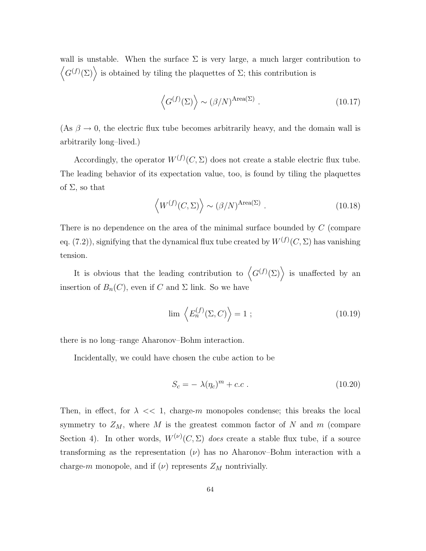wall is unstable. When the surface  $\Sigma$  is very large, a much larger contribution to  $\langle G^{(f)}(\Sigma) \rangle$  is obtained by tiling the plaquettes of  $\Sigma$ ; this contribution is

$$
\langle G^{(f)}(\Sigma) \rangle \sim (\beta/N)^{\text{Area}(\Sigma)} . \tag{10.17}
$$

(As  $\beta \rightarrow 0$ , the electric flux tube becomes arbitrarily heavy, and the domain wall is arbitrarily long–lived.)

Accordingly, the operator  $W^{(f)}(C, \Sigma)$  does not create a stable electric flux tube. The leading behavior of its expectation value, too, is found by tiling the plaquettes of  $\Sigma$ , so that

$$
\langle W^{(f)}(C,\Sigma) \rangle \sim (\beta/N)^{\text{Area}(\Sigma)} . \tag{10.18}
$$

There is no dependence on the area of the minimal surface bounded by C (compare eq.  $(7.2)$ , signifying that the dynamical flux tube created by  $W^{(f)}(C, \Sigma)$  has vanishing tension.

It is obvious that the leading contribution to  $\langle G^{(f)}(\Sigma) \rangle$  is unaffected by an insertion of  $B_n(C)$ , even if C and  $\Sigma$  link. So we have

$$
\lim \left\langle E_n^{(f)}(\Sigma, C) \right\rangle = 1 ; \tag{10.19}
$$

there is no long–range Aharonov–Bohm interaction.

Incidentally, we could have chosen the cube action to be

$$
S_c = -\lambda (\eta_c)^m + c.c.
$$
 (10.20)

Then, in effect, for  $\lambda \ll 1$ , charge-m monopoles condense; this breaks the local symmetry to  $Z_M$ , where M is the greatest common factor of N and m (compare Section 4). In other words,  $W^{(\nu)}(C,\Sigma)$  does create a stable flux tube, if a source transforming as the representation  $(\nu)$  has no Aharonov–Bohm interaction with a charge-m monopole, and if  $(\nu)$  represents  $Z_M$  nontrivially.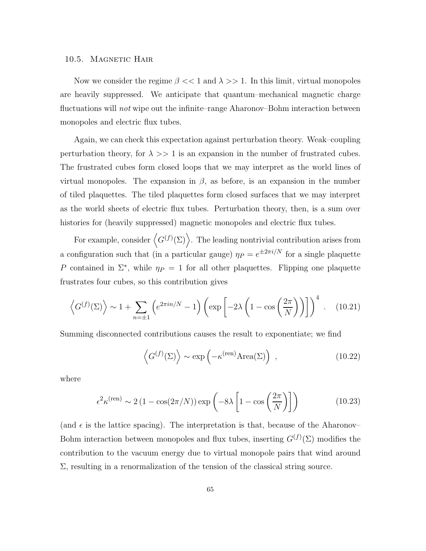### 10.5. MAGNETIC HAIR

Now we consider the regime  $\beta \ll 1$  and  $\lambda \gg 1$ . In this limit, virtual monopoles are heavily suppressed. We anticipate that quantum–mechanical magnetic charge fluctuations will *not* wipe out the infinite–range Aharonov–Bohm interaction between monopoles and electric flux tubes.

Again, we can check this expectation against perturbation theory. Weak–coupling perturbation theory, for  $\lambda >> 1$  is an expansion in the number of frustrated cubes. The frustrated cubes form closed loops that we may interpret as the world lines of virtual monopoles. The expansion in  $\beta$ , as before, is an expansion in the number of tiled plaquettes. The tiled plaquettes form closed surfaces that we may interpret as the world sheets of electric flux tubes. Perturbation theory, then, is a sum over histories for (heavily suppressed) magnetic monopoles and electric flux tubes.

For example, consider  $\langle G^{(f)}(\Sigma) \rangle$ . The leading nontrivial contribution arises from a configuration such that (in a particular gauge)  $\eta_P = e^{\pm 2\pi i/N}$  for a single plaquette P contained in  $\Sigma^*$ , while  $\eta_P = 1$  for all other plaquettes. Flipping one plaquette frustrates four cubes, so this contribution gives

$$
\left\langle G^{(f)}(\Sigma) \right\rangle \sim 1 + \sum_{n=\pm 1} \left( e^{2\pi i n/N} - 1 \right) \left( \exp \left[ -2\lambda \left( 1 - \cos \left( \frac{2\pi}{N} \right) \right) \right] \right)^4
$$
. (10.21)

Summing disconnected contributions causes the result to exponentiate; we find

$$
\langle G^{(f)}(\Sigma) \rangle \sim \exp\left(-\kappa^{\text{(ren)}} \text{Area}(\Sigma)\right) ,
$$
 (10.22)

where

$$
\epsilon^2 \kappa^{\text{(ren)}} \sim 2 \left( 1 - \cos(2\pi/N) \right) \exp\left( -8\lambda \left[ 1 - \cos\left( \frac{2\pi}{N} \right) \right] \right) \tag{10.23}
$$

(and  $\epsilon$  is the lattice spacing). The interpretation is that, because of the Aharonov– Bohm interaction between monopoles and flux tubes, inserting  $G^{(f)}(\Sigma)$  modifies the contribution to the vacuum energy due to virtual monopole pairs that wind around  $\Sigma$ , resulting in a renormalization of the tension of the classical string source.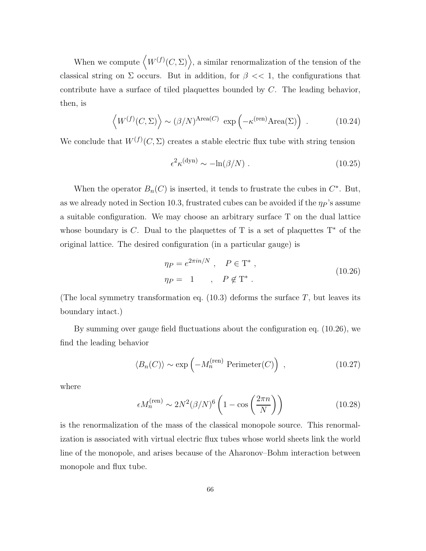When we compute  $\langle W^{(f)}(C,\Sigma) \rangle$ , a similar renormalization of the tension of the classical string on  $\Sigma$  occurs. But in addition, for  $\beta \ll 1$ , the configurations that contribute have a surface of tiled plaquettes bounded by C. The leading behavior, then, is

$$
\langle W^{(f)}(C,\Sigma) \rangle \sim (\beta/N)^{\text{Area}(C)} \exp\left(-\kappa^{(\text{ren})}\text{Area}(\Sigma)\right)
$$
 (10.24)

We conclude that  $W^{(f)}(C,\Sigma)$  creates a stable electric flux tube with string tension

$$
\epsilon^2 \kappa^{\text{(dyn)}} \sim -\ln(\beta/N) \ . \tag{10.25}
$$

When the operator  $B_n(C)$  is inserted, it tends to frustrate the cubes in  $C^*$ . But, as we already noted in Section 10.3, frustrated cubes can be avoided if the  $\eta_P$ 's assume a suitable configuration. We may choose an arbitrary surface T on the dual lattice whose boundary is C. Dual to the plaquettes of T is a set of plaquettes  $T^*$  of the original lattice. The desired configuration (in a particular gauge) is

$$
\eta_P = e^{2\pi i n/N} , \quad P \in \mathcal{T}^* ,
$$
  
\n
$$
\eta_P = 1 , \quad P \notin \mathcal{T}^* .
$$
\n(10.26)

(The local symmetry transformation eq.  $(10.3)$  deforms the surface T, but leaves its boundary intact.)

By summing over gauge field fluctuations about the configuration eq. (10.26), we find the leading behavior

$$
\langle B_n(C) \rangle \sim \exp\left(-M_n^{\text{(ren)}} \operatorname{Perimeter}(C)\right) ,\qquad (10.27)
$$

where

$$
\epsilon M_n^{\text{(ren)}} \sim 2N^2 (\beta/N)^6 \left(1 - \cos\left(\frac{2\pi n}{N}\right)\right) \tag{10.28}
$$

is the renormalization of the mass of the classical monopole source. This renormalization is associated with virtual electric flux tubes whose world sheets link the world line of the monopole, and arises because of the Aharonov–Bohm interaction between monopole and flux tube.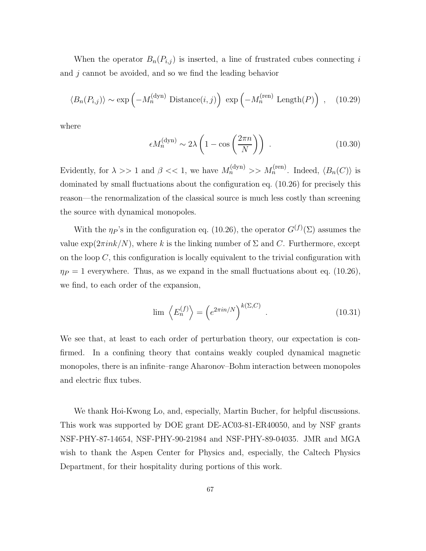When the operator  $B_n(P_{i,j})$  is inserted, a line of frustrated cubes connecting i and j cannot be avoided, and so we find the leading behavior

$$
\langle B_n(P_{i,j}) \rangle \sim \exp\left(-M_n^{(\text{dyn})} \text{Distance}(i,j)\right) \exp\left(-M_n^{(\text{ren})} \text{Length}(P)\right) , \quad (10.29)
$$

where

$$
\epsilon M_n^{(\text{dyn})} \sim 2\lambda \left(1 - \cos\left(\frac{2\pi n}{N}\right)\right) \,. \tag{10.30}
$$

Evidently, for  $\lambda >> 1$  and  $\beta << 1$ , we have  $M_n^{(\text{dyn})} >> M_n^{(\text{ren})}$ . Indeed,  $\langle B_n(C) \rangle$  is dominated by small fluctuations about the configuration eq. (10.26) for precisely this reason—the renormalization of the classical source is much less costly than screening the source with dynamical monopoles.

With the  $\eta_P$ 's in the configuration eq. (10.26), the operator  $G^{(f)}(\Sigma)$  assumes the value  $\exp(2\pi i n k/N)$ , where k is the linking number of  $\Sigma$  and C. Furthermore, except on the loop  $C$ , this configuration is locally equivalent to the trivial configuration with  $\eta_P = 1$  everywhere. Thus, as we expand in the small fluctuations about eq. (10.26), we find, to each order of the expansion,

$$
\lim \left\langle E_n^{(f)} \right\rangle = \left( e^{2\pi i n/N} \right)^{k(\Sigma, C)} . \tag{10.31}
$$

We see that, at least to each order of perturbation theory, our expectation is confirmed. In a confining theory that contains weakly coupled dynamical magnetic monopoles, there is an infinite–range Aharonov–Bohm interaction between monopoles and electric flux tubes.

We thank Hoi-Kwong Lo, and, especially, Martin Bucher, for helpful discussions. This work was supported by DOE grant DE-AC03-81-ER40050, and by NSF grants NSF-PHY-87-14654, NSF-PHY-90-21984 and NSF-PHY-89-04035. JMR and MGA wish to thank the Aspen Center for Physics and, especially, the Caltech Physics Department, for their hospitality during portions of this work.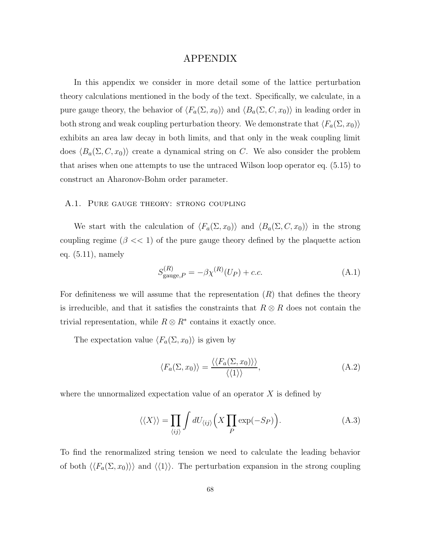# APPENDIX

In this appendix we consider in more detail some of the lattice perturbation theory calculations mentioned in the body of the text. Specifically, we calculate, in a pure gauge theory, the behavior of  $\langle F_a(\Sigma, x_0) \rangle$  and  $\langle B_a(\Sigma, C, x_0) \rangle$  in leading order in both strong and weak coupling perturbation theory. We demonstrate that  $\langle F_a(\Sigma, x_0) \rangle$ exhibits an area law decay in both limits, and that only in the weak coupling limit does  $\langle B_a(\Sigma, C, x_0) \rangle$  create a dynamical string on C. We also consider the problem that arises when one attempts to use the untraced Wilson loop operator eq. (5.15) to construct an Aharonov-Bohm order parameter.

#### A.1. Pure gauge theory: strong coupling

We start with the calculation of  $\langle F_a(\Sigma, x_0) \rangle$  and  $\langle B_a(\Sigma, C, x_0) \rangle$  in the strong coupling regime ( $\beta \ll 1$ ) of the pure gauge theory defined by the plaquette action eq. (5.11), namely

$$
S_{\text{gauge},P}^{(R)} = -\beta \chi^{(R)}(U_P) + c.c.
$$
 (A.1)

For definiteness we will assume that the representation  $(R)$  that defines the theory is irreducible, and that it satisfies the constraints that  $R \otimes R$  does not contain the trivial representation, while  $R \otimes R^*$  contains it exactly once.

The expectation value  $\langle F_a(\Sigma, x_0) \rangle$  is given by

$$
\langle F_a(\Sigma, x_0) \rangle = \frac{\langle \langle F_a(\Sigma, x_0) \rangle \rangle}{\langle \langle 1 \rangle \rangle},\tag{A.2}
$$

where the unnormalized expectation value of an operator  $X$  is defined by

$$
\langle \langle X \rangle \rangle = \prod_{\langle ij \rangle} \int dU_{\langle ij \rangle} \left( X \prod_P \exp(-S_P) \right). \tag{A.3}
$$

To find the renormalized string tension we need to calculate the leading behavior of both  $\langle F_a(\Sigma, x_0)\rangle$  and  $\langle\langle 1\rangle\rangle$ . The perturbation expansion in the strong coupling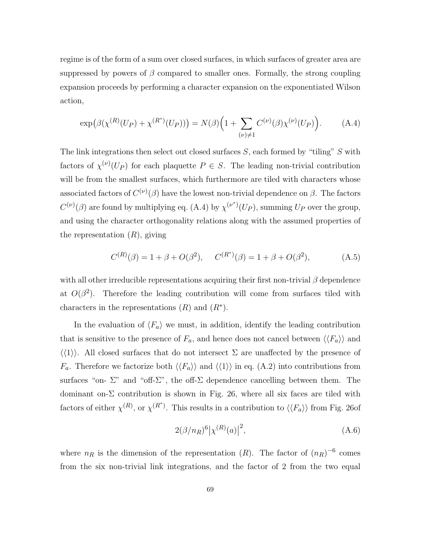regime is of the form of a sum over closed surfaces, in which surfaces of greater area are suppressed by powers of  $\beta$  compared to smaller ones. Formally, the strong coupling expansion proceeds by performing a character expansion on the exponentiated Wilson action,

$$
\exp(\beta(\chi^{(R)}(U_P) + \chi^{(R^*)}(U_P))) = N(\beta)\Big(1 + \sum_{(\nu)\neq 1} C^{(\nu)}(\beta)\chi^{(\nu)}(U_P)\Big). \tag{A.4}
$$

The link integrations then select out closed surfaces  $S$ , each formed by "tiling"  $S$  with factors of  $\chi^{(\nu)}(U_P)$  for each plaquette  $P \in S$ . The leading non-trivial contribution will be from the smallest surfaces, which furthermore are tiled with characters whose associated factors of  $C^{(\nu)}(\beta)$  have the lowest non-trivial dependence on  $\beta$ . The factors  $C^{(\nu)}(\beta)$  are found by multiplying eq. (A.4) by  $\chi^{(\nu^*)}(U_P)$ , summing  $U_P$  over the group, and using the character orthogonality relations along with the assumed properties of the representation  $(R)$ , giving

$$
C^{(R)}(\beta) = 1 + \beta + O(\beta^2), \qquad C^{(R^*)}(\beta) = 1 + \beta + O(\beta^2), \tag{A.5}
$$

with all other irreducible representations acquiring their first non-trivial  $\beta$  dependence at  $O(\beta^2)$ . Therefore the leading contribution will come from surfaces tiled with characters in the representations  $(R)$  and  $(R^*)$ .

In the evaluation of  $\langle F_a \rangle$  we must, in addition, identify the leading contribution that is sensitive to the presence of  $F_a$ , and hence does not cancel between  $\langle F_a \rangle$  and  $\langle\langle 1 \rangle\rangle$ . All closed surfaces that do not intersect  $\Sigma$  are unaffected by the presence of  $F_a$ . Therefore we factorize both  $\langle F_a \rangle$  and  $\langle \langle 1 \rangle \rangle$  in eq. (A.2) into contributions from surfaces "on-  $\Sigma$ " and "off- $\Sigma$ ", the off- $\Sigma$  dependence cancelling between them. The dominant on- $\Sigma$  contribution is shown in Fig. 26, where all six faces are tiled with factors of either  $\chi^{(R)}$ , or  $\chi^{(R^*)}$ . This results in a contribution to  $\langle\langle F_a \rangle\rangle$  from Fig. 26of

$$
2(\beta/n_R)^6 |\chi^{(R)}(a)|^2,
$$
\n(A.6)

where  $n_R$  is the dimension of the representation  $(R)$ . The factor of  $(n_R)^{-6}$  comes from the six non-trivial link integrations, and the factor of 2 from the two equal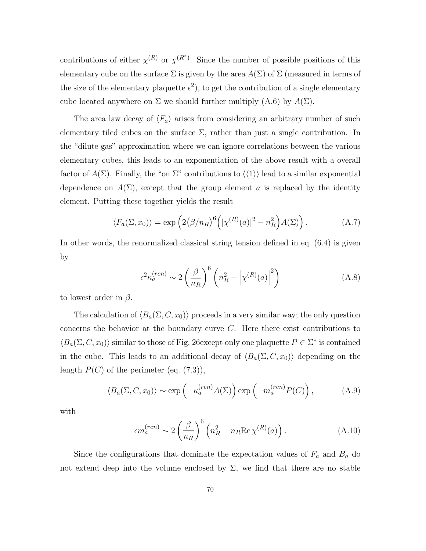contributions of either  $\chi^{(R)}$  or  $\chi^{(R^*)}$ . Since the number of possible positions of this elementary cube on the surface  $\Sigma$  is given by the area  $A(\Sigma)$  of  $\Sigma$  (measured in terms of the size of the elementary plaquette  $\epsilon^2$ , to get the contribution of a single elementary cube located anywhere on  $\Sigma$  we should further multiply  $(A.6)$  by  $A(\Sigma)$ .

The area law decay of  $\langle F_a \rangle$  arises from considering an arbitrary number of such elementary tiled cubes on the surface  $\Sigma$ , rather than just a single contribution. In the "dilute gas" approximation where we can ignore correlations between the various elementary cubes, this leads to an exponentiation of the above result with a overall factor of  $A(\Sigma)$ . Finally, the "on  $\Sigma$ " contributions to  $\langle\langle 1 \rangle\rangle$  lead to a similar exponential dependence on  $A(\Sigma)$ , except that the group element a is replaced by the identity element. Putting these together yields the result

$$
\langle F_a(\Sigma, x_0) \rangle = \exp\left(2\left(\beta/n_R\right)^6 \left(|\chi^{(R)}(a)|^2 - n_R^2\right) A(\Sigma)\right). \tag{A.7}
$$

In other words, the renormalized classical string tension defined in eq. (6.4) is given by

$$
\epsilon^2 \kappa_a^{(ren)} \sim 2 \left( \frac{\beta}{n_R} \right)^6 \left( n_R^2 - \left| \chi^{(R)}(a) \right|^2 \right) \tag{A.8}
$$

to lowest order in  $\beta$ .

The calculation of  $\langle B_a(\Sigma, C, x_0)\rangle$  proceeds in a very similar way; the only question concerns the behavior at the boundary curve C. Here there exist contributions to  $\langle B_a(\Sigma, C, x_0) \rangle$  similar to those of Fig. 26 except only one plaquette  $P \in \Sigma^*$  is contained in the cube. This leads to an additional decay of  $\langle B_a(\Sigma, C, x_0) \rangle$  depending on the length  $P(C)$  of the perimeter (eq.  $(7.3)$ ),

$$
\langle B_a(\Sigma, C, x_0) \rangle \sim \exp\left(-\kappa_a^{(ren)} A(\Sigma)\right) \exp\left(-m_a^{(ren)} P(C)\right),\tag{A.9}
$$

with

$$
\epsilon m_a^{(ren)} \sim 2 \left(\frac{\beta}{n_R}\right)^6 \left(n_R^2 - n_R \text{Re}\,\chi^{(R)}(a)\right). \tag{A.10}
$$

Since the configurations that dominate the expectation values of  $F_a$  and  $B_a$  do not extend deep into the volume enclosed by  $\Sigma$ , we find that there are no stable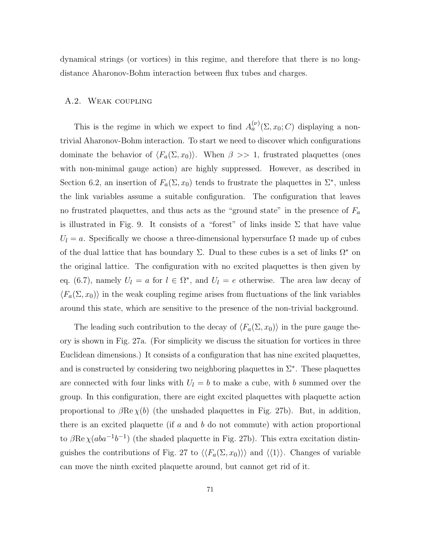dynamical strings (or vortices) in this regime, and therefore that there is no longdistance Aharonov-Bohm interaction between flux tubes and charges.

## A.2. Weak coupling

This is the regime in which we expect to find  $A_a^{(\nu)}(\Sigma, x_0; C)$  displaying a nontrivial Aharonov-Bohm interaction. To start we need to discover which configurations dominate the behavior of  $\langle F_a(\Sigma, x_0)\rangle$ . When  $\beta >> 1$ , frustrated plaquettes (ones with non-minimal gauge action) are highly suppressed. However, as described in Section 6.2, an insertion of  $F_a(\Sigma, x_0)$  tends to frustrate the plaquettes in  $\Sigma^*$ , unless the link variables assume a suitable configuration. The configuration that leaves no frustrated plaquettes, and thus acts as the "ground state" in the presence of  $F_a$ is illustrated in Fig. 9. It consists of a "forest" of links inside  $\Sigma$  that have value  $U_l = a$ . Specifically we choose a three-dimensional hypersurface  $\Omega$  made up of cubes of the dual lattice that has boundary  $\Sigma$ . Dual to these cubes is a set of links  $\Omega^*$  on the original lattice. The configuration with no excited plaquettes is then given by eq. (6.7), namely  $U_l = a$  for  $l \in \Omega^*$ , and  $U_l = e$  otherwise. The area law decay of  $\langle F_a(\Sigma, x_0)\rangle$  in the weak coupling regime arises from fluctuations of the link variables around this state, which are sensitive to the presence of the non-trivial background.

The leading such contribution to the decay of  $\langle F_a(\Sigma, x_0) \rangle$  in the pure gauge theory is shown in Fig. 27a. (For simplicity we discuss the situation for vortices in three Euclidean dimensions.) It consists of a configuration that has nine excited plaquettes, and is constructed by considering two neighboring plaquettes in  $\Sigma^*$ . These plaquettes are connected with four links with  $U_l = b$  to make a cube, with b summed over the group. In this configuration, there are eight excited plaquettes with plaquette action proportional to  $\beta \text{Re } \chi(b)$  (the unshaded plaquettes in Fig. 27b). But, in addition, there is an excited plaquette (if  $a$  and  $b$  do not commute) with action proportional to  $\beta$ Re  $\chi(aba^{-1}b^{-1})$  (the shaded plaquette in Fig. 27b). This extra excitation distinguishes the contributions of Fig. 27 to  $\langle F_a(\Sigma, x_0) \rangle$  and  $\langle \langle 1 \rangle$ . Changes of variable can move the ninth excited plaquette around, but cannot get rid of it.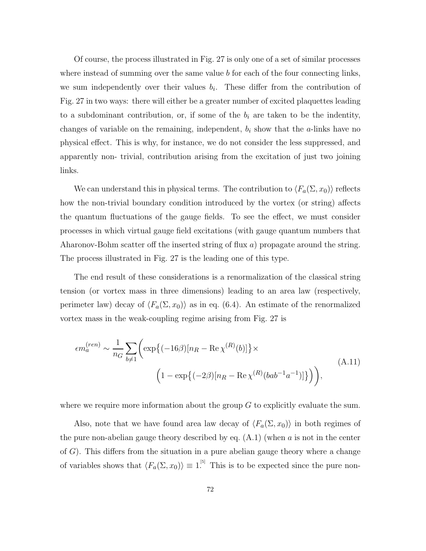Of course, the process illustrated in Fig. 27 is only one of a set of similar processes where instead of summing over the same value  $b$  for each of the four connecting links, we sum independently over their values  $b_i$ . These differ from the contribution of Fig. 27 in two ways: there will either be a greater number of excited plaquettes leading to a subdominant contribution, or, if some of the  $b_i$  are taken to be the indentity, changes of variable on the remaining, independent,  $b_i$  show that the *a*-links have no physical effect. This is why, for instance, we do not consider the less suppressed, and apparently non- trivial, contribution arising from the excitation of just two joining links.

We can understand this in physical terms. The contribution to  $\langle F_a(\Sigma, x_0) \rangle$  reflects how the non-trivial boundary condition introduced by the vortex (or string) affects the quantum fluctuations of the gauge fields. To see the effect, we must consider processes in which virtual gauge field excitations (with gauge quantum numbers that Aharonov-Bohm scatter off the inserted string of flux  $a$ ) propagate around the string. The process illustrated in Fig. 27 is the leading one of this type.

The end result of these considerations is a renormalization of the classical string tension (or vortex mass in three dimensions) leading to an area law (respectively, perimeter law) decay of  $\langle F_a(\Sigma, x_0) \rangle$  as in eq. (6.4). An estimate of the renormalized vortex mass in the weak-coupling regime arising from Fig. 27 is

$$
\epsilon m_a^{(ren)} \sim \frac{1}{n_G} \sum_{b \neq 1} \left( \exp\left\{ (-16\beta) [n_R - \text{Re}\,\chi^{(R)}(b)] \right\} \times \left( (A.11) \right) \right)
$$
\n
$$
\left( 1 - \exp\left\{ (-2\beta) [n_R - \text{Re}\,\chi^{(R)}(bab^{-1}a^{-1})] \right\} \right),
$$
\n(A.11)

where we require more information about the group  $G$  to explicitly evaluate the sum.

Also, note that we have found area law decay of  $\langle F_a(\Sigma, x_0) \rangle$  in both regimes of the pure non-abelian gauge theory described by eq.  $(A.1)$  (when a is not in the center of  $G$ ). This differs from the situation in a pure abelian gauge theory where a change of variables shows that  $\langle F_a(\Sigma, x_0)\rangle \equiv 1$ .<sup>[5]</sup> This is to be expected since the pure non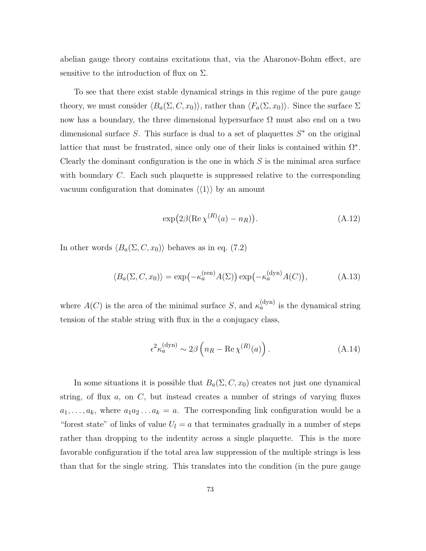abelian gauge theory contains excitations that, via the Aharonov-Bohm effect, are sensitive to the introduction of flux on  $\Sigma$ .

To see that there exist stable dynamical strings in this regime of the pure gauge theory, we must consider  $\langle B_a(\Sigma, C, x_0) \rangle$ , rather than  $\langle F_a(\Sigma, x_0) \rangle$ . Since the surface  $\Sigma$ now has a boundary, the three dimensional hypersurface  $\Omega$  must also end on a two dimensional surface  $S$ . This surface is dual to a set of plaquettes  $S^*$  on the original lattice that must be frustrated, since only one of their links is contained within  $\Omega^*$ . Clearly the dominant configuration is the one in which  $S$  is the minimal area surface with boundary C. Each such plaquette is suppressed relative to the corresponding vacuum configuration that dominates  $\langle\langle 1 \rangle\rangle$  by an amount

$$
\exp\big(2\beta(\operatorname{Re}\chi^{(R)}(a)-n_R)\big). \tag{A.12}
$$

In other words  $\langle B_a(\Sigma, C, x_0) \rangle$  behaves as in eq. (7.2)

$$
\langle B_a(\Sigma, C, x_0) \rangle = \exp(-\kappa_a^{\text{(ren)}} A(\Sigma)) \exp(-\kappa_a^{\text{(dyn)}} A(C)), \tag{A.13}
$$

where  $A(C)$  is the area of the minimal surface S, and  $\kappa_a^{(\text{dyn})}$  is the dynamical string tension of the stable string with flux in the a conjugacy class,

$$
\epsilon^2 \kappa_a^{(\text{dyn})} \sim 2\beta \left( n_R - \text{Re}\,\chi^{(R)}(a) \right). \tag{A.14}
$$

In some situations it is possible that  $B_a(\Sigma, C, x_0)$  creates not just one dynamical string, of flux  $a$ , on  $C$ , but instead creates a number of strings of varying fluxes  $a_1, \ldots, a_k$ , where  $a_1 a_2 \ldots a_k = a$ . The corresponding link configuration would be a "forest state" of links of value  $U_l = a$  that terminates gradually in a number of steps rather than dropping to the indentity across a single plaquette. This is the more favorable configuration if the total area law suppression of the multiple strings is less than that for the single string. This translates into the condition (in the pure gauge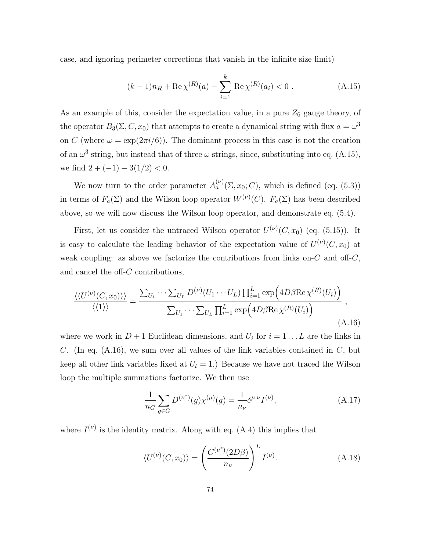case, and ignoring perimeter corrections that vanish in the infinite size limit)

$$
(k-1)n_R + \text{Re}\,\chi^{(R)}(a) - \sum_{i=1}^k \text{Re}\,\chi^{(R)}(a_i) < 0 \tag{A.15}
$$

As an example of this, consider the expectation value, in a pure  $Z_6$  gauge theory, of the operator  $B_3(\Sigma, C, x_0)$  that attempts to create a dynamical string with flux  $a = \omega^3$ on C (where  $\omega = \exp(2\pi i/6)$ ). The dominant process in this case is not the creation of an  $\omega^3$  string, but instead that of three  $\omega$  strings, since, substituting into eq. (A.15), we find  $2 + (-1) - 3(1/2) < 0$ .

We now turn to the order parameter  $A_a^{(\nu)}(\Sigma, x_0; C)$ , which is defined (eq. (5.3)) in terms of  $F_a(\Sigma)$  and the Wilson loop operator  $W^{(\nu)}(C)$ .  $F_a(\Sigma)$  has been described above, so we will now discuss the Wilson loop operator, and demonstrate eq. (5.4).

First, let us consider the untraced Wilson operator  $U^{(\nu)}(C, x_0)$  (eq. (5.15)). It is easy to calculate the leading behavior of the expectation value of  $U^{(\nu)}(C,x_0)$  at weak coupling: as above we factorize the contributions from links on- $C$  and off- $C$ , and cancel the off-C contributions,

$$
\frac{\langle \langle U^{(\nu)}(C,x_0) \rangle \rangle}{\langle \langle 1 \rangle} = \frac{\sum_{U_1} \cdots \sum_{U_L} D^{(\nu)}(U_1 \cdots U_L) \prod_{i=1}^L \exp\Big( 4D\beta \text{Re}\,\chi^{(R)}(U_i) \Big)}{\sum_{U_1} \cdots \sum_{U_L} \prod_{i=1}^L \exp\Big( 4D\beta \text{Re}\,\chi^{(R)}(U_i) \Big)}, \tag{A.16}
$$

where we work in  $D+1$  Euclidean dimensions, and  $U_i$  for  $i=1...L$  are the links in C. (In eq.  $(A.16)$ , we sum over all values of the link variables contained in C, but keep all other link variables fixed at  $U_l = 1$ .) Because we have not traced the Wilson loop the multiple summations factorize. We then use

$$
\frac{1}{n_G} \sum_{g \in G} D^{(\nu^*)}(g) \chi^{(\mu)}(g) = \frac{1}{n_{\nu}} \delta^{\mu, \nu} I^{(\nu)}, \tag{A.17}
$$

where  $I^{(\nu)}$  is the identity matrix. Along with eq. (A.4) this implies that

$$
\langle U^{(\nu)}(C, x_0) \rangle = \left( \frac{C^{(\nu^*)}(2D\beta)}{n_{\nu}} \right)^L I^{(\nu)}.
$$
 (A.18)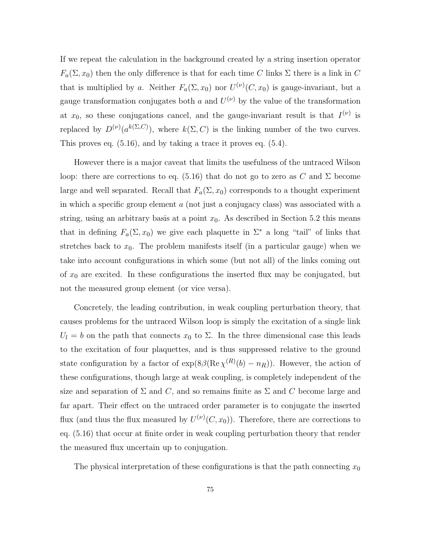If we repeat the calculation in the background created by a string insertion operator  $F_a(\Sigma, x_0)$  then the only difference is that for each time C links  $\Sigma$  there is a link in C that is multiplied by a. Neither  $F_a(\Sigma, x_0)$  nor  $U^{(\nu)}(C, x_0)$  is gauge-invariant, but a gauge transformation conjugates both a and  $U^{(\nu)}$  by the value of the transformation at  $x_0$ , so these conjugations cancel, and the gauge-invariant result is that  $I^{(\nu)}$  is replaced by  $D^{(\nu)}(a^{k(\Sigma,C)})$ , where  $k(\Sigma, C)$  is the linking number of the two curves. This proves eq. (5.16), and by taking a trace it proves eq. (5.4).

However there is a major caveat that limits the usefulness of the untraced Wilson loop: there are corrections to eq. (5.16) that do not go to zero as C and  $\Sigma$  become large and well separated. Recall that  $F_a(\Sigma, x_0)$  corresponds to a thought experiment in which a specific group element a (not just a conjugacy class) was associated with a string, using an arbitrary basis at a point  $x_0$ . As described in Section 5.2 this means that in defining  $F_a(\Sigma, x_0)$  we give each plaquette in  $\Sigma^*$  a long "tail" of links that stretches back to  $x_0$ . The problem manifests itself (in a particular gauge) when we take into account configurations in which some (but not all) of the links coming out of  $x_0$  are excited. In these configurations the inserted flux may be conjugated, but not the measured group element (or vice versa).

Concretely, the leading contribution, in weak coupling perturbation theory, that causes problems for the untraced Wilson loop is simply the excitation of a single link  $U_l = b$  on the path that connects  $x_0$  to  $\Sigma$ . In the three dimensional case this leads to the excitation of four plaquettes, and is thus suppressed relative to the ground state configuration by a factor of  $\exp(8\beta(\text{Re }\chi^{(R)}(b) - n_R))$ . However, the action of these configurations, though large at weak coupling, is completely independent of the size and separation of  $\Sigma$  and  $C$ , and so remains finite as  $\Sigma$  and  $C$  become large and far apart. Their effect on the untraced order parameter is to conjugate the inserted flux (and thus the flux measured by  $U^{(\nu)}(C,x_0)$ ). Therefore, there are corrections to eq. (5.16) that occur at finite order in weak coupling perturbation theory that render the measured flux uncertain up to conjugation.

The physical interpretation of these configurations is that the path connecting  $x_0$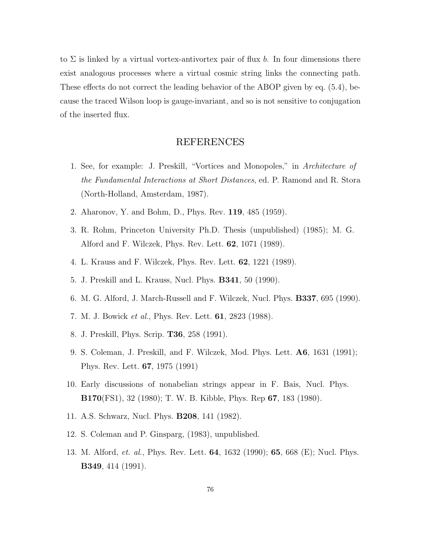to  $\Sigma$  is linked by a virtual vortex-antivortex pair of flux b. In four dimensions there exist analogous processes where a virtual cosmic string links the connecting path. These effects do not correct the leading behavior of the ABOP given by eq. (5.4), because the traced Wilson loop is gauge-invariant, and so is not sensitive to conjugation of the inserted flux.

## REFERENCES

- 1. See, for example: J. Preskill, "Vortices and Monopoles," in Architecture of the Fundamental Interactions at Short Distances, ed. P. Ramond and R. Stora (North-Holland, Amsterdam, 1987).
- 2. Aharonov, Y. and Bohm, D., Phys. Rev. 119, 485 (1959).
- 3. R. Rohm, Princeton University Ph.D. Thesis (unpublished) (1985); M. G. Alford and F. Wilczek, Phys. Rev. Lett. 62, 1071 (1989).
- 4. L. Krauss and F. Wilczek, Phys. Rev. Lett. 62, 1221 (1989).
- 5. J. Preskill and L. Krauss, Nucl. Phys. B341, 50 (1990).
- 6. M. G. Alford, J. March-Russell and F. Wilczek, Nucl. Phys. B337, 695 (1990).
- 7. M. J. Bowick et al., Phys. Rev. Lett. 61, 2823 (1988).
- 8. J. Preskill, Phys. Scrip. T36, 258 (1991).
- 9. S. Coleman, J. Preskill, and F. Wilczek, Mod. Phys. Lett. A6, 1631 (1991); Phys. Rev. Lett. 67, 1975 (1991)
- 10. Early discussions of nonabelian strings appear in F. Bais, Nucl. Phys. B170(FS1), 32 (1980); T. W. B. Kibble, Phys. Rep 67, 183 (1980).
- 11. A.S. Schwarz, Nucl. Phys. B208, 141 (1982).
- 12. S. Coleman and P. Ginsparg, (1983), unpublished.
- 13. M. Alford, et. al., Phys. Rev. Lett. 64, 1632 (1990); 65, 668 (E); Nucl. Phys. B349, 414 (1991).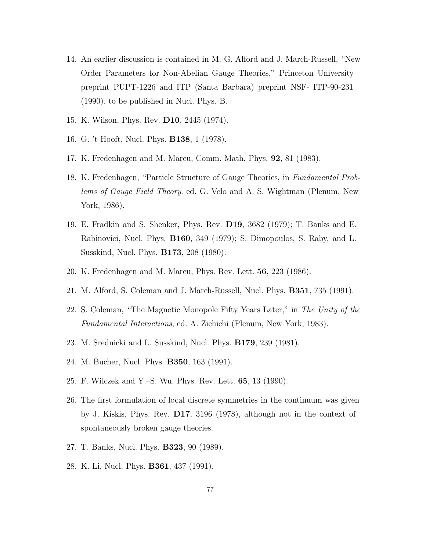- 14. An earlier discussion is contained in M. G. Alford and J. March-Russell, "New Order Parameters for Non-Abelian Gauge Theories," Princeton University preprint PUPT-1226 and ITP (Santa Barbara) preprint NSF- ITP-90-231 (1990), to be published in Nucl. Phys. B.
- 15. K. Wilson, Phys. Rev. D10, 2445 (1974).
- 16. G. 't Hooft, Nucl. Phys. B138, 1 (1978).
- 17. K. Fredenhagen and M. Marcu, Comm. Math. Phys. 92, 81 (1983).
- 18. K. Fredenhagen, "Particle Structure of Gauge Theories, in Fundamental Problems of Gauge Field Theory. ed. G. Velo and A. S. Wightman (Plenum, New York, 1986).
- 19. E. Fradkin and S. Shenker, Phys. Rev. D19, 3682 (1979); T. Banks and E. Rabinovici, Nucl. Phys. B160, 349 (1979); S. Dimopoulos, S. Raby, and L. Susskind, Nucl. Phys. B173, 208 (1980).
- 20. K. Fredenhagen and M. Marcu, Phys. Rev. Lett. 56, 223 (1986).
- 21. M. Alford, S. Coleman and J. March-Russell, Nucl. Phys. B351, 735 (1991).
- 22. S. Coleman, "The Magnetic Monopole Fifty Years Later," in The Unity of the Fundamental Interactions, ed. A. Zichichi (Plenum, New York, 1983).
- 23. M. Srednicki and L. Susskind, Nucl. Phys. B179, 239 (1981).
- 24. M. Bucher, Nucl. Phys. B350, 163 (1991).
- 25. F. Wilczek and Y.–S. Wu, Phys. Rev. Lett. 65, 13 (1990).
- 26. The first formulation of local discrete symmetries in the continuum was given by J. Kiskis, Phys. Rev. D17, 3196 (1978), although not in the context of spontaneously broken gauge theories.
- 27. T. Banks, Nucl. Phys. B323, 90 (1989).
- 28. K. Li, Nucl. Phys. B361, 437 (1991).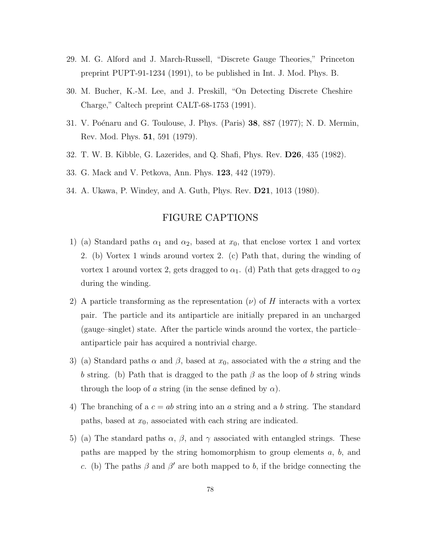- 29. M. G. Alford and J. March-Russell, "Discrete Gauge Theories," Princeton preprint PUPT-91-1234 (1991), to be published in Int. J. Mod. Phys. B.
- 30. M. Bucher, K.-M. Lee, and J. Preskill, "On Detecting Discrete Cheshire Charge," Caltech preprint CALT-68-1753 (1991).
- 31. V. Poénaru and G. Toulouse, J. Phys. (Paris) **38**, 887 (1977); N. D. Mermin, Rev. Mod. Phys. 51, 591 (1979).
- 32. T. W. B. Kibble, G. Lazerides, and Q. Shafi, Phys. Rev. D26, 435 (1982).
- 33. G. Mack and V. Petkova, Ann. Phys. 123, 442 (1979).
- 34. A. Ukawa, P. Windey, and A. Guth, Phys. Rev. D21, 1013 (1980).

## FIGURE CAPTIONS

- 1) (a) Standard paths  $\alpha_1$  and  $\alpha_2$ , based at  $x_0$ , that enclose vortex 1 and vortex 2. (b) Vortex 1 winds around vortex 2. (c) Path that, during the winding of vortex 1 around vortex 2, gets dragged to  $\alpha_1$ . (d) Path that gets dragged to  $\alpha_2$ during the winding.
- 2) A particle transforming as the representation  $(\nu)$  of H interacts with a vortex pair. The particle and its antiparticle are initially prepared in an uncharged (gauge–singlet) state. After the particle winds around the vortex, the particle– antiparticle pair has acquired a nontrivial charge.
- 3) (a) Standard paths  $\alpha$  and  $\beta$ , based at  $x_0$ , associated with the a string and the b string. (b) Path that is dragged to the path  $\beta$  as the loop of b string winds through the loop of a string (in the sense defined by  $\alpha$ ).
- 4) The branching of a  $c = ab$  string into an a string and a b string. The standard paths, based at  $x_0$ , associated with each string are indicated.
- 5) (a) The standard paths  $\alpha$ ,  $\beta$ , and  $\gamma$  associated with entangled strings. These paths are mapped by the string homomorphism to group elements a, b, and c. (b) The paths  $\beta$  and  $\beta'$  are both mapped to b, if the bridge connecting the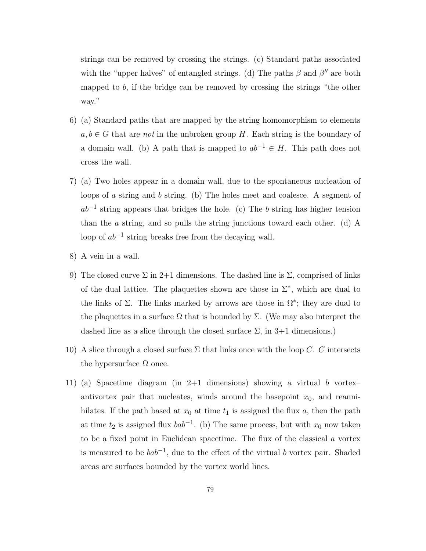strings can be removed by crossing the strings. (c) Standard paths associated with the "upper halves" of entangled strings. (d) The paths  $\beta$  and  $\beta''$  are both mapped to  $b$ , if the bridge can be removed by crossing the strings "the other way."

- 6) (a) Standard paths that are mapped by the string homomorphism to elements  $a, b \in G$  that are *not* in the unbroken group H. Each string is the boundary of a domain wall. (b) A path that is mapped to  $ab^{-1} \in H$ . This path does not cross the wall.
- 7) (a) Two holes appear in a domain wall, due to the spontaneous nucleation of loops of a string and b string. (b) The holes meet and coalesce. A segment of  $ab^{-1}$  string appears that bridges the hole. (c) The b string has higher tension than the  $\alpha$  string, and so pulls the string junctions toward each other. (d) A loop of  $ab^{-1}$  string breaks free from the decaying wall.
- 8) A vein in a wall.
- 9) The closed curve  $\Sigma$  in 2+1 dimensions. The dashed line is  $\Sigma$ , comprised of links of the dual lattice. The plaquettes shown are those in  $\Sigma^*$ , which are dual to the links of  $\Sigma$ . The links marked by arrows are those in  $\Omega^*$ ; they are dual to the plaquettes in a surface  $\Omega$  that is bounded by  $\Sigma$ . (We may also interpret the dashed line as a slice through the closed surface  $\Sigma$ , in 3+1 dimensions.)
- 10) A slice through a closed surface  $\Sigma$  that links once with the loop C. C intersects the hypersurface  $\Omega$  once.
- 11) (a) Spacetime diagram (in  $2+1$  dimensions) showing a virtual b vortexantivortex pair that nucleates, winds around the basepoint  $x_0$ , and reannihilates. If the path based at  $x_0$  at time  $t_1$  is assigned the flux a, then the path at time  $t_2$  is assigned flux  $bab^{-1}$ . (b) The same process, but with  $x_0$  now taken to be a fixed point in Euclidean spacetime. The flux of the classical a vortex is measured to be  $bab^{-1}$ , due to the effect of the virtual b vortex pair. Shaded areas are surfaces bounded by the vortex world lines.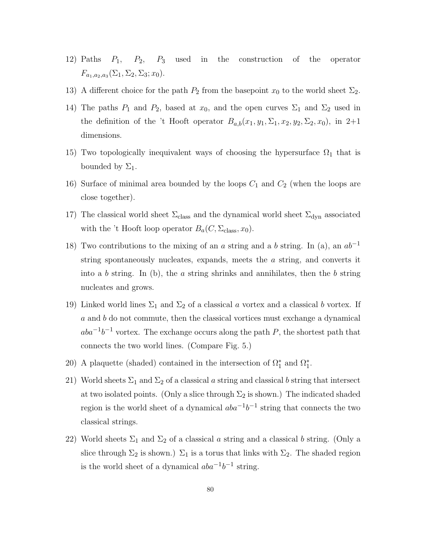- 12) Paths  $P_1$ ,  $P_2$ ,  $P_3$  used in the construction of the operator  $F_{a_1,a_2,a_3}(\Sigma_1,\Sigma_2,\Sigma_3;x_0).$
- 13) A different choice for the path  $P_2$  from the basepoint  $x_0$  to the world sheet  $\Sigma_2$ .
- 14) The paths  $P_1$  and  $P_2$ , based at  $x_0$ , and the open curves  $\Sigma_1$  and  $\Sigma_2$  used in the definition of the 't Hooft operator  $B_{a,b}(x_1,y_1,\Sigma_1,x_2,y_2,\Sigma_2,x_0)$ , in 2+1 dimensions.
- 15) Two topologically inequivalent ways of choosing the hypersurface  $\Omega_1$  that is bounded by  $\Sigma_1$ .
- 16) Surface of minimal area bounded by the loops  $C_1$  and  $C_2$  (when the loops are close together).
- 17) The classical world sheet  $\Sigma_{\text{class}}$  and the dynamical world sheet  $\Sigma_{\text{dyn}}$  associated with the 't Hooft loop operator  $B_a(C, \Sigma_{\text{class}}, x_0)$ .
- 18) Two contributions to the mixing of an a string and a b string. In (a), an  $ab^{-1}$ string spontaneously nucleates, expands, meets the a string, and converts it into a b string. In (b), the a string shrinks and annihilates, then the b string nucleates and grows.
- 19) Linked world lines  $\Sigma_1$  and  $\Sigma_2$  of a classical a vortex and a classical b vortex. If  $a$  and  $b$  do not commute, then the classical vortices must exchange a dynamical  $aba^{-1}b^{-1}$  vortex. The exchange occurs along the path  $P$ , the shortest path that connects the two world lines. (Compare Fig. 5.)
- 20) A plaquette (shaded) contained in the intersection of  $\Omega_1^*$  and  $\Omega_1^*$ .
- 21) World sheets  $\Sigma_1$  and  $\Sigma_2$  of a classical a string and classical b string that intersect at two isolated points. (Only a slice through  $\Sigma_2$  is shown.) The indicated shaded region is the world sheet of a dynamical  $aba^{-1}b^{-1}$  string that connects the two classical strings.
- 22) World sheets  $\Sigma_1$  and  $\Sigma_2$  of a classical a string and a classical b string. (Only a slice through  $\Sigma_2$  is shown.)  $\Sigma_1$  is a torus that links with  $\Sigma_2$ . The shaded region is the world sheet of a dynamical  $aba^{-1}b^{-1}$  string.